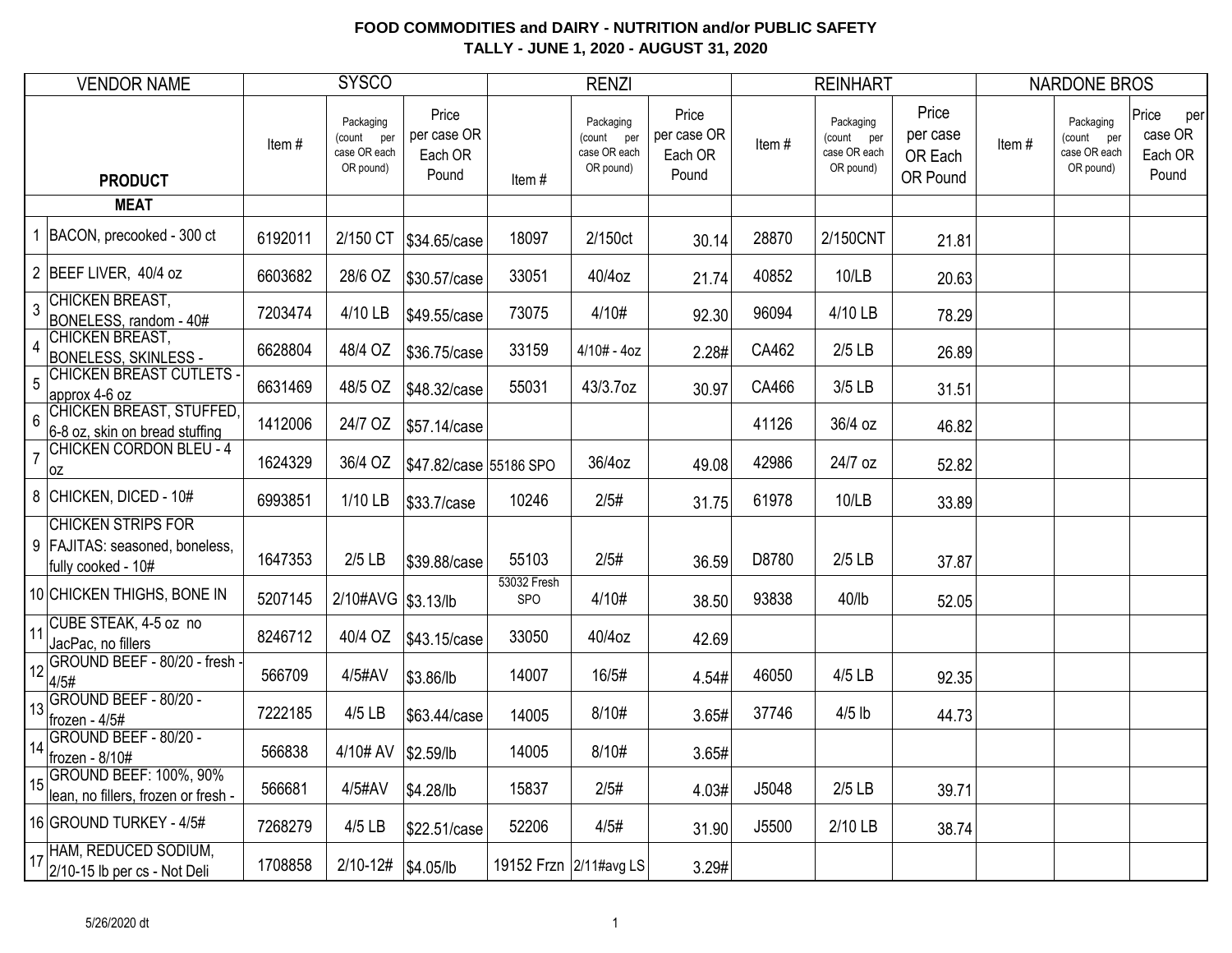| <b>VENDOR NAME</b>                                                                   |         | <b>SYSCO</b>                                         |                                          |                           | <b>RENZI</b>                                         |                                          |       | <b>REINHART</b>                                         |                                          |       | <b>NARDONE BROS</b>                                     |                                             |
|--------------------------------------------------------------------------------------|---------|------------------------------------------------------|------------------------------------------|---------------------------|------------------------------------------------------|------------------------------------------|-------|---------------------------------------------------------|------------------------------------------|-------|---------------------------------------------------------|---------------------------------------------|
| <b>PRODUCT</b>                                                                       | Item#   | Packaging<br>(count per<br>case OR each<br>OR pound) | Price<br>per case OR<br>Each OR<br>Pound | Item#                     | Packaging<br>(count per<br>case OR each<br>OR pound) | Price<br>per case OR<br>Each OR<br>Pound | Item# | Packaging<br>(count<br>per<br>case OR each<br>OR pound) | Price<br>per case<br>OR Each<br>OR Pound | Item# | Packaging<br>(count<br>per<br>case OR each<br>OR pound) | Price<br>per<br>case OR<br>Each OR<br>Pound |
| <b>MEAT</b>                                                                          |         |                                                      |                                          |                           |                                                      |                                          |       |                                                         |                                          |       |                                                         |                                             |
| BACON, precooked - 300 ct                                                            | 6192011 | 2/150 CT                                             | \$34.65/case                             | 18097                     | 2/150ct                                              | 30.14                                    | 28870 | 2/150CNT                                                | 21.81                                    |       |                                                         |                                             |
| 2 BEEF LIVER, 40/4 oz                                                                | 6603682 | 28/6 OZ                                              | \$30.57/case                             | 33051                     | 40/4oz                                               | 21.74                                    | 40852 | 10/LB                                                   | 20.63                                    |       |                                                         |                                             |
| <b>CHICKEN BREAST,</b><br>$\overline{3}$<br>BONELESS, random - 40#                   | 7203474 | 4/10 LB                                              | \$49.55/case                             | 73075                     | 4/10#                                                | 92.30                                    | 96094 | 4/10 LB                                                 | 78.29                                    |       |                                                         |                                             |
| <b>CHICKEN BREAST,</b><br>$\overline{4}$<br><b>BONELESS, SKINLESS -</b>              | 6628804 | 48/4 OZ                                              | \$36.75/case                             | 33159                     | $4/10# - 4oz$                                        | 2.28#                                    | CA462 | $2/5$ LB                                                | 26.89                                    |       |                                                         |                                             |
| <b>CHICKEN BREAST CUTLETS -</b><br>5<br>approx 4-6 oz                                | 6631469 | 48/5 OZ                                              | \$48.32/case                             | 55031                     | 43/3.7oz                                             | 30.97                                    | CA466 | 3/5 LB                                                  | 31.51                                    |       |                                                         |                                             |
| <b>CHICKEN BREAST, STUFFED,</b><br>$6\phantom{1}6$<br>6-8 oz, skin on bread stuffing | 1412006 | 24/7 OZ                                              | \$57.14/case                             |                           |                                                      |                                          | 41126 | 36/4 oz                                                 | 46.82                                    |       |                                                         |                                             |
| <b>CHICKEN CORDON BLEU - 4</b><br>$\overline{7}$<br>0Z                               | 1624329 | 36/4 OZ                                              | \$47.82/case 55186 SPO                   |                           | 36/4oz                                               | 49.08                                    | 42986 | 24/7 oz                                                 | 52.82                                    |       |                                                         |                                             |
| 8 CHICKEN, DICED - 10#                                                               | 6993851 | 1/10 LB                                              | \$33.7/case                              | 10246                     | 2/5#                                                 | 31.75                                    | 61978 | 10/LB                                                   | 33.89                                    |       |                                                         |                                             |
| <b>CHICKEN STRIPS FOR</b><br>9 FAJITAS: seasoned, boneless,<br>fully cooked - 10#    | 1647353 | $2/5$ LB                                             | \$39.88/case                             | 55103                     | 2/5#                                                 | 36.59                                    | D8780 | $2/5$ LB                                                | 37.87                                    |       |                                                         |                                             |
| 10 CHICKEN THIGHS, BONE IN                                                           | 5207145 | 2/10#AVG \\$3.13/lb                                  |                                          | 53032 Fresh<br><b>SPO</b> | 4/10#                                                | 38.50                                    | 93838 | $40$ /lb                                                | 52.05                                    |       |                                                         |                                             |
| CUBE STEAK, 4-5 oz no<br>11<br>JacPac, no fillers                                    | 8246712 | 40/4 OZ                                              | \$43.15/case                             | 33050                     | 40/4oz                                               | 42.69                                    |       |                                                         |                                          |       |                                                         |                                             |
| GROUND BEEF - 80/20 - fresh -<br>12<br>4/5#                                          | 566709  | 4/5#AV                                               | \$3.86/lb                                | 14007                     | 16/5#                                                | 4.54#                                    | 46050 | 4/5 LB                                                  | 92.35                                    |       |                                                         |                                             |
| GROUND BEEF - 80/20 -<br>13<br>frozen - 4/5#                                         | 7222185 | 4/5 LB                                               | \$63.44/case                             | 14005                     | 8/10#                                                | 3.65#                                    | 37746 | $4/5$ lb                                                | 44.73                                    |       |                                                         |                                             |
| GROUND BEEF - 80/20 -<br>14<br>frozen - 8/10#                                        | 566838  | 4/10# AV                                             | \$2.59/lb                                | 14005                     | 8/10#                                                | 3.65#                                    |       |                                                         |                                          |       |                                                         |                                             |
| <b>GROUND BEEF: 100%, 90%</b><br>15<br>lean, no fillers, frozen or fresh -           | 566681  | 4/5#AV                                               | \$4.28/lb                                | 15837                     | 2/5#                                                 | 4.03#                                    | J5048 | $2/5$ LB                                                | 39.71                                    |       |                                                         |                                             |
| 16 GROUND TURKEY - 4/5#                                                              | 7268279 | 4/5 LB                                               | \$22.51/case                             | 52206                     | 4/5#                                                 | 31.90                                    | J5500 | 2/10 LB                                                 | 38.74                                    |       |                                                         |                                             |
| HAM, REDUCED SODIUM,<br>17<br>2/10-15 lb per cs - Not Deli                           | 1708858 | 2/10-12#   \$4.05/lb                                 |                                          |                           | 19152 Frzn 2/11#avg LS                               | 3.29#                                    |       |                                                         |                                          |       |                                                         |                                             |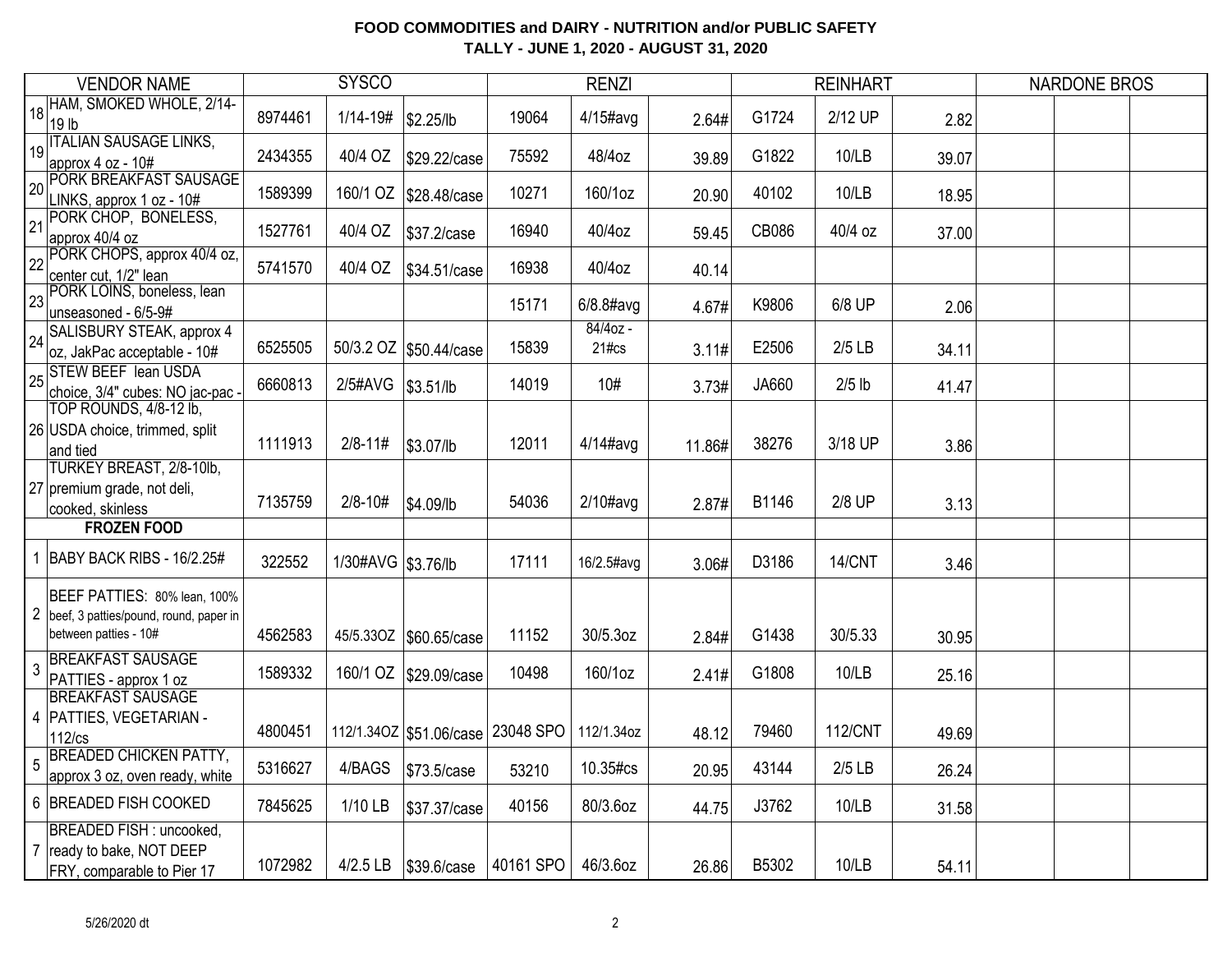|                 | <b>VENDOR NAME</b>                                                                                |         | <b>SYSCO</b>         |                                       |           | <b>RENZI</b>         |        |       | <b>REINHART</b> |       | <b>NARDONE BROS</b> |  |
|-----------------|---------------------------------------------------------------------------------------------------|---------|----------------------|---------------------------------------|-----------|----------------------|--------|-------|-----------------|-------|---------------------|--|
| 18              | HAM, SMOKED WHOLE, 2/14-<br>19 <sub>lb</sub>                                                      | 8974461 | $1/14 - 19#$         | \$2.25/lb                             | 19064     | $4/15$ #avg          | 2.64#  | G1724 | 2/12 UP         | 2.82  |                     |  |
| 19              | <b>ITALIAN SAUSAGE LINKS,</b><br>approx 4 oz - 10#                                                | 2434355 | 40/4 OZ              | \$29.22/case                          | 75592     | 48/4oz               | 39.89  | G1822 | 10/LB           | 39.07 |                     |  |
| 20              | PORK BREAKFAST SAUSAGE<br>LINKS, approx 1 oz - 10#                                                | 1589399 |                      | 160/1 OZ   \$28.48/case               | 10271     | 160/1oz              | 20.90  | 40102 | 10/LB           | 18.95 |                     |  |
| 21              | PORK CHOP, BONELESS,<br>approx 40/4 oz                                                            | 1527761 | 40/4 OZ              | \$37.2/case                           | 16940     | 40/4oz               | 59.45  | CB086 | 40/4 oz         | 37.00 |                     |  |
| $\overline{22}$ | PORK CHOPS, approx 40/4 oz,<br>center cut, 1/2" lean                                              | 5741570 | 40/4 OZ              | \$34.51/case                          | 16938     | 40/4oz               | 40.14  |       |                 |       |                     |  |
| 23              | PORK LOINS, boneless, lean<br>unseasoned - 6/5-9#                                                 |         |                      |                                       | 15171     | $6/8.8$ #avg         | 4.67#  | K9806 | 6/8 UP          | 2.06  |                     |  |
| 24              | SALISBURY STEAK, approx 4<br>oz, JakPac acceptable - 10#                                          | 6525505 |                      | 50/3.2 OZ \$50.44/case                | 15839     | $84/4$ oz -<br>21#cs | 3.11#  | E2506 | $2/5$ LB        | 34.11 |                     |  |
| 25              | <b>STEW BEEF lean USDA</b><br>choice, 3/4" cubes: NO jac-pac -                                    | 6660813 | 2/5#AVG              | \$3.51/lb                             | 14019     | 10#                  | 3.73#  | JA660 | $2/5$ lb        | 41.47 |                     |  |
|                 | TOP ROUNDS, 4/8-12 lb,<br>26 USDA choice, trimmed, split<br>and tied                              | 1111913 | $2/8 - 11#$          | \$3.07/lb                             | 12011     | $4/14$ #avg          | 11.86# | 38276 | 3/18 UP         | 3.86  |                     |  |
|                 | TURKEY BREAST, 2/8-10lb,<br>27 premium grade, not deli,<br>cooked, skinless                       | 7135759 | $2/8 - 10#$          | \$4.09/lb                             | 54036     | $2/10\#avg$          | 2.87#  | B1146 | 2/8 UP          | 3.13  |                     |  |
|                 | <b>FROZEN FOOD</b>                                                                                |         |                      |                                       |           |                      |        |       |                 |       |                     |  |
|                 | 1 BABY BACK RIBS - 16/2.25#                                                                       | 322552  | 1/30#AVG   \$3.76/lb |                                       | 17111     | 16/2.5#avg           | 3.06#  | D3186 | 14/CNT          | 3.46  |                     |  |
|                 | BEEF PATTIES: 80% lean, 100%<br>2 beef, 3 patties/pound, round, paper in<br>between patties - 10# | 4562583 | 45/5.33OZ            | \$60.65/case                          | 11152     | 30/5.3oz             | 2.84#  | G1438 | 30/5.33         | 30.95 |                     |  |
| 3               | <b>BREAKFAST SAUSAGE</b><br>PATTIES - approx 1 oz                                                 | 1589332 | 160/1 OZ             | \$29.09/case                          | 10498     | 160/1oz              | 2.41#  | G1808 | 10/LB           | 25.16 |                     |  |
|                 | <b>BREAKFAST SAUSAGE</b><br>4 PATTIES, VEGETARIAN -<br>$112$ / $cs$                               | 4800451 |                      | 112/1.34OZ   \$51.06/case   23048 SPO |           | 112/1.34oz           | 48.12  | 79460 | <b>112/CNT</b>  | 49.69 |                     |  |
| 5               | <b>BREADED CHICKEN PATTY,</b><br>approx 3 oz, oven ready, white                                   | 5316627 | 4/BAGS               | \$73.5/case                           | 53210     | 10.35#cs             | 20.95  | 43144 | $2/5$ LB        | 26.24 |                     |  |
|                 | 6 BREADED FISH COOKED                                                                             | 7845625 | 1/10 LB              | \$37.37/case                          | 40156     | 80/3.6oz             | 44.75  | J3762 | 10/LB           | 31.58 |                     |  |
|                 | BREADED FISH : uncooked,<br>7 ready to bake, NOT DEEP<br>FRY, comparable to Pier 17               | 1072982 | $4/2.5$ LB           | \$39.6/case                           | 40161 SPO | 46/3.6oz             | 26.86  | B5302 | 10/LB           | 54.11 |                     |  |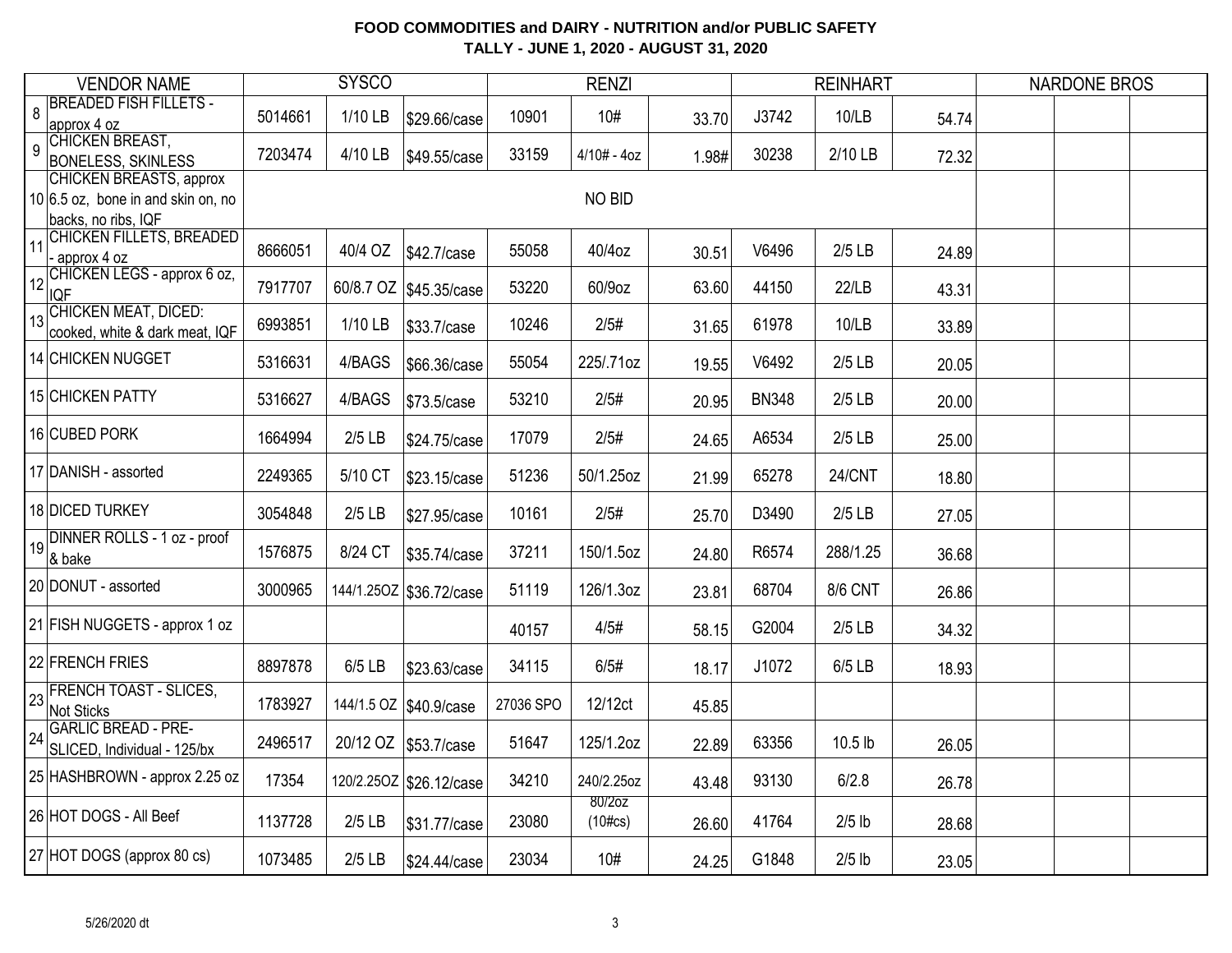|    | <b>VENDOR NAME</b>                                                                            |         | <b>SYSCO</b> |                          |           | <b>RENZI</b>         |       |              | <b>REINHART</b> |       | <b>NARDONE BROS</b> |  |
|----|-----------------------------------------------------------------------------------------------|---------|--------------|--------------------------|-----------|----------------------|-------|--------------|-----------------|-------|---------------------|--|
| 8  | <b>BREADED FISH FILLETS -</b><br>approx 4 oz                                                  | 5014661 | 1/10 LB      | \$29.66/case             | 10901     | 10#                  | 33.70 | J3742        | 10/LB           | 54.74 |                     |  |
| 9  | CHICKEN BREAST,<br><b>BONELESS, SKINLESS</b>                                                  | 7203474 | 4/10 LB      | \$49.55/case             | 33159     | $4/10# - 4oz$        | 1.98# | 30238        | 2/10 LB         | 72.32 |                     |  |
|    | <b>CHICKEN BREASTS, approx</b><br>$10 6.5$ oz, bone in and skin on, no<br>backs, no ribs, IQF |         |              |                          |           | <b>NO BID</b>        |       |              |                 |       |                     |  |
| 11 | <b>CHICKEN FILLETS, BREADED</b><br>approx 4 oz                                                | 8666051 | 40/4 OZ      | \$42.7/case              | 55058     | 40/4oz               | 30.51 | V6496        | $2/5$ LB        | 24.89 |                     |  |
|    | 12 CHICKEN LEGS - approx 6 oz,<br><b>IQF</b>                                                  | 7917707 |              | 60/8.7 OZ   \$45.35/case | 53220     | 60/9oz               | 63.60 | 44150        | 22/LB           | 43.31 |                     |  |
|    | 13 CHICKEN MEAT, DICED:<br>cooked, white & dark meat, IQF                                     | 6993851 | 1/10 LB      | \$33.7/case              | 10246     | 2/5#                 | 31.65 | 61978        | 10/LB           | 33.89 |                     |  |
|    | 14 CHICKEN NUGGET                                                                             | 5316631 | 4/BAGS       | \$66.36/case             | 55054     | 225/.71oz            | 19.55 | V6492        | $2/5$ LB        | 20.05 |                     |  |
|    | 15 CHICKEN PATTY                                                                              | 5316627 | 4/BAGS       | \$73.5/case              | 53210     | 2/5#                 | 20.95 | <b>BN348</b> | $2/5$ LB        | 20.00 |                     |  |
|    | 16 CUBED PORK                                                                                 | 1664994 | $2/5$ LB     | \$24.75/case             | 17079     | 2/5#                 | 24.65 | A6534        | $2/5$ LB        | 25.00 |                     |  |
|    | 17 DANISH - assorted                                                                          | 2249365 | 5/10 CT      | \$23.15/case             | 51236     | 50/1.25oz            | 21.99 | 65278        | <b>24/CNT</b>   | 18.80 |                     |  |
|    | 18 DICED TURKEY                                                                               | 3054848 | $2/5$ LB     | \$27.95/case             | 10161     | 2/5#                 | 25.70 | D3490        | $2/5$ LB        | 27.05 |                     |  |
|    | 19 DINNER ROLLS - 1 oz - proof<br>& bake                                                      | 1576875 | 8/24 CT      | \$35.74/case             | 37211     | 150/1.5oz            | 24.80 | R6574        | 288/1.25        | 36.68 |                     |  |
|    | 20 DONUT - assorted                                                                           | 3000965 |              | 144/1.25OZ \$36.72/case  | 51119     | 126/1.3oz            | 23.81 | 68704        | <b>8/6 CNT</b>  | 26.86 |                     |  |
|    | 21 FISH NUGGETS - approx 1 oz                                                                 |         |              |                          | 40157     | 4/5#                 | 58.15 | G2004        | $2/5$ LB        | 34.32 |                     |  |
|    | 22 FRENCH FRIES                                                                               | 8897878 | 6/5 LB       | \$23.63/case             | 34115     | 6/5#                 | 18.17 | J1072        | 6/5 LB          | 18.93 |                     |  |
|    | 23 FRENCH TOAST - SLICES,<br>Not Sticks                                                       | 1783927 |              | 144/1.5 OZ \$40.9/case   | 27036 SPO | 12/12ct              | 45.85 |              |                 |       |                     |  |
|    | 24 GARLIC BREAD - PRE-<br>SLICED, Individual - 125/bx                                         | 2496517 |              | 20/12 OZ \$53.7/case     | 51647     | 125/1.2oz            | 22.89 | 63356        | 10.5 lb         | 26.05 |                     |  |
|    | 25 HASHBROWN - approx 2.25 oz                                                                 | 17354   |              | 120/2.25OZ \$26.12/case  | 34210     | 240/2.25oz           | 43.48 | 93130        | 6/2.8           | 26.78 |                     |  |
|    | 26 HOT DOGS - All Beef                                                                        | 1137728 | $2/5$ LB     | \$31.77/case             | 23080     | 80/2oz<br>$(10\#cs)$ | 26.60 | 41764        | $2/5$ lb        | 28.68 |                     |  |
|    | 27 HOT DOGS (approx 80 cs)                                                                    | 1073485 | $2/5$ LB     | \$24.44/case             | 23034     | 10#                  | 24.25 | G1848        | $2/5$ lb        | 23.05 |                     |  |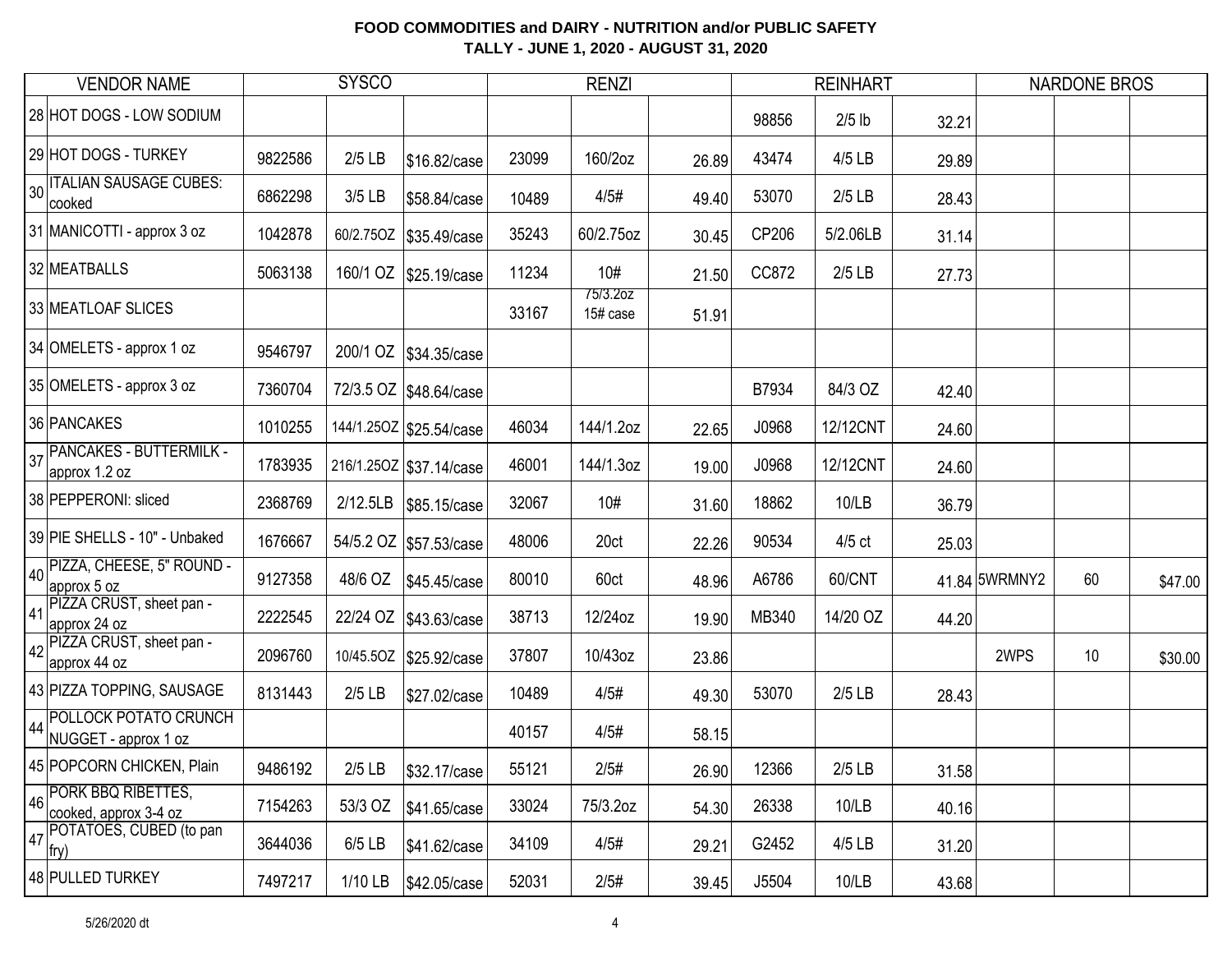| <b>VENDOR NAME</b>                                                     |         | <b>SYSCO</b> |                           |       | <b>RENZI</b>         |       |       | <b>REINHART</b> |       |               | <b>NARDONE BROS</b> |         |
|------------------------------------------------------------------------|---------|--------------|---------------------------|-------|----------------------|-------|-------|-----------------|-------|---------------|---------------------|---------|
| 28 HOT DOGS - LOW SODIUM                                               |         |              |                           |       |                      |       | 98856 | $2/5$ lb        | 32.21 |               |                     |         |
| 29 HOT DOGS - TURKEY                                                   | 9822586 | $2/5$ LB     | \$16.82/case              | 23099 | 160/2oz              | 26.89 | 43474 | 4/5 LB          | 29.89 |               |                     |         |
| 30 TALIAN SAUSAGE CUBES:<br>cooked                                     | 6862298 | $3/5$ LB     | \$58.84/case              | 10489 | 4/5#                 | 49.40 | 53070 | $2/5$ LB        | 28.43 |               |                     |         |
| 31 MANICOTTI - approx 3 oz                                             | 1042878 |              | 60/2.750Z \$35.49/case    | 35243 | 60/2.75oz            | 30.45 | CP206 | 5/2.06LB        | 31.14 |               |                     |         |
| 32 MEATBALLS                                                           | 5063138 |              | 160/1 OZ   \$25.19/case   | 11234 | 10#                  | 21.50 | CC872 | $2/5$ LB        | 27.73 |               |                     |         |
| 33 MEATLOAF SLICES                                                     |         |              |                           | 33167 | 75/3.2oz<br>15# case | 51.91 |       |                 |       |               |                     |         |
| 34 OMELETS - approx 1 oz                                               | 9546797 |              | 200/1 OZ   \$34.35/case   |       |                      |       |       |                 |       |               |                     |         |
| 35 OMELETS - approx 3 oz                                               | 7360704 |              | 72/3.5 OZ   \$48.64/case  |       |                      |       | B7934 | 84/3 OZ         | 42.40 |               |                     |         |
| 36 PANCAKES                                                            | 1010255 |              | 144/1.25OZ \$25.54/case   | 46034 | 144/1.2oz            | 22.65 | J0968 | 12/12CNT        | 24.60 |               |                     |         |
| PANCAKES - BUTTERMILK -<br>37<br>approx 1.2 oz                         | 1783935 |              | 216/1.25OZ   \$37.14/case | 46001 | 144/1.3oz            | 19.00 | J0968 | 12/12CNT        | 24.60 |               |                     |         |
| 38 PEPPERONI: sliced                                                   | 2368769 | 2/12.5LB     | \$85.15/case              | 32067 | 10#                  | 31.60 | 18862 | 10/LB           | 36.79 |               |                     |         |
| 39 PIE SHELLS - 10" - Unbaked                                          | 1676667 |              | 54/5.2 OZ \$57.53/case    | 48006 | 20ct                 | 22.26 | 90534 | $4/5$ ct        | 25.03 |               |                     |         |
| 40 PIZZA, CHEESE, 5" ROUND -<br>approx 5 oz                            | 9127358 | 48/6 OZ      | \$45.45/case              | 80010 | 60ct                 | 48.96 | A6786 | 60/CNT          |       | 41.84 5WRMNY2 | 60                  | \$47.00 |
| 41 PIZZA CRUST, sheet pan -<br>approx 24 oz                            | 2222545 |              | 22/24 OZ \$43.63/case     | 38713 | 12/24oz              | 19.90 | MB340 | 14/20 OZ        | 44.20 |               |                     |         |
| 42 PIZZA CRUST, sheet pan -<br>approx 44 oz                            | 2096760 |              | 10/45.50Z \$25.92/case    | 37807 | 10/43oz              | 23.86 |       |                 |       | 2WPS          | 10                  | \$30.00 |
| 43 PIZZA TOPPING, SAUSAGE                                              | 8131443 | $2/5$ LB     | \$27.02/case              | 10489 | 4/5#                 | 49.30 | 53070 | $2/5$ LB        | 28.43 |               |                     |         |
| 44 POLLOCK POTATO CRUNCH<br>NUGGET - approx 1 oz                       |         |              |                           | 40157 | 4/5#                 | 58.15 |       |                 |       |               |                     |         |
| 45 POPCORN CHICKEN, Plain                                              | 9486192 | $2/5$ LB     | \$32.17/case              | 55121 | 2/5#                 | 26.90 | 12366 | $2/5$ LB        | 31.58 |               |                     |         |
| 46 PORK BBQ RIBETTES,<br>cooked, approx 3-4 oz                         | 7154263 | 53/3 OZ      | \$41.65/case              | 33024 | 75/3.2oz             | 54.30 | 26338 | 10/LB           | 40.16 |               |                     |         |
| $\left  \frac{1}{47} \right $ POTATOES, CUBED (to pan<br>$ fry\rangle$ | 3644036 | 6/5 LB       | \$41.62/case              | 34109 | 4/5#                 | 29.21 | G2452 | 4/5 LB          | 31.20 |               |                     |         |
| 48 PULLED TURKEY                                                       | 7497217 | 1/10 LB      | \$42.05/case              | 52031 | 2/5#                 | 39.45 | J5504 | 10/LB           | 43.68 |               |                     |         |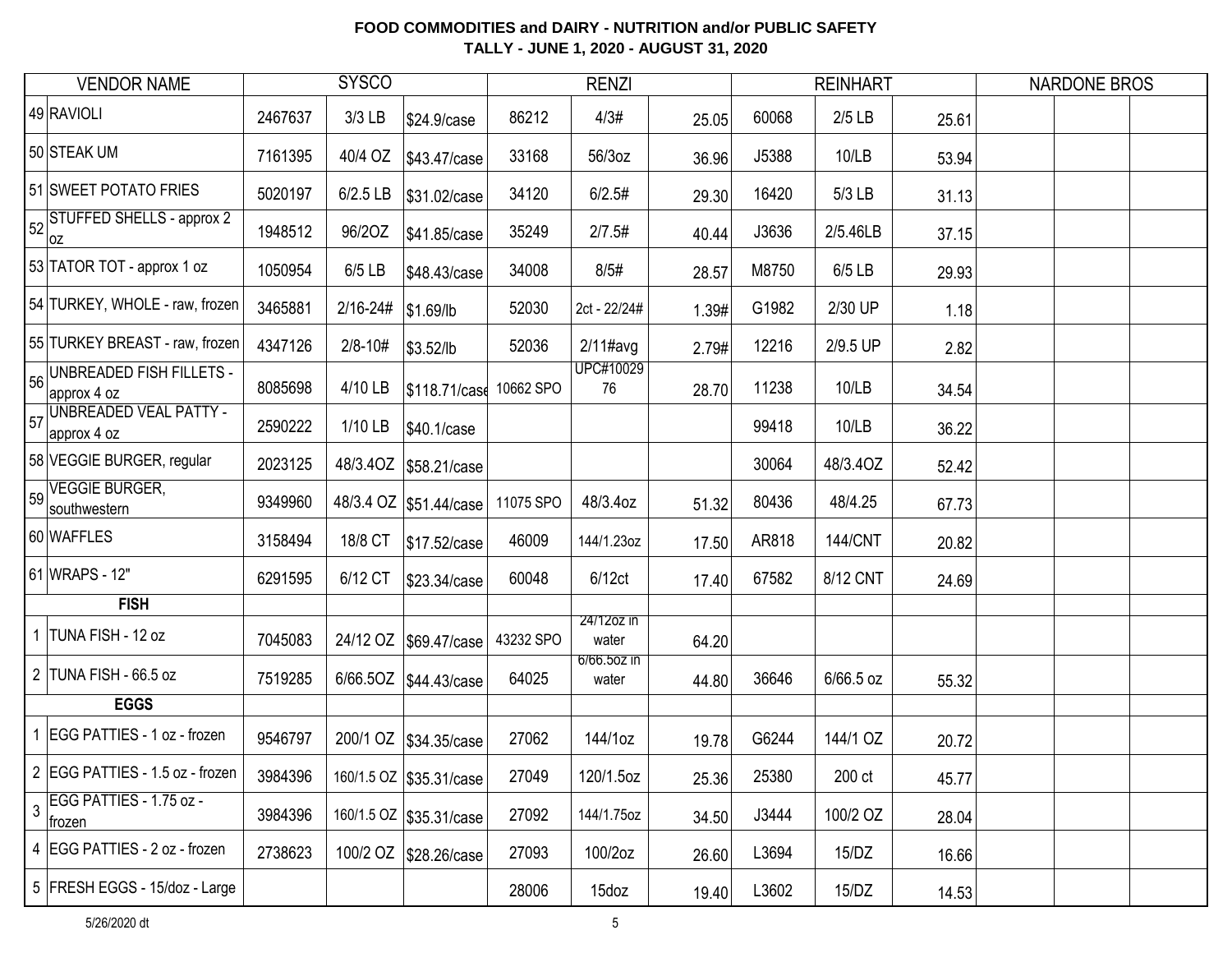|    | <b>VENDOR NAME</b>                              |         | <b>SYSCO</b> |                         |           | <b>RENZI</b>         |       |       | <b>REINHART</b> |       | <b>NARDONE BROS</b> |  |
|----|-------------------------------------------------|---------|--------------|-------------------------|-----------|----------------------|-------|-------|-----------------|-------|---------------------|--|
|    | 49 RAVIOLI                                      | 2467637 | $3/3$ LB     | \$24.9/case             | 86212     | 4/3#                 | 25.05 | 60068 | $2/5$ LB        | 25.61 |                     |  |
|    | 50 STEAK UM                                     | 7161395 | 40/4 OZ      | \$43.47/case            | 33168     | 56/3oz               | 36.96 | J5388 | 10/LB           | 53.94 |                     |  |
|    | 51 SWEET POTATO FRIES                           | 5020197 | 6/2.5 LB     | \$31.02/case            | 34120     | 6/2.5#               | 29.30 | 16420 | 5/3 LB          | 31.13 |                     |  |
|    | 52 STUFFED SHELLS - approx 2<br> OZ             | 1948512 | 96/20Z       | \$41.85/case            | 35249     | 2/7.5#               | 40.44 | J3636 | 2/5.46LB        | 37.15 |                     |  |
|    | 53 TATOR TOT - approx 1 oz                      | 1050954 | $6/5$ LB     | \$48.43/case            | 34008     | 8/5#                 | 28.57 | M8750 | 6/5 LB          | 29.93 |                     |  |
|    | 54 TURKEY, WHOLE - raw, frozen                  | 3465881 | $2/16 - 24#$ | \$1.69/lb               | 52030     | 2ct - 22/24#         | 1.39# | G1982 | 2/30 UP         | 1.18  |                     |  |
|    | 55 TURKEY BREAST - raw, frozen                  | 4347126 | $2/8 - 10#$  | \$3.52/lb               | 52036     | $2/11$ #avg          | 2.79# | 12216 | 2/9.5 UP        | 2.82  |                     |  |
| 56 | <b>UNBREADED FISH FILLETS -</b><br>approx 4 oz  | 8085698 | 4/10 LB      | \$118.71/case           | 10662 SPO | UPC#10029<br>76      | 28.70 | 11238 | 10/LB           | 34.54 |                     |  |
|    | 57 UNBREADED VEAL PATTY -<br>approx 4 oz        | 2590222 | 1/10 LB      | \$40.1/case             |           |                      |       | 99418 | 10/LB           | 36.22 |                     |  |
|    | 58 VEGGIE BURGER, regular                       | 2023125 |              | 48/3.40Z \$58.21/case   |           |                      |       | 30064 | 48/3.40Z        | 52.42 |                     |  |
|    | $\frac{1}{59}$ VEGGIE BURGER,<br>southwestern   | 9349960 |              | 48/3.4 OZ \$51.44/case  | 11075 SPO | 48/3.4oz             | 51.32 | 80436 | 48/4.25         | 67.73 |                     |  |
|    | 60 WAFFLES                                      | 3158494 | 18/8 CT      | \$17.52/case            | 46009     | 144/1.23oz           | 17.50 | AR818 | <b>144/CNT</b>  | 20.82 |                     |  |
|    | 61 WRAPS - 12"                                  | 6291595 | 6/12 CT      | \$23.34/case            | 60048     | 6/12ct               | 17.40 | 67582 | 8/12 CNT        | 24.69 |                     |  |
|    | <b>FISH</b>                                     |         |              |                         |           |                      |       |       |                 |       |                     |  |
|    | 1 TUNA FISH - 12 oz                             | 7045083 |              | 24/12 OZ   \$69.47/case | 43232 SPO | 24/12oz in<br>water  | 64.20 |       |                 |       |                     |  |
|    | 2 TUNA FISH - 66.5 oz                           | 7519285 |              | 6/66.50Z   \$44.43/case | 64025     | 6/66.50Z IN<br>water | 44.80 | 36646 | 6/66.5 oz       | 55.32 |                     |  |
|    | <b>EGGS</b>                                     |         |              |                         |           |                      |       |       |                 |       |                     |  |
|    | EGG PATTIES - 1 oz - frozen                     | 9546797 | 200/1 OZ     | \$34.35/case            | 27062     | 144/1oz              | 19.78 | G6244 | 144/1 OZ        | 20.72 |                     |  |
|    | 2 EGG PATTIES - 1.5 oz - frozen                 | 3984396 |              | 160/1.5 OZ \$35.31/case | 27049     | 120/1.5oz            | 25.36 | 25380 | 200 ct          | 45.77 |                     |  |
|    | $\frac{1}{3}$ EGG PATTIES - 1.75 oz -<br>frozen | 3984396 |              | 160/1.5 OZ \$35.31/case | 27092     | 144/1.75oz           | 34.50 | J3444 | 100/2 OZ        | 28.04 |                     |  |
|    | 4 EGG PATTIES - 2 oz - frozen                   | 2738623 |              | 100/2 OZ \$28.26/case   | 27093     | 100/2oz              | 26.60 | L3694 | 15/DZ           | 16.66 |                     |  |
|    | 5 FRESH EGGS - 15/doz - Large                   |         |              |                         | 28006     | 15doz                | 19.40 | L3602 | 15/DZ           | 14.53 |                     |  |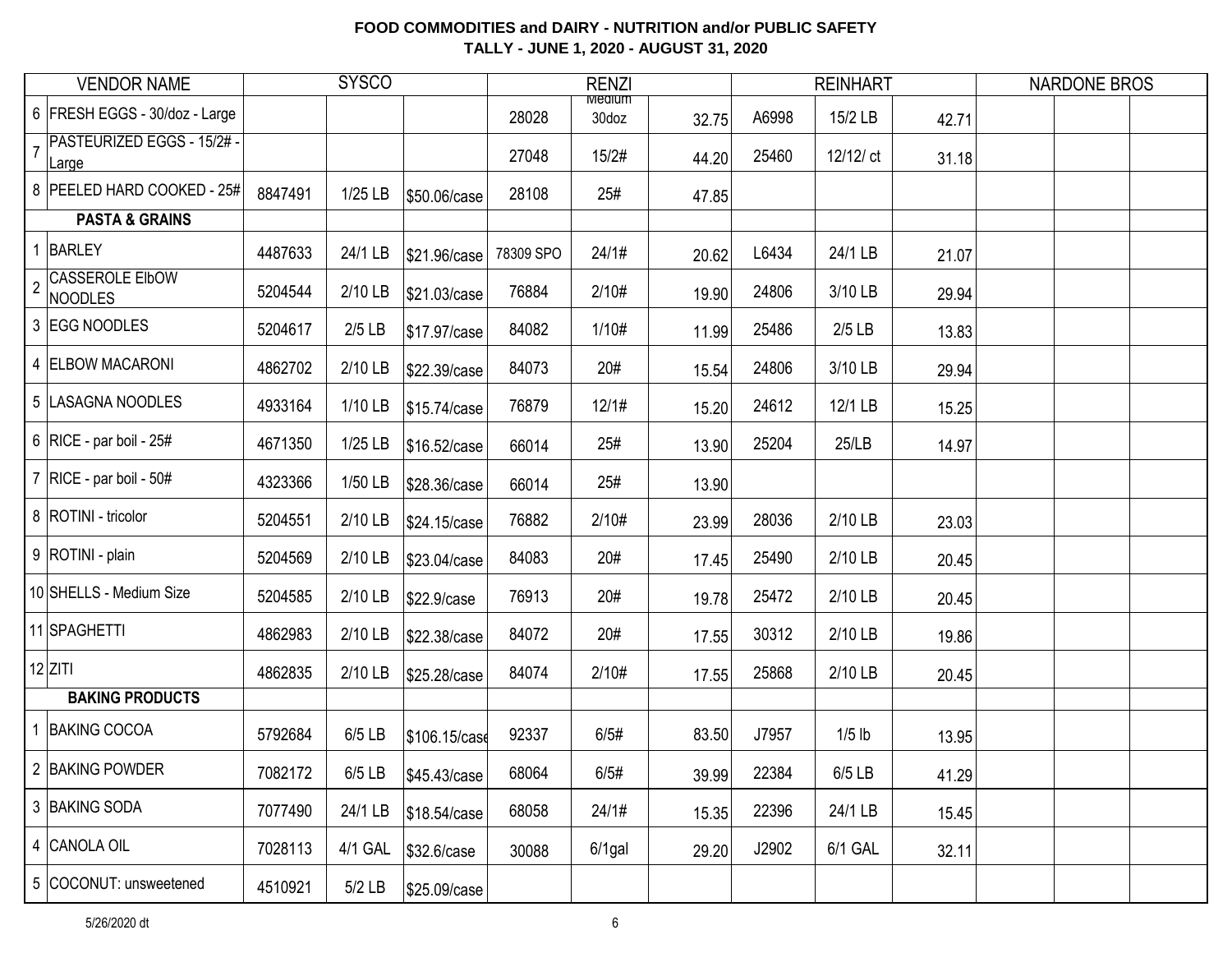|                | <b>VENDOR NAME</b>                  |         | <b>SYSCO</b> |               |           | <b>RENZI</b>           |       |       | <b>REINHART</b> |       | <b>NARDONE BROS</b> |  |
|----------------|-------------------------------------|---------|--------------|---------------|-----------|------------------------|-------|-------|-----------------|-------|---------------------|--|
|                | 6 FRESH EGGS - 30/doz - Large       |         |              |               | 28028     | <b>Mealum</b><br>30doz | 32.75 | A6998 | 15/2 LB         | 42.71 |                     |  |
|                | PASTEURIZED EGGS - 15/2# -<br>Large |         |              |               | 27048     | 15/2#                  | 44.20 | 25460 | 12/12/ ct       | 31.18 |                     |  |
|                | 8   PEELED HARD COOKED - 25#        | 8847491 | $1/25$ LB    | \$50.06/case  | 28108     | 25#                    | 47.85 |       |                 |       |                     |  |
|                | <b>PASTA &amp; GRAINS</b>           |         |              |               |           |                        |       |       |                 |       |                     |  |
|                | 1 BARLEY                            | 4487633 | 24/1 LB      | \$21.96/case  | 78309 SPO | 24/1#                  | 20.62 | L6434 | 24/1 LB         | 21.07 |                     |  |
| $\overline{2}$ | <b>CASSEROLE EIbOW</b><br>NOODLES   | 5204544 | 2/10 LB      | \$21.03/case  | 76884     | 2/10#                  | 19.90 | 24806 | 3/10 LB         | 29.94 |                     |  |
|                | 3 EGG NOODLES                       | 5204617 | $2/5$ LB     | \$17.97/case  | 84082     | 1/10#                  | 11.99 | 25486 | $2/5$ LB        | 13.83 |                     |  |
|                | 4 ELBOW MACARONI                    | 4862702 | 2/10 LB      | \$22.39/case  | 84073     | 20#                    | 15.54 | 24806 | 3/10 LB         | 29.94 |                     |  |
|                | 5  LASAGNA NOODLES                  | 4933164 | 1/10 LB      | \$15.74/case  | 76879     | 12/1#                  | 15.20 | 24612 | 12/1 LB         | 15.25 |                     |  |
|                | 6   RICE - par boil - $25#$         | 4671350 | $1/25$ LB    | \$16.52/case  | 66014     | 25#                    | 13.90 | 25204 | 25/LB           | 14.97 |                     |  |
|                | 7   RICE - par boil - $50#$         | 4323366 | 1/50 LB      | \$28.36/case  | 66014     | 25#                    | 13.90 |       |                 |       |                     |  |
|                | 8 ROTINI - tricolor                 | 5204551 | 2/10 LB      | \$24.15/case  | 76882     | 2/10#                  | 23.99 | 28036 | 2/10 LB         | 23.03 |                     |  |
|                | 9 ROTINI - plain                    | 5204569 | 2/10 LB      | \$23.04/case  | 84083     | 20#                    | 17.45 | 25490 | 2/10 LB         | 20.45 |                     |  |
|                | 10 SHELLS - Medium Size             | 5204585 | 2/10 LB      | \$22.9/case   | 76913     | 20#                    | 19.78 | 25472 | 2/10 LB         | 20.45 |                     |  |
|                | 11 SPAGHETTI                        | 4862983 | 2/10 LB      | \$22.38/case  | 84072     | 20#                    | 17.55 | 30312 | 2/10 LB         | 19.86 |                     |  |
|                | $12$ ZITI                           | 4862835 | 2/10 LB      | \$25.28/case  | 84074     | 2/10#                  | 17.55 | 25868 | 2/10 LB         | 20.45 |                     |  |
|                | <b>BAKING PRODUCTS</b>              |         |              |               |           |                        |       |       |                 |       |                     |  |
|                | 1 BAKING COCOA                      | 5792684 | $6/5$ LB     | \$106.15/case | 92337     | 6/5#                   | 83.50 | J7957 | $1/5$ lb        | 13.95 |                     |  |
|                | 2 BAKING POWDER                     | 7082172 | 6/5 LB       | \$45.43/case  | 68064     | 6/5#                   | 39.99 | 22384 | 6/5 LB          | 41.29 |                     |  |
|                | 3 BAKING SODA                       | 7077490 | 24/1 LB      | \$18.54/case  | 68058     | 24/1#                  | 15.35 | 22396 | 24/1 LB         | 15.45 |                     |  |
|                | 4 CANOLA OIL                        | 7028113 | 4/1 GAL      | \$32.6/case   | 30088     | $6/1$ gal              | 29.20 | J2902 | 6/1 GAL         | 32.11 |                     |  |
|                | 5 COCONUT: unsweetened              | 4510921 | $5/2$ LB     | \$25.09/case  |           |                        |       |       |                 |       |                     |  |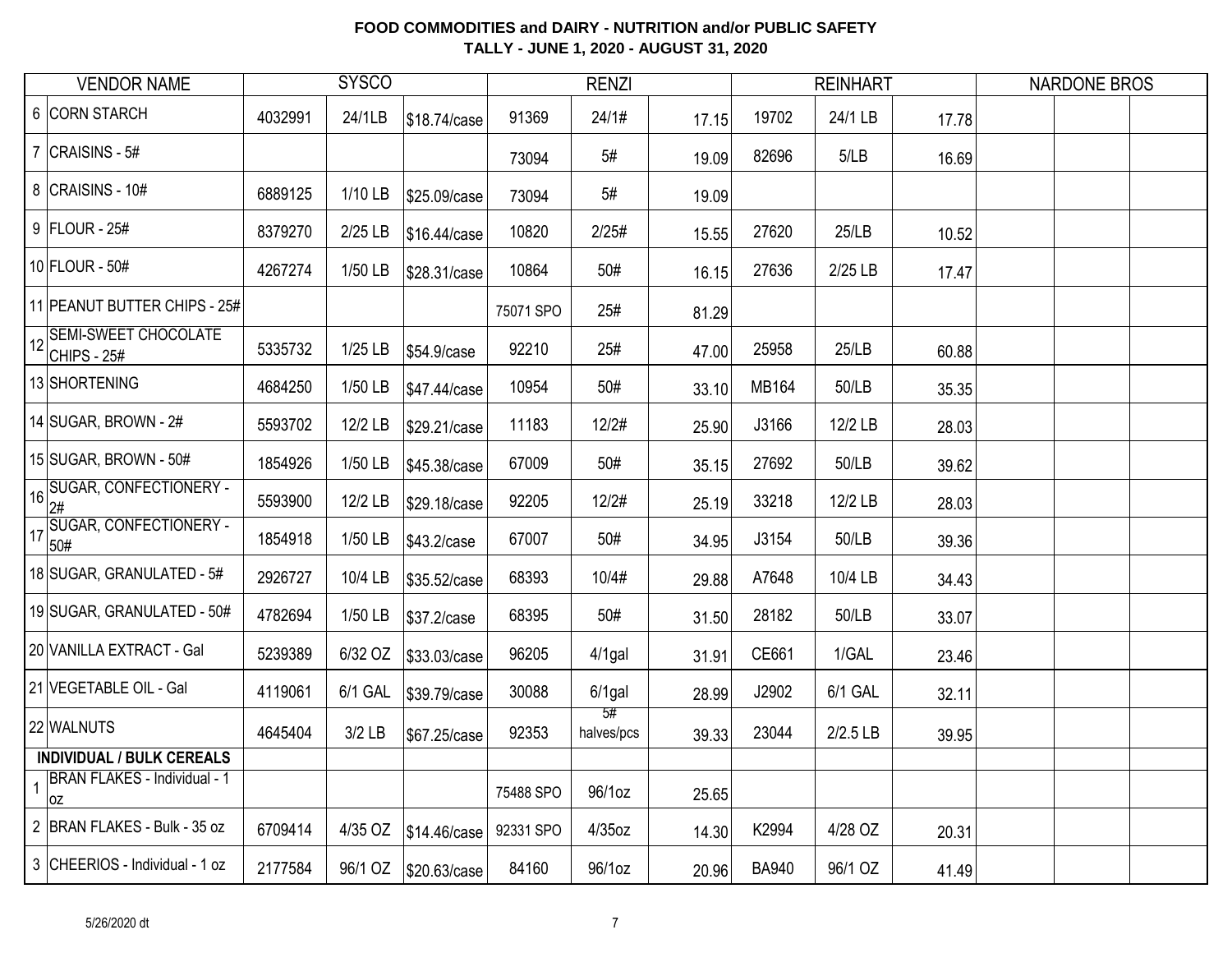| <b>VENDOR NAME</b>                        |         | <b>SYSCO</b> |              |           | <b>RENZI</b>     |       |              | <b>REINHART</b> |       | <b>NARDONE BROS</b> |  |
|-------------------------------------------|---------|--------------|--------------|-----------|------------------|-------|--------------|-----------------|-------|---------------------|--|
| 6 CORN STARCH                             | 4032991 | 24/1LB       | \$18.74/case | 91369     | 24/1#            | 17.15 | 19702        | 24/1 LB         | 17.78 |                     |  |
| 7 $ CRAISINS - 5#$                        |         |              |              | 73094     | 5#               | 19.09 | 82696        | 5/LB            | 16.69 |                     |  |
| 8 CRAISINS - 10#                          | 6889125 | 1/10 LB      | \$25.09/case | 73094     | 5#               | 19.09 |              |                 |       |                     |  |
| 9 FLOUR - 25#                             | 8379270 | 2/25 LB      | \$16.44/case | 10820     | 2/25#            | 15.55 | 27620        | 25/LB           | 10.52 |                     |  |
| 10 FLOUR - 50#                            | 4267274 | 1/50 LB      | \$28.31/case | 10864     | 50#              | 16.15 | 27636        | 2/25 LB         | 17.47 |                     |  |
| 11 PEANUT BUTTER CHIPS - 25#              |         |              |              | 75071 SPO | 25#              | 81.29 |              |                 |       |                     |  |
| 12 SEMI-SWEET CHOCOLATE<br>CHIPS - $25#$  | 5335732 | $1/25$ LB    | \$54.9/case  | 92210     | 25#              | 47.00 | 25958        | 25/LB           | 60.88 |                     |  |
| 13 SHORTENING                             | 4684250 | 1/50 LB      | \$47.44/case | 10954     | 50#              | 33.10 | MB164        | 50/LB           | 35.35 |                     |  |
| 14 SUGAR, BROWN - 2#                      | 5593702 | 12/2 LB      | \$29.21/case | 11183     | 12/2#            | 25.90 | J3166        | 12/2 LB         | 28.03 |                     |  |
| 15 SUGAR, BROWN - 50#                     | 1854926 | 1/50 LB      | \$45.38/case | 67009     | 50#              | 35.15 | 27692        | 50/LB           | 39.62 |                     |  |
| 16 SUGAR, CONFECTIONERY -                 | 5593900 | 12/2 LB      | \$29.18/case | 92205     | 12/2#            | 25.19 | 33218        | 12/2 LB         | 28.03 |                     |  |
| 17 SUGAR, CONFECTIONERY -                 | 1854918 | 1/50 LB      | \$43.2/case  | 67007     | 50#              | 34.95 | J3154        | 50/LB           | 39.36 |                     |  |
| 18 SUGAR, GRANULATED - 5#                 | 2926727 | 10/4 LB      | \$35.52/case | 68393     | 10/4#            | 29.88 | A7648        | 10/4 LB         | 34.43 |                     |  |
| 19 SUGAR, GRANULATED - 50#                | 4782694 | 1/50 LB      | \$37.2/case  | 68395     | 50#              | 31.50 | 28182        | 50/LB           | 33.07 |                     |  |
| 20 VANILLA EXTRACT - Gal                  | 5239389 | 6/32 OZ      | \$33.03/case | 96205     | $4/1$ gal        | 31.91 | CE661        | 1/GAL           | 23.46 |                     |  |
| 21 VEGETABLE OIL - Gal                    | 4119061 | 6/1 GAL      | \$39.79/case | 30088     | $6/1$ gal        | 28.99 | J2902        | 6/1 GAL         | 32.11 |                     |  |
| 22 WALNUTS                                | 4645404 | $3/2$ LB     | \$67.25/case | 92353     | 5#<br>halves/pcs | 39.33 | 23044        | 2/2.5 LB        | 39.95 |                     |  |
| <b>INDIVIDUAL / BULK CEREALS</b>          |         |              |              |           |                  |       |              |                 |       |                     |  |
| <b>BRAN FLAKES - Individual - 1</b><br>0Z |         |              |              | 75488 SPO | 96/1oz           | 25.65 |              |                 |       |                     |  |
| 2 BRAN FLAKES - Bulk - 35 oz              | 6709414 | 4/35 OZ      | \$14.46/case | 92331 SPO | $4/35$ oz        | 14.30 | K2994        | 4/28 OZ         | 20.31 |                     |  |
| 3 CHEERIOS - Individual - 1 oz            | 2177584 | 96/1 OZ      | \$20.63/case | 84160     | 96/1oz           | 20.96 | <b>BA940</b> | 96/1 OZ         | 41.49 |                     |  |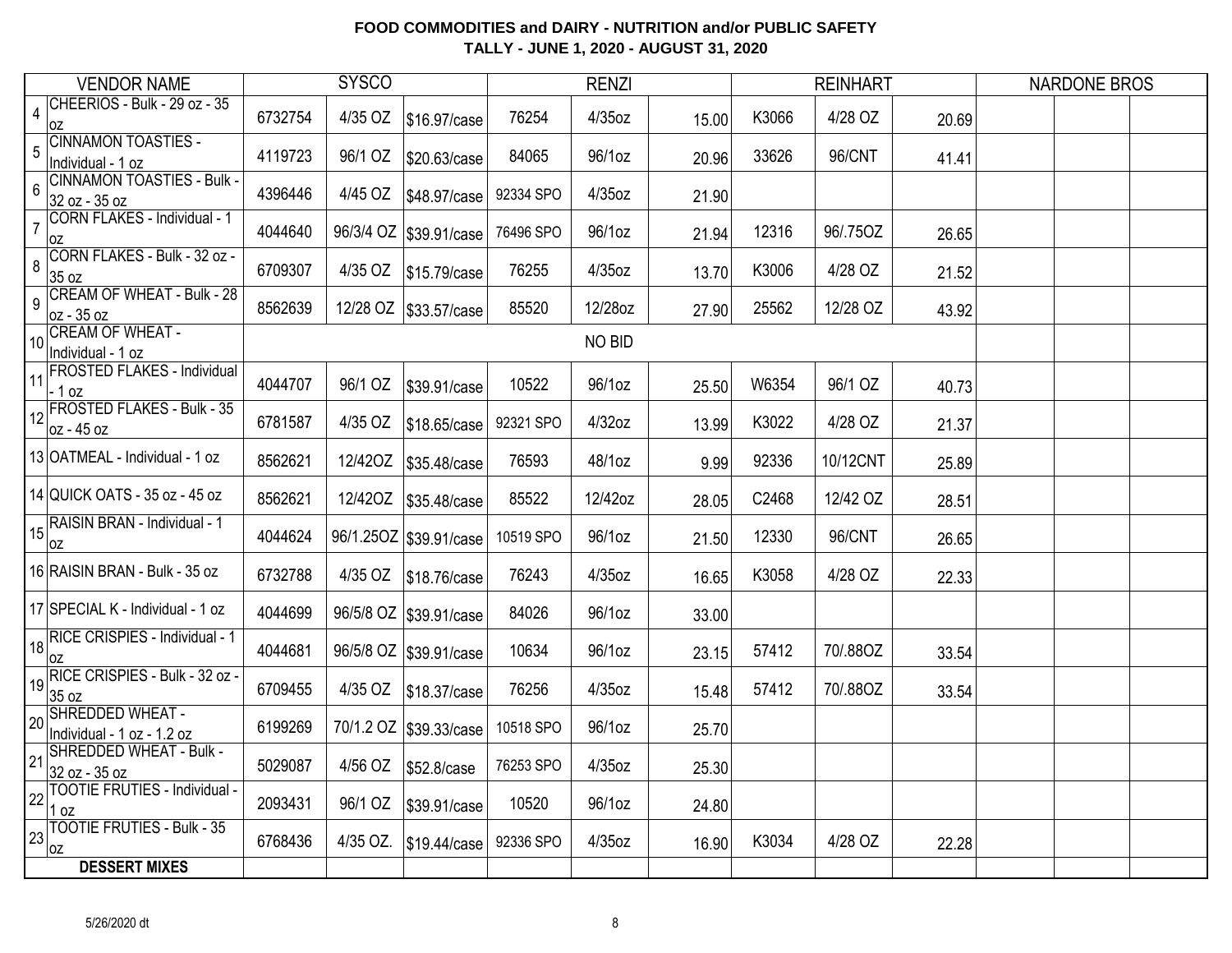| <b>VENDOR NAME</b>                                      |         | <b>SYSCO</b> |                          |           | <b>RENZI</b>  |       |       | <b>REINHART</b> |       | <b>NARDONE BROS</b> |  |
|---------------------------------------------------------|---------|--------------|--------------------------|-----------|---------------|-------|-------|-----------------|-------|---------------------|--|
| CHEERIOS - Bulk - 29 oz - 35<br>$\overline{4}$<br>0Z    | 6732754 | 4/35 OZ      | \$16.97/case             | 76254     | 4/35oz        | 15.00 | K3066 | 4/28 OZ         | 20.69 |                     |  |
| <b>CINNAMON TOASTIES -</b><br>5<br>Individual - 1 oz    | 4119723 | 96/1 OZ      | \$20.63/case             | 84065     | 96/1oz        | 20.96 | 33626 | 96/CNT          | 41.41 |                     |  |
| <b>CINNAMON TOASTIES - Bulk -</b><br>6<br>32 oz - 35 oz | 4396446 | 4/45 OZ      | \$48.97/case             | 92334 SPO | 4/35oz        | 21.90 |       |                 |       |                     |  |
| CORN FLAKES - Individual - 1<br>$\overline{7}$<br>0Z    | 4044640 |              | 96/3/4 OZ   \$39.91/case | 76496 SPO | 96/1oz        | 21.94 | 12316 | 96/.75OZ        | 26.65 |                     |  |
| CORN FLAKES - Bulk - 32 oz -<br>8<br>35 oz              | 6709307 | 4/35 OZ      | \$15.79/case             | 76255     | 4/35oz        | 13.70 | K3006 | 4/28 OZ         | 21.52 |                     |  |
| <b>CREAM OF WHEAT - Bulk - 28</b><br>9<br>oz - 35 oz    | 8562639 |              | 12/28 OZ \$33.57/case    | 85520     | 12/28oz       | 27.90 | 25562 | 12/28 OZ        | 43.92 |                     |  |
| 10 CREAM OF WHEAT -<br>Individual - 1 oz                |         |              |                          |           | <b>NO BID</b> |       |       |                 |       |                     |  |
| <b>FROSTED FLAKES - Individual</b><br>11<br>$-1$ oz     | 4044707 | 96/1 OZ      | \$39.91/case             | 10522     | 96/1oz        | 25.50 | W6354 | 96/1 OZ         | 40.73 |                     |  |
| <b>FROSTED FLAKES - Bulk - 35</b><br>12<br>oz - 45 oz   | 6781587 | 4/35 OZ      | \$18.65/case             | 92321 SPO | 4/32oz        | 13.99 | K3022 | 4/28 OZ         | 21.37 |                     |  |
| 13 OATMEAL - Individual - 1 oz                          | 8562621 | 12/42OZ      | \$35.48/case             | 76593     | 48/1oz        | 9.99  | 92336 | 10/12CNT        | 25.89 |                     |  |
| 14 QUICK OATS - 35 oz - 45 oz                           | 8562621 | 12/42OZ      | \$35.48/case             | 85522     | 12/42oz       | 28.05 | C2468 | 12/42 OZ        | 28.51 |                     |  |
| RAISIN BRAN - Individual - 1<br>15<br>0Z                | 4044624 |              | 96/1.25OZ   \$39.91/case | 10519 SPO | 96/1oz        | 21.50 | 12330 | 96/CNT          | 26.65 |                     |  |
| 16 RAISIN BRAN - Bulk - 35 oz                           | 6732788 | 4/35 OZ      | \$18.76/case             | 76243     | 4/35oz        | 16.65 | K3058 | 4/28 OZ         | 22.33 |                     |  |
| 17 SPECIAL K - Individual - 1 oz                        | 4044699 |              | 96/5/8 OZ   \$39.91/case | 84026     | 96/1oz        | 33.00 |       |                 |       |                     |  |
| 18 RICE CRISPIES - Individual - 1<br>0Z                 | 4044681 |              | 96/5/8 OZ   \$39.91/case | 10634     | 96/1oz        | 23.15 | 57412 | 70/.88OZ        | 33.54 |                     |  |
| RICE CRISPIES - Bulk - 32 oz -<br>35 oz                 | 6709455 | 4/35 OZ      | \$18.37/case             | 76256     | 4/35oz        | 15.48 | 57412 | 70/.88OZ        | 33.54 |                     |  |
| 20 SHREDDED WHEAT -<br>Individual - 1 oz - 1.2 oz       | 6199269 |              | 70/1.2 OZ \$39.33/case   | 10518 SPO | 96/1oz        | 25.70 |       |                 |       |                     |  |
| SHREDDED WHEAT - Bulk -<br>21<br>32 oz - 35 oz          | 5029087 | 4/56 OZ      | \$52.8/case              | 76253 SPO | 4/35oz        | 25.30 |       |                 |       |                     |  |
| <b>TOOTIE FRUTIES - Individual -</b><br>22<br>1 oz      | 2093431 | 96/1 OZ      | \$39.91/case             | 10520     | 96/1oz        | 24.80 |       |                 |       |                     |  |
| <b>TOOTIE FRUTIES - Bulk - 35</b><br>23<br>0Z           | 6768436 | 4/35 OZ.     | \$19.44/case             | 92336 SPO | 4/35oz        | 16.90 | K3034 | 4/28 OZ         | 22.28 |                     |  |
| <b>DESSERT MIXES</b>                                    |         |              |                          |           |               |       |       |                 |       |                     |  |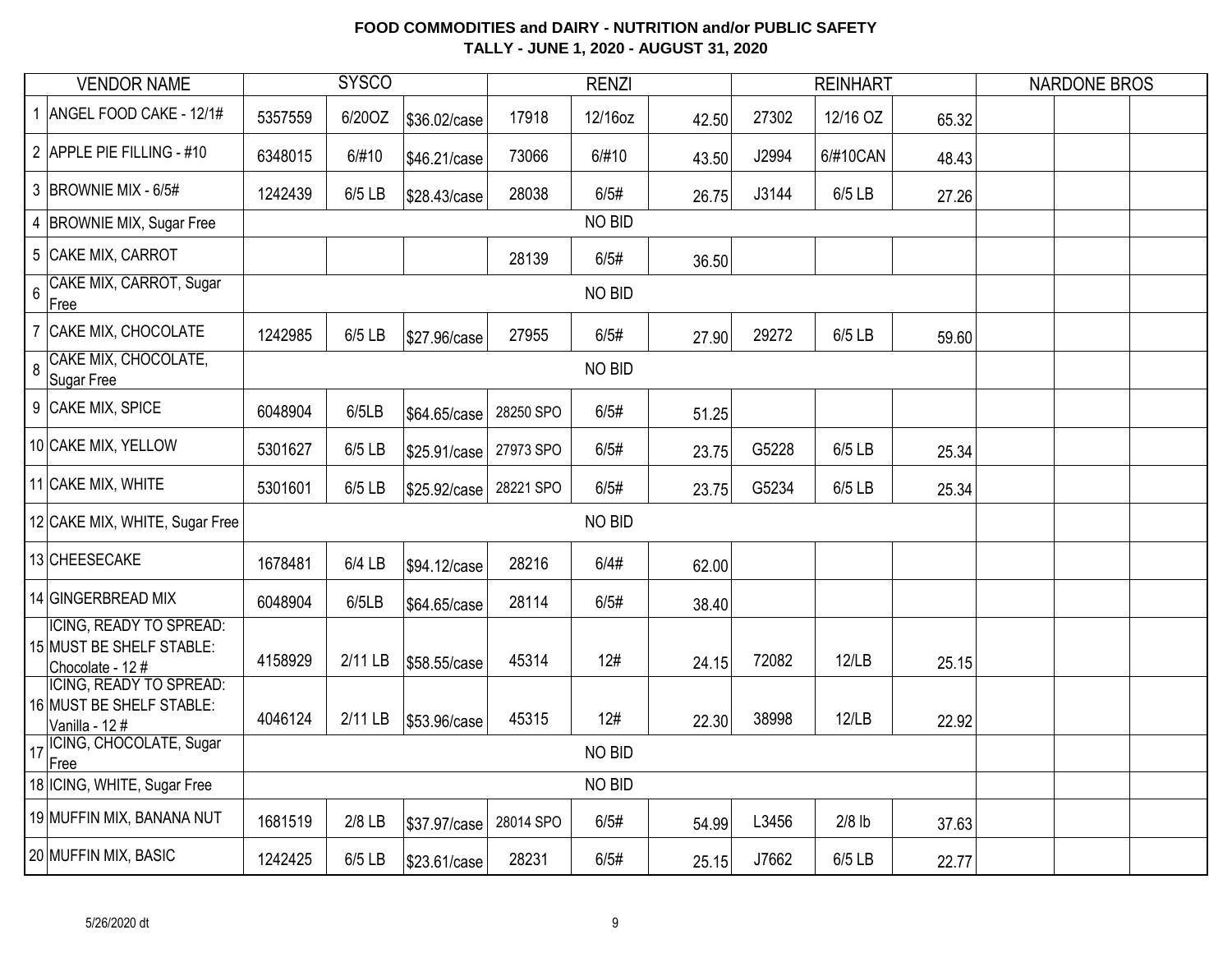|                | <b>VENDOR NAME</b>                                                             |         | <b>SYSCO</b> |              |           | <b>RENZI</b>  |       |       | <b>REINHART</b> |       | <b>NARDONE BROS</b> |  |
|----------------|--------------------------------------------------------------------------------|---------|--------------|--------------|-----------|---------------|-------|-------|-----------------|-------|---------------------|--|
|                | 1 ANGEL FOOD CAKE - 12/1#                                                      | 5357559 | 6/20OZ       | \$36.02/case | 17918     | 12/16oz       | 42.50 | 27302 | 12/16 OZ        | 65.32 |                     |  |
|                | 2 APPLE PIE FILLING - #10                                                      | 6348015 | 6/#10        | \$46.21/case | 73066     | 6/#10         | 43.50 | J2994 | 6/#10CAN        | 48.43 |                     |  |
|                | 3 BROWNIE MIX - 6/5#                                                           | 1242439 | 6/5 LB       | \$28.43/case | 28038     | 6/5#          | 26.75 | J3144 | 6/5 LB          | 27.26 |                     |  |
|                | 4 BROWNIE MIX, Sugar Free                                                      |         |              |              |           | NO BID        |       |       |                 |       |                     |  |
|                | 5 CAKE MIX, CARROT                                                             |         |              |              | 28139     | 6/5#          | 36.50 |       |                 |       |                     |  |
| $\overline{6}$ | CAKE MIX, CARROT, Sugar<br>Free                                                |         |              |              |           | NO BID        |       |       |                 |       |                     |  |
|                | 7 CAKE MIX, CHOCOLATE                                                          | 1242985 | 6/5 LB       | \$27.96/case | 27955     | 6/5#          | 27.90 | 29272 | 6/5 LB          | 59.60 |                     |  |
| $\overline{8}$ | CAKE MIX, CHOCOLATE,<br>Sugar Free                                             |         |              |              |           | <b>NO BID</b> |       |       |                 |       |                     |  |
|                | 9 CAKE MIX, SPICE                                                              | 6048904 | 6/5LB        | \$64.65/case | 28250 SPO | 6/5#          | 51.25 |       |                 |       |                     |  |
|                | 10 CAKE MIX, YELLOW                                                            | 5301627 | 6/5 LB       | \$25.91/case | 27973 SPO | 6/5#          | 23.75 | G5228 | 6/5 LB          | 25.34 |                     |  |
|                | 11 CAKE MIX, WHITE                                                             | 5301601 | $6/5$ LB     | \$25.92/case | 28221 SPO | 6/5#          | 23.75 | G5234 | 6/5 LB          | 25.34 |                     |  |
|                | 12 CAKE MIX, WHITE, Sugar Free                                                 |         |              |              |           | NO BID        |       |       |                 |       |                     |  |
|                | 13 CHEESECAKE                                                                  | 1678481 | 6/4 LB       | \$94.12/case | 28216     | 6/4#          | 62.00 |       |                 |       |                     |  |
|                | 14 GINGERBREAD MIX                                                             | 6048904 | 6/5LB        | \$64.65/case | 28114     | 6/5#          | 38.40 |       |                 |       |                     |  |
|                | <b>ICING, READY TO SPREAD:</b><br>15 MUST BE SHELF STABLE:<br>Chocolate - 12 # | 4158929 | 2/11 LB      | \$58.55/case | 45314     | 12#           | 24.15 | 72082 | 12/LB           | 25.15 |                     |  |
|                | <b>ICING, READY TO SPREAD:</b><br>16 MUST BE SHELF STABLE:<br>Vanilla - 12#    | 4046124 | 2/11 LB      | \$53.96/case | 45315     | 12#           | 22.30 | 38998 | 12/LB           | 22.92 |                     |  |
|                | 17 ICING, CHOCOLATE, Sugar<br>Free                                             |         |              |              |           | NO BID        |       |       |                 |       |                     |  |
|                | 18 ICING, WHITE, Sugar Free                                                    |         |              |              |           | NO BID        |       |       |                 |       |                     |  |
|                | 19 MUFFIN MIX, BANANA NUT                                                      | 1681519 | $2/8$ LB     | \$37.97/case | 28014 SPO | 6/5#          | 54.99 | L3456 | $2/8$ lb        | 37.63 |                     |  |
|                | 20 MUFFIN MIX, BASIC                                                           | 1242425 | 6/5 LB       | \$23.61/case | 28231     | 6/5#          | 25.15 | J7662 | 6/5 LB          | 22.77 |                     |  |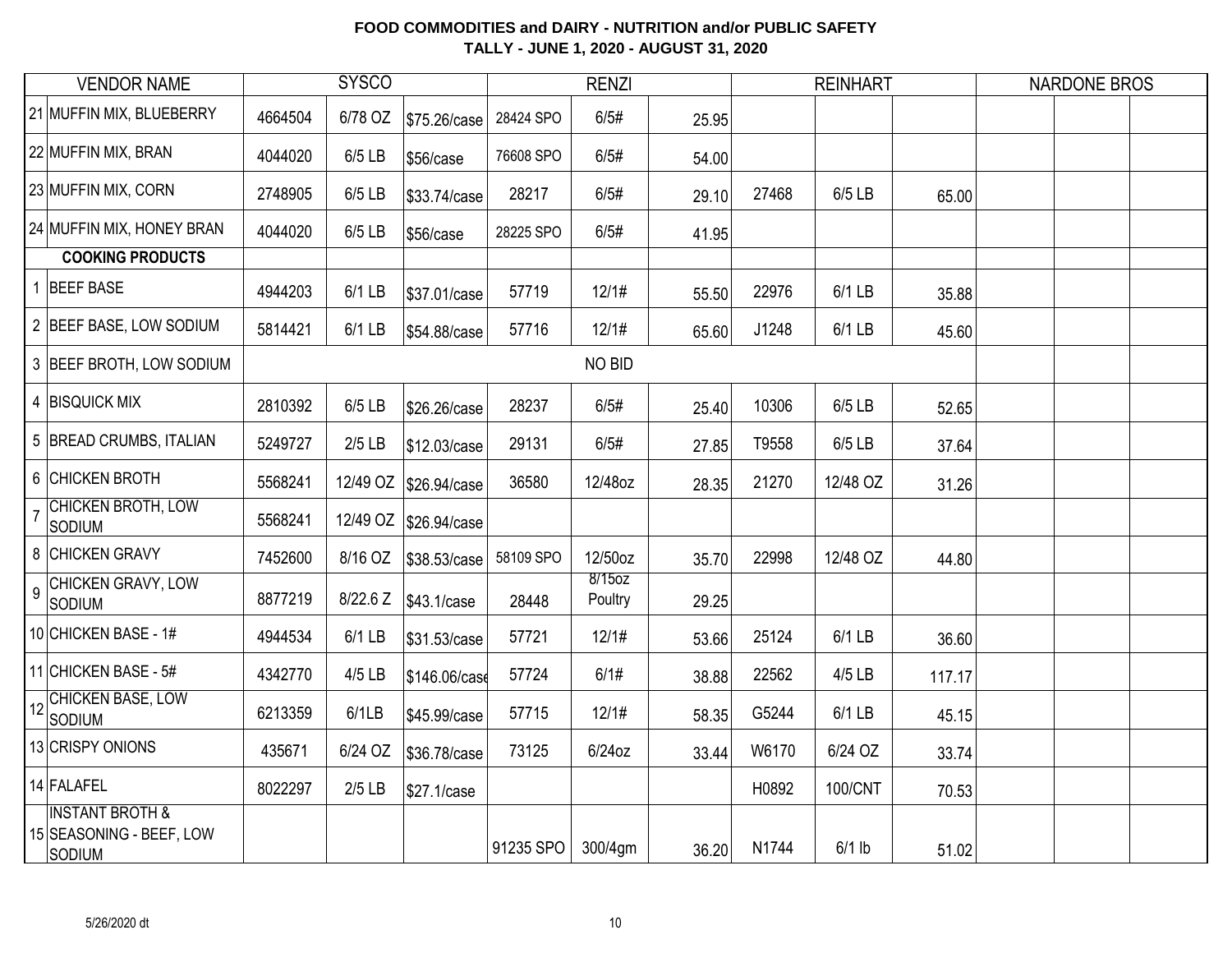|                | <b>VENDOR NAME</b>                                                      |         | <b>SYSCO</b> |               |           | <b>RENZI</b>      |       |       | <b>REINHART</b> |        | <b>NARDONE BROS</b> |  |
|----------------|-------------------------------------------------------------------------|---------|--------------|---------------|-----------|-------------------|-------|-------|-----------------|--------|---------------------|--|
|                | 21 MUFFIN MIX, BLUEBERRY                                                | 4664504 | 6/78 OZ      | \$75.26/case  | 28424 SPO | 6/5#              | 25.95 |       |                 |        |                     |  |
|                | 22 MUFFIN MIX, BRAN                                                     | 4044020 | 6/5 LB       | \$56/case     | 76608 SPO | 6/5#              | 54.00 |       |                 |        |                     |  |
|                | 23 MUFFIN MIX, CORN                                                     | 2748905 | 6/5 LB       | \$33.74/case  | 28217     | 6/5#              | 29.10 | 27468 | 6/5 LB          | 65.00  |                     |  |
|                | 24 MUFFIN MIX, HONEY BRAN                                               | 4044020 | 6/5 LB       | \$56/case     | 28225 SPO | 6/5#              | 41.95 |       |                 |        |                     |  |
|                | <b>COOKING PRODUCTS</b>                                                 |         |              |               |           |                   |       |       |                 |        |                     |  |
|                | 1 BEEF BASE                                                             | 4944203 | 6/1 LB       | \$37.01/case  | 57719     | 12/1#             | 55.50 | 22976 | 6/1 LB          | 35.88  |                     |  |
|                | 2 BEEF BASE, LOW SODIUM                                                 | 5814421 | 6/1 LB       | \$54.88/case  | 57716     | 12/1#             | 65.60 | J1248 | 6/1 LB          | 45.60  |                     |  |
|                | 3 BEEF BROTH, LOW SODIUM                                                |         |              |               |           | NO BID            |       |       |                 |        |                     |  |
|                | 4 BISQUICK MIX                                                          | 2810392 | 6/5 LB       | \$26.26/case  | 28237     | 6/5#              | 25.40 | 10306 | 6/5 LB          | 52.65  |                     |  |
|                | 5 BREAD CRUMBS, ITALIAN                                                 | 5249727 | $2/5$ LB     | \$12.03/case  | 29131     | 6/5#              | 27.85 | T9558 | 6/5 LB          | 37.64  |                     |  |
|                | 6 CHICKEN BROTH                                                         | 5568241 | 12/49 OZ     | \$26.94/case  | 36580     | 12/48oz           | 28.35 | 21270 | 12/48 OZ        | 31.26  |                     |  |
| $\overline{7}$ | CHICKEN BROTH, LOW<br>SODIUM                                            | 5568241 | 12/49 OZ     | \$26.94/case  |           |                   |       |       |                 |        |                     |  |
|                | 8 CHICKEN GRAVY                                                         | 7452600 | 8/16 OZ      | \$38.53/case  | 58109 SPO | 12/50oz           | 35.70 | 22998 | 12/48 OZ        | 44.80  |                     |  |
| 9              | CHICKEN GRAVY, LOW<br>Sodium                                            | 8877219 | 8/22.6 Z     | \$43.1/case   | 28448     | 8/15oz<br>Poultry | 29.25 |       |                 |        |                     |  |
|                | 10 CHICKEN BASE - 1#                                                    | 4944534 | 6/1 LB       | \$31.53/case  | 57721     | 12/1#             | 53.66 | 25124 | 6/1 LB          | 36.60  |                     |  |
|                | 11 CHICKEN BASE - 5#                                                    | 4342770 | 4/5 LB       | \$146.06/case | 57724     | 6/1#              | 38.88 | 22562 | 4/5 LB          | 117.17 |                     |  |
| 12             | <b>CHICKEN BASE, LOW</b><br>Sodium                                      | 6213359 | 6/1LB        | \$45.99/case  | 57715     | 12/1#             | 58.35 | G5244 | 6/1 LB          | 45.15  |                     |  |
|                | 13 CRISPY ONIONS                                                        | 435671  | 6/24 OZ      | \$36.78/case  | 73125     | $6/24$ oz         | 33.44 | W6170 | 6/24 OZ         | 33.74  |                     |  |
|                | 14 FALAFEL                                                              | 8022297 | $2/5$ LB     | \$27.1/case   |           |                   |       | H0892 | 100/CNT         | 70.53  |                     |  |
|                | <b>INSTANT BROTH &amp;</b><br>15 SEASONING - BEEF, LOW<br><b>SODIUM</b> |         |              |               | 91235 SPO | 300/4gm           | 36.20 | N1744 | $6/1$ lb        | 51.02  |                     |  |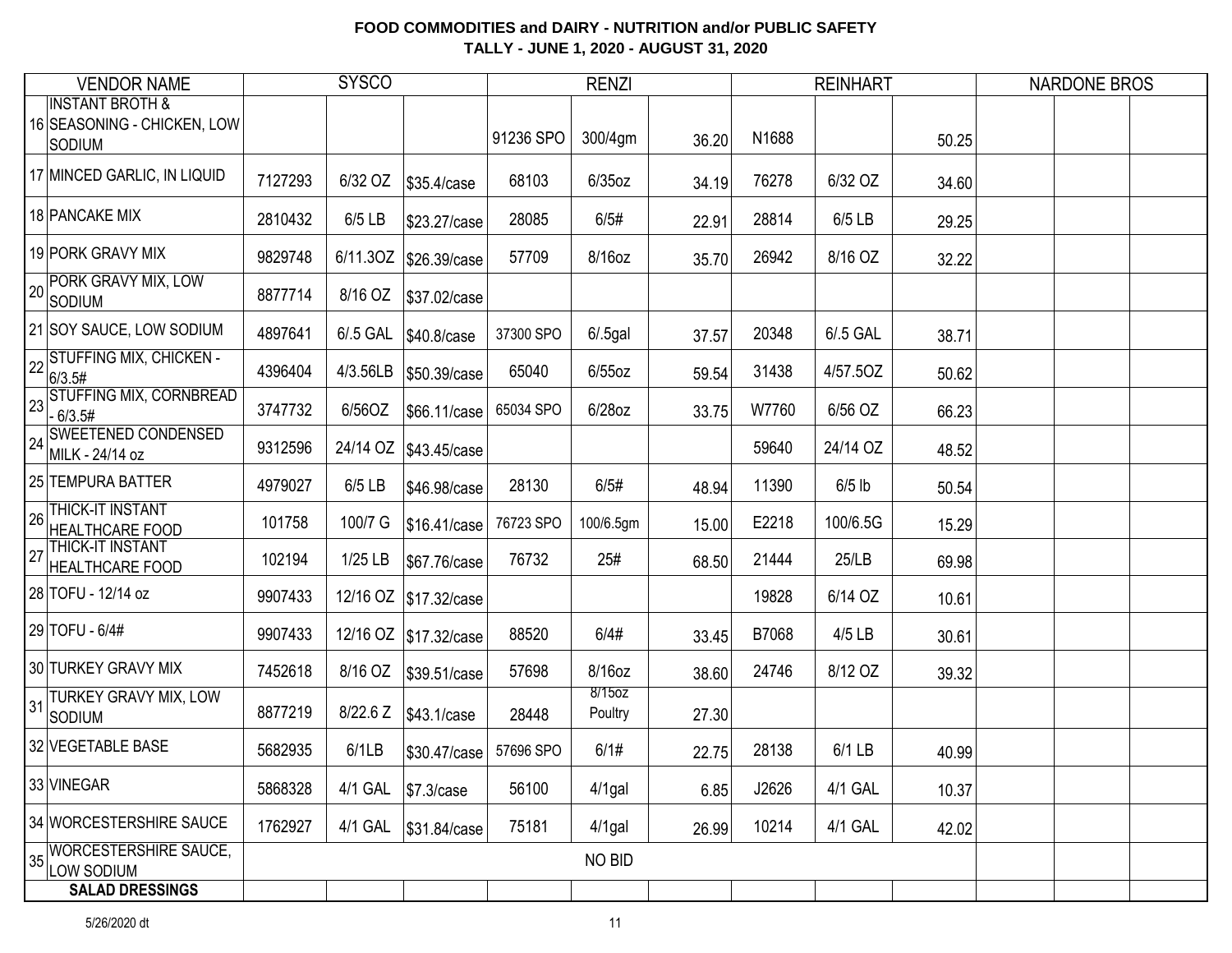| <b>VENDOR NAME</b>                                                   |         | <b>SYSCO</b> |                         |           | <b>RENZI</b>      |       |       | <b>REINHART</b> |       | <b>NARDONE BROS</b> |
|----------------------------------------------------------------------|---------|--------------|-------------------------|-----------|-------------------|-------|-------|-----------------|-------|---------------------|
| <b>INSTANT BROTH &amp;</b><br>16 SEASONING - CHICKEN, LOW<br> Sodium |         |              |                         | 91236 SPO | 300/4gm           | 36.20 | N1688 |                 | 50.25 |                     |
| 17 MINCED GARLIC, IN LIQUID                                          | 7127293 | 6/32 OZ      | \$35.4/case             | 68103     | $6/35$ oz         | 34.19 | 76278 | 6/32 OZ         | 34.60 |                     |
| 18 PANCAKE MIX                                                       | 2810432 | 6/5 LB       | \$23.27/case            | 28085     | 6/5#              | 22.91 | 28814 | 6/5 LB          | 29.25 |                     |
| 19 PORK GRAVY MIX                                                    | 9829748 |              | 6/11.3OZ \$26.39/case   | 57709     | 8/16oz            | 35.70 | 26942 | 8/16 OZ         | 32.22 |                     |
| PORK GRAVY MIX, LOW<br>20<br>Sodium                                  | 8877714 | 8/16 OZ      | \$37.02/case            |           |                   |       |       |                 |       |                     |
| 21 SOY SAUCE, LOW SODIUM                                             | 4897641 | 6/.5 GAL     | \$40.8/case             | 37300 SPO | $6/.5$ gal        | 37.57 | 20348 | 6/.5 GAL        | 38.71 |                     |
| 22 STUFFING MIX, CHICKEN -<br> 6/3.5#                                | 4396404 | 4/3.56LB     | \$50.39/case            | 65040     | $6/55$ oz         | 59.54 | 31438 | 4/57.50Z        | 50.62 |                     |
| 23 STUFFING MIX, CORNBREAD<br>$-6/3.5#$                              | 3747732 | 6/56OZ       | \$66.11/case            | 65034 SPO | 6/28oz            | 33.75 | W7760 | 6/56 OZ         | 66.23 |                     |
| 24 SWEETENED CONDENSED<br>MILK - 24/14 oz                            | 9312596 | 24/14 OZ     | \$43.45/case            |           |                   |       | 59640 | 24/14 OZ        | 48.52 |                     |
| 25 TEMPURA BATTER                                                    | 4979027 | 6/5 LB       | \$46.98/case            | 28130     | 6/5#              | 48.94 | 11390 | $6/5$ lb        | 50.54 |                     |
| THICK-IT INSTANT<br>26<br><b>HEALTHCARE FOOD</b>                     | 101758  | 100/7 G      | \$16.41/case            | 76723 SPO | 100/6.5gm         | 15.00 | E2218 | 100/6.5G        | 15.29 |                     |
| THICK-IT INSTANT<br>27<br><b>HEALTHCARE FOOD</b>                     | 102194  | 1/25 LB      | \$67.76/case            | 76732     | 25#               | 68.50 | 21444 | 25/LB           | 69.98 |                     |
| 28 TOFU - 12/14 oz                                                   | 9907433 |              | 12/16 OZ   \$17.32/case |           |                   |       | 19828 | 6/14 OZ         | 10.61 |                     |
| 29 TOFU - 6/4#                                                       | 9907433 |              | 12/16 OZ   \$17.32/case | 88520     | 6/4#              | 33.45 | B7068 | 4/5 LB          | 30.61 |                     |
| 30 TURKEY GRAVY MIX                                                  | 7452618 | 8/16 OZ      | \$39.51/case            | 57698     | 8/16oz            | 38.60 | 24746 | 8/12 OZ         | 39.32 |                     |
| TURKEY GRAVY MIX, LOW<br>31<br>SODIUM                                | 8877219 | 8/22.6 Z     | \$43.1/case             | 28448     | 8/15oz<br>Poultry | 27.30 |       |                 |       |                     |
| 32 VEGETABLE BASE                                                    | 5682935 | 6/1LB        | \$30.47/case            | 57696 SPO | 6/1#              | 22.75 | 28138 | 6/1 LB          | 40.99 |                     |
| 33 VINEGAR                                                           | 5868328 | 4/1 GAL      | \$7.3/case              | 56100     | $4/1$ gal         | 6.85  | J2626 | 4/1 GAL         | 10.37 |                     |
| 34 WORCESTERSHIRE SAUCE                                              | 1762927 | 4/1 GAL      | \$31.84/case            | 75181     | $4/1$ gal         | 26.99 | 10214 | 4/1 GAL         | 42.02 |                     |
| WORCESTERSHIRE SAUCE,<br>35<br>LOW SODIUM                            |         |              |                         |           | NO BID            |       |       |                 |       |                     |
| <b>SALAD DRESSINGS</b>                                               |         |              |                         |           |                   |       |       |                 |       |                     |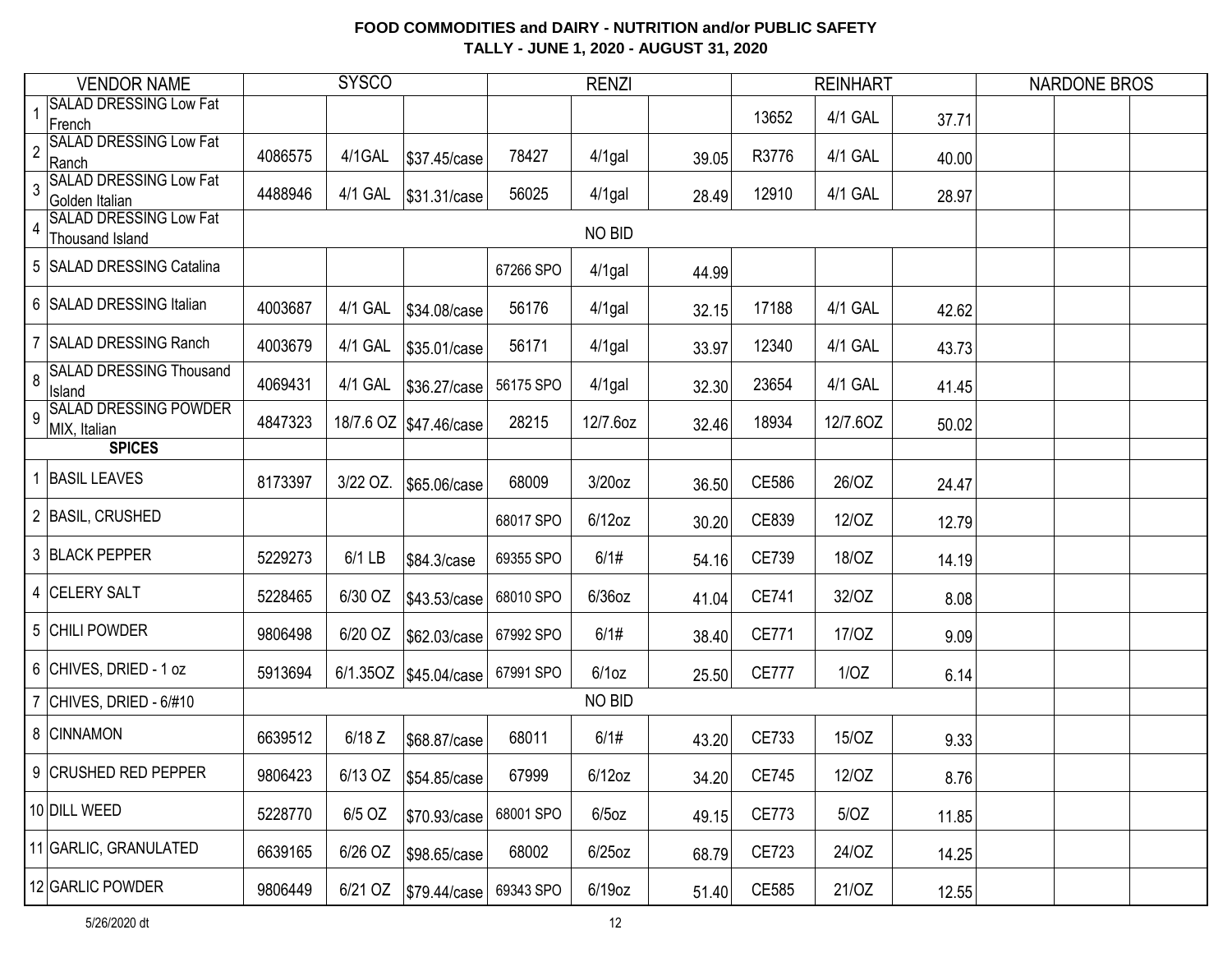|                | <b>VENDOR NAME</b>                               |         | <b>SYSCO</b> |                          |           | <b>RENZI</b>  |       |              | <b>REINHART</b> |       | <b>NARDONE BROS</b> |  |
|----------------|--------------------------------------------------|---------|--------------|--------------------------|-----------|---------------|-------|--------------|-----------------|-------|---------------------|--|
|                | SALAD DRESSING Low Fat<br>French                 |         |              |                          |           |               |       | 13652        | 4/1 GAL         | 37.71 |                     |  |
| $\overline{2}$ | <b>SALAD DRESSING Low Fat</b><br>Ranch           | 4086575 | 4/1GAL       | \$37.45/case             | 78427     | $4/1$ gal     | 39.05 | R3776        | 4/1 GAL         | 40.00 |                     |  |
| 3              | <b>SALAD DRESSING Low Fat</b><br>Golden Italian  | 4488946 | 4/1 GAL      | \$31.31/case             | 56025     | $4/1$ gal     | 28.49 | 12910        | 4/1 GAL         | 28.97 |                     |  |
| $\overline{4}$ | <b>SALAD DRESSING Low Fat</b><br>Thousand Island |         |              |                          |           | NO BID        |       |              |                 |       |                     |  |
|                | 5 SALAD DRESSING Catalina                        |         |              |                          | 67266 SPO | $4/1$ gal     | 44.99 |              |                 |       |                     |  |
|                | 6 SALAD DRESSING Italian                         | 4003687 | 4/1 GAL      | \$34.08/case             | 56176     | $4/1$ gal     | 32.15 | 17188        | 4/1 GAL         | 42.62 |                     |  |
|                | <b>SALAD DRESSING Ranch</b>                      | 4003679 | 4/1 GAL      | \$35.01/case             | 56171     | $4/1$ gal     | 33.97 | 12340        | 4/1 GAL         | 43.73 |                     |  |
| 8              | <b>SALAD DRESSING Thousand</b><br>Island         | 4069431 | 4/1 GAL      | \$36.27/case             | 56175 SPO | $4/1$ gal     | 32.30 | 23654        | 4/1 GAL         | 41.45 |                     |  |
| 9              | <b>SALAD DRESSING POWDER</b><br>MIX, Italian     | 4847323 |              | 18/7.6 OZ   \$47.46/case | 28215     | 12/7.6oz      | 32.46 | 18934        | 12/7.60Z        | 50.02 |                     |  |
|                | <b>SPICES</b>                                    |         |              |                          |           |               |       |              |                 |       |                     |  |
|                | <b>BASIL LEAVES</b>                              | 8173397 | 3/22 OZ.     | \$65.06/case             | 68009     | 3/20oz        | 36.50 | CE586        | 26/OZ           | 24.47 |                     |  |
|                | 2 BASIL, CRUSHED                                 |         |              |                          | 68017 SPO | $6/12$ oz     | 30.20 | CE839        | 12/OZ           | 12.79 |                     |  |
|                | 3 BLACK PEPPER                                   | 5229273 | 6/1 LB       | \$84.3/case              | 69355 SPO | 6/1#          | 54.16 | CE739        | 18/OZ           | 14.19 |                     |  |
|                | 4 CELERY SALT                                    | 5228465 | 6/30 OZ      | \$43.53/case             | 68010 SPO | $6/36$ oz     | 41.04 | <b>CE741</b> | 32/OZ           | 8.08  |                     |  |
|                | 5 CHILI POWDER                                   | 9806498 | 6/20 OZ      | \$62.03/case             | 67992 SPO | 6/1#          | 38.40 | CE771        | 17/0Z           | 9.09  |                     |  |
|                | 6 CHIVES, DRIED - 1 oz                           | 5913694 |              | 6/1.35OZ   \$45.04/case  | 67991 SPO | $6/1$ oz      | 25.50 | <b>CE777</b> | 1/OZ            | 6.14  |                     |  |
|                | CHIVES, DRIED - 6/#10                            |         |              |                          |           | <b>NO BID</b> |       |              |                 |       |                     |  |
|                | 8 CINNAMON                                       | 6639512 | $6/18$ Z     | \$68.87/case             | 68011     | 6/1#          | 43.20 | CE733        | 15/OZ           | 9.33  |                     |  |
|                | 9 CRUSHED RED PEPPER                             | 9806423 | 6/13 OZ      | \$54.85/case             | 67999     | $6/12$ oz     | 34.20 | CE745        | 12/OZ           | 8.76  |                     |  |
|                | 10 DILL WEED                                     | 5228770 | 6/5 OZ       | \$70.93/case             | 68001 SPO | $6/5$ oz      | 49.15 | CE773        | 5/OZ            | 11.85 |                     |  |
|                | 11 GARLIC, GRANULATED                            | 6639165 | 6/26 OZ      | \$98.65/case             | 68002     | $6/25$ oz     | 68.79 | CE723        | 24/OZ           | 14.25 |                     |  |
|                | 12 GARLIC POWDER                                 | 9806449 | 6/21 OZ      | \$79.44/case             | 69343 SPO | $6/19$ oz     | 51.40 | CE585        | 21/OZ           | 12.55 |                     |  |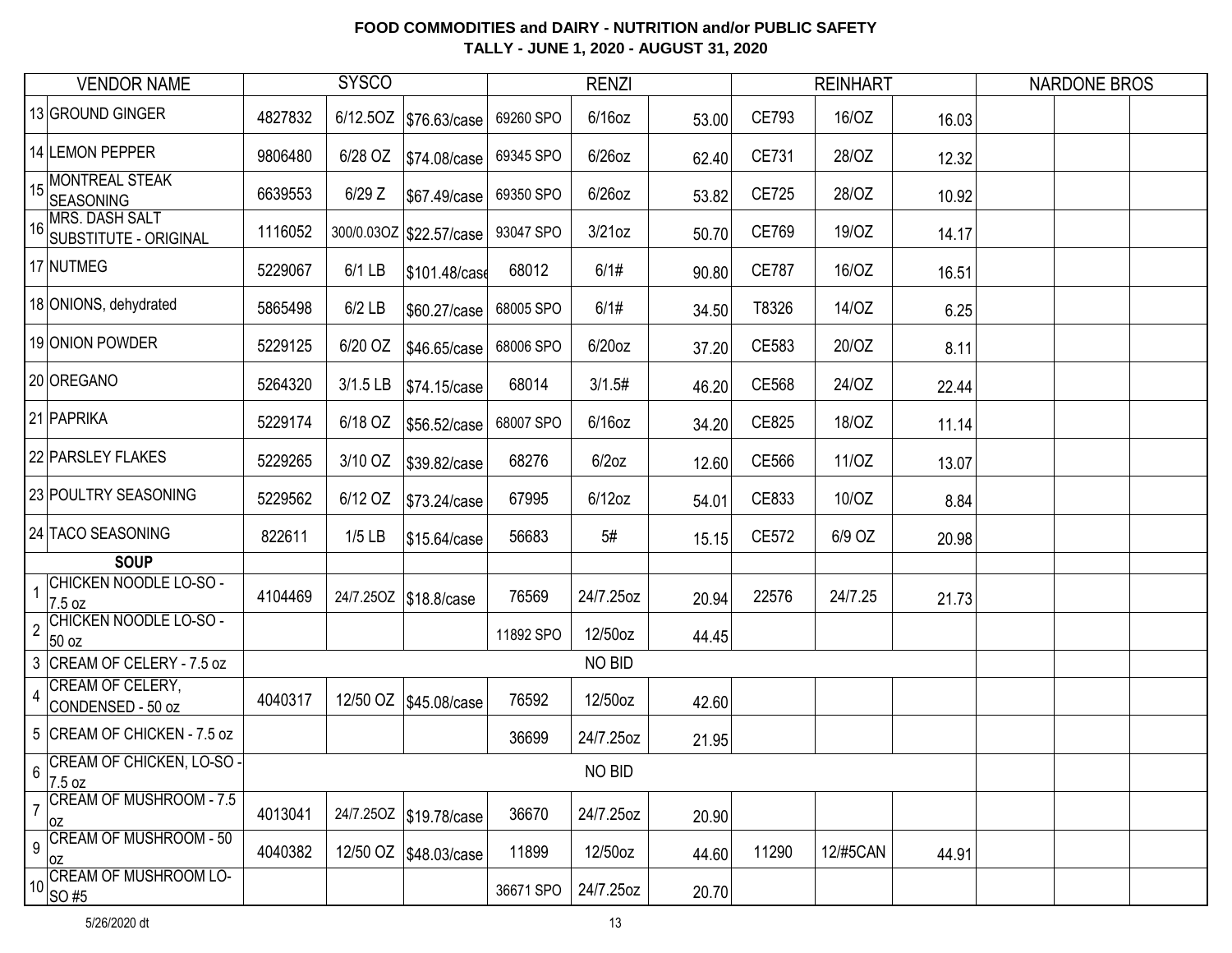| <b>VENDOR NAME</b>                                        |         | <b>SYSCO</b> |                           |           | <b>RENZI</b> |       |              | <b>REINHART</b> |       | <b>NARDONE BROS</b> |
|-----------------------------------------------------------|---------|--------------|---------------------------|-----------|--------------|-------|--------------|-----------------|-------|---------------------|
| 13 GROUND GINGER                                          | 4827832 |              | 6/12.5OZ \$76.63/case     | 69260 SPO | $6/16$ oz    | 53.00 | CE793        | 16/OZ           | 16.03 |                     |
| 14 LEMON PEPPER                                           | 9806480 | 6/28 OZ      | \$74.08/case              | 69345 SPO | $6/26$ oz    | 62.40 | CE731        | 28/OZ           | 12.32 |                     |
| 15 MONTREAL STEAK<br>SEASONING                            | 6639553 | $6/29$ Z     | \$67.49/case              | 69350 SPO | $6/26$ oz    | 53.82 | CE725        | 28/OZ           | 10.92 |                     |
| 16 MRS. DASH SALT<br>SUBSTITUTE - ORIGINAL                | 1116052 |              | 300/0.03OZ   \$22.57/case | 93047 SPO | $3/21$ oz    | 50.70 | CE769        | 19/0Z           | 14.17 |                     |
| 17 NUTMEG                                                 | 5229067 | $6/1$ LB     | \$101.48/case             | 68012     | 6/1#         | 90.80 | <b>CE787</b> | 16/OZ           | 16.51 |                     |
| 18 ONIONS, dehydrated                                     | 5865498 | $6/2$ LB     | \$60.27/case              | 68005 SPO | 6/1#         | 34.50 | T8326        | 14/OZ           | 6.25  |                     |
| 19 ONION POWDER                                           | 5229125 | 6/20 OZ      | \$46.65/case              | 68006 SPO | $6/20$ oz    | 37.20 | CE583        | 20/OZ           | 8.11  |                     |
| 20 OREGANO                                                | 5264320 | 3/1.5 LB     | \$74.15/case              | 68014     | 3/1.5#       | 46.20 | CE568        | 24/OZ           | 22.44 |                     |
| 21 PAPRIKA                                                | 5229174 | 6/18 OZ      | \$56.52/case              | 68007 SPO | $6/16$ oz    | 34.20 | CE825        | 18/OZ           | 11.14 |                     |
| 22 PARSLEY FLAKES                                         | 5229265 | 3/10 OZ      | \$39.82/case              | 68276     | $6/2$ oz     | 12.60 | CE566        | 11/OZ           | 13.07 |                     |
| 23 POULTRY SEASONING                                      | 5229562 | 6/12 OZ      | \$73.24/case              | 67995     | $6/12$ oz    | 54.01 | CE833        | 10/OZ           | 8.84  |                     |
| 24 TACO SEASONING                                         | 822611  | $1/5$ LB     | \$15.64/case              | 56683     | 5#           | 15.15 | CE572        | 6/9 OZ          | 20.98 |                     |
| <b>SOUP</b>                                               |         |              |                           |           |              |       |              |                 |       |                     |
| <b>CHICKEN NOODLE LO-SO -</b><br>$\overline{1}$<br>7.5 oz | 4104469 |              | 24/7.250Z \$18.8/case     | 76569     | 24/7.25oz    | 20.94 | 22576        | 24/7.25         | 21.73 |                     |
| CHICKEN NOODLE LO-SO -<br>$\overline{2}$<br>50 oz         |         |              |                           | 11892 SPO | 12/50oz      | 44.45 |              |                 |       |                     |
| 3 CREAM OF CELERY - 7.5 oz                                |         |              |                           |           | NO BID       |       |              |                 |       |                     |
| CREAM OF CELERY,<br>$\overline{4}$<br>CONDENSED - 50 oz   | 4040317 |              | 12/50 OZ \$45.08/case     | 76592     | 12/50oz      | 42.60 |              |                 |       |                     |
| 5 CREAM OF CHICKEN - 7.5 oz                               |         |              |                           | 36699     | 24/7.25oz    | 21.95 |              |                 |       |                     |
| CREAM OF CHICKEN, LO-SO-<br>6<br>7.5 oz                   |         |              |                           |           | NO BID       |       |              |                 |       |                     |
| <b>CREAM OF MUSHROOM - 7.5</b><br>0Z                      | 4013041 |              | 24/7.250Z \$19.78/case    | 36670     | 24/7.25oz    | 20.90 |              |                 |       |                     |
| <b>CREAM OF MUSHROOM - 50</b><br>$\overline{9}$<br>0Z     | 4040382 |              | 12/50 OZ \$48.03/case     | 11899     | 12/50oz      | 44.60 | 11290        | 12/#5CAN        | 44.91 |                     |
| 10 CREAM OF MUSHROOM LO-<br>SO #5                         |         |              |                           | 36671 SPO | 24/7.25oz    | 20.70 |              |                 |       |                     |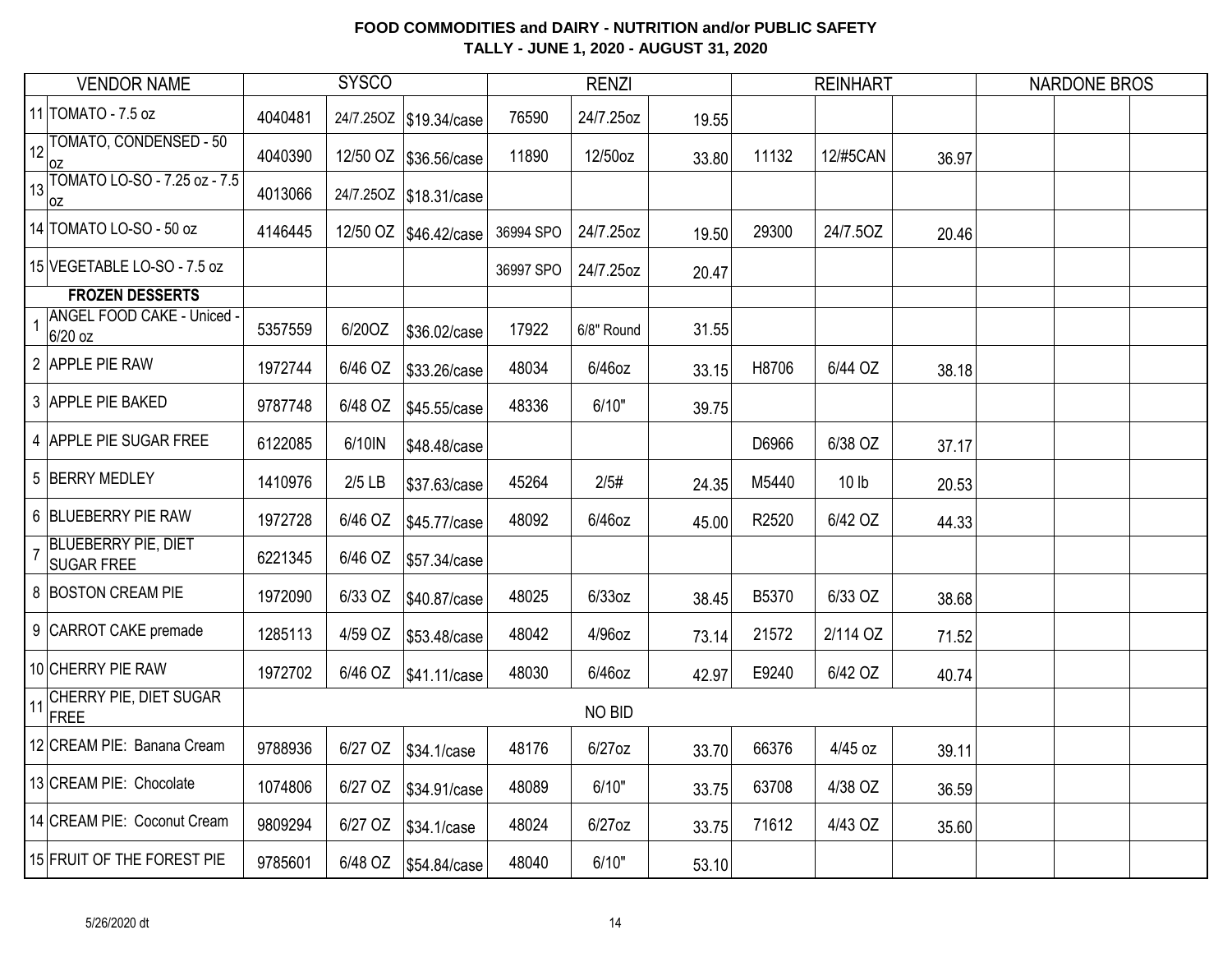|    | <b>VENDOR NAME</b>                              |         | <b>SYSCO</b> |                         |           | <b>RENZI</b> |       |       | <b>REINHART</b>  |       | <b>NARDONE BROS</b> |  |
|----|-------------------------------------------------|---------|--------------|-------------------------|-----------|--------------|-------|-------|------------------|-------|---------------------|--|
|    | 11 TOMATO - 7.5 oz                              | 4040481 |              | 24/7.250Z \$19.34/case  | 76590     | 24/7.25oz    | 19.55 |       |                  |       |                     |  |
| 12 | TOMATO, CONDENSED - 50<br>0Z                    | 4040390 |              | 12/50 OZ   \$36.56/case | 11890     | 12/50oz      | 33.80 | 11132 | <b>12/#5CAN</b>  | 36.97 |                     |  |
| 13 | TOMATO LO-SO - 7.25 oz - 7.5<br>loz             | 4013066 |              | 24/7.250Z \$18.31/case  |           |              |       |       |                  |       |                     |  |
|    | 14 TOMATO LO-SO - 50 oz                         | 4146445 |              | 12/50 OZ   \$46.42/case | 36994 SPO | 24/7.25oz    | 19.50 | 29300 | 24/7.50Z         | 20.46 |                     |  |
|    | 15 VEGETABLE LO-SO - 7.5 oz                     |         |              |                         | 36997 SPO | 24/7.25oz    | 20.47 |       |                  |       |                     |  |
|    | <b>FROZEN DESSERTS</b>                          |         |              |                         |           |              |       |       |                  |       |                     |  |
|    | ANGEL FOOD CAKE - Uniced -<br>6/20 oz           | 5357559 | 6/20OZ       | \$36.02/case            | 17922     | 6/8" Round   | 31.55 |       |                  |       |                     |  |
|    | 2 APPLE PIE RAW                                 | 1972744 | 6/46 OZ      | \$33.26/case            | 48034     | 6/46oz       | 33.15 | H8706 | 6/44 OZ          | 38.18 |                     |  |
|    | 3 APPLE PIE BAKED                               | 9787748 | 6/48 OZ      | \$45.55/case            | 48336     | 6/10"        | 39.75 |       |                  |       |                     |  |
|    | 4 APPLE PIE SUGAR FREE                          | 6122085 | 6/10IN       | \$48.48/case            |           |              |       | D6966 | 6/38 OZ          | 37.17 |                     |  |
|    | 5 BERRY MEDLEY                                  | 1410976 | $2/5$ LB     | \$37.63/case            | 45264     | 2/5#         | 24.35 | M5440 | 10 <sub>lb</sub> | 20.53 |                     |  |
|    | 6 BLUEBERRY PIE RAW                             | 1972728 | 6/46 OZ      | \$45.77/case            | 48092     | 6/46oz       | 45.00 | R2520 | 6/42 OZ          | 44.33 |                     |  |
|    | <b>BLUEBERRY PIE, DIET</b><br><b>SUGAR FREE</b> | 6221345 | 6/46 OZ      | \$57.34/case            |           |              |       |       |                  |       |                     |  |
|    | 8 BOSTON CREAM PIE                              | 1972090 | 6/33 OZ      | \$40.87/case            | 48025     | 6/33oz       | 38.45 | B5370 | 6/33 OZ          | 38.68 |                     |  |
|    | 9 CARROT CAKE premade                           | 1285113 | 4/59 OZ      | \$53.48/case            | 48042     | 4/96oz       | 73.14 | 21572 | 2/114 OZ         | 71.52 |                     |  |
|    | 10 CHERRY PIE RAW                               | 1972702 | 6/46 OZ      | \$41.11/case            | 48030     | 6/46oz       | 42.97 | E9240 | 6/42 OZ          | 40.74 |                     |  |
| 11 | CHERRY PIE, DIET SUGAR<br>FREE                  |         |              |                         |           | NO BID       |       |       |                  |       |                     |  |
|    | 12 CREAM PIE: Banana Cream                      | 9788936 | 6/27 OZ      | \$34.1/case             | 48176     | $6/27$ oz    | 33.70 | 66376 | 4/45 oz          | 39.11 |                     |  |
|    | 13 CREAM PIE: Chocolate                         | 1074806 | 6/27 OZ      | \$34.91/case            | 48089     | 6/10"        | 33.75 | 63708 | 4/38 OZ          | 36.59 |                     |  |
|    | 14 CREAM PIE: Coconut Cream                     | 9809294 | 6/27 OZ      | \$34.1/case             | 48024     | $6/27$ oz    | 33.75 | 71612 | 4/43 OZ          | 35.60 |                     |  |
|    | 15 FRUIT OF THE FOREST PIE                      | 9785601 |              |                         | 48040     | 6/10"        | 53.10 |       |                  |       |                     |  |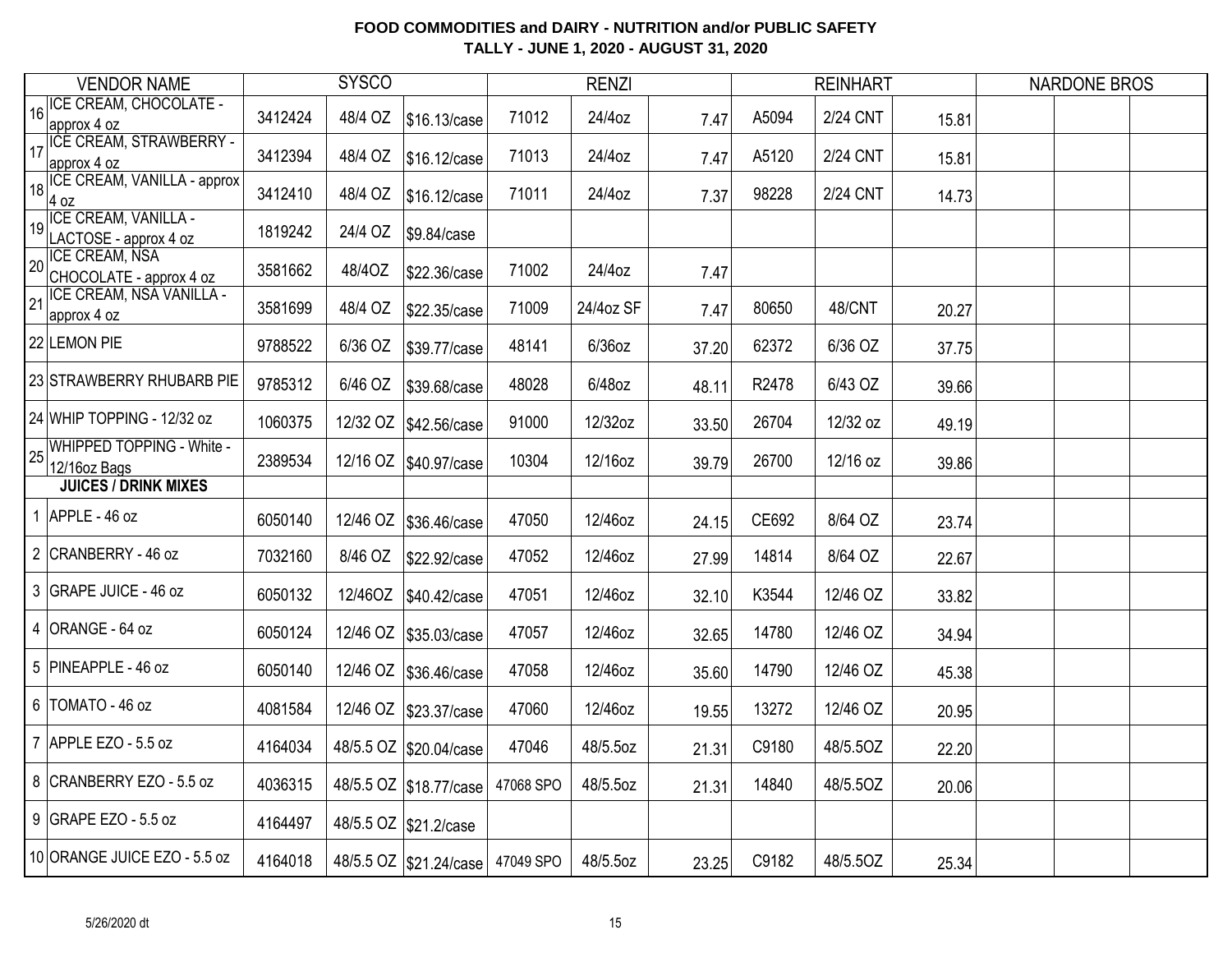|    | <b>VENDOR NAME</b>                               |         | <b>SYSCO</b> |                                  |           | <b>RENZI</b> |       |       | <b>REINHART</b> |       | <b>NARDONE BROS</b> |  |
|----|--------------------------------------------------|---------|--------------|----------------------------------|-----------|--------------|-------|-------|-----------------|-------|---------------------|--|
|    | 16   ICE CREAM, CHOCOLATE -<br>approx 4 oz       | 3412424 | 48/4 OZ      | \$16.13/case                     | 71012     | 24/4oz       | 7.47  | A5094 | <b>2/24 CNT</b> | 15.81 |                     |  |
|    | 17 ICE CREAM, STRAWBERRY -<br>approx 4 oz        | 3412394 | 48/4 OZ      | \$16.12/case                     | 71013     | 24/4oz       | 7.47  | A5120 | <b>2/24 CNT</b> | 15.81 |                     |  |
| 18 | ICE CREAM, VANILLA - approx<br>4 oz              | 3412410 | 48/4 OZ      | \$16.12/case                     | 71011     | 24/4oz       | 7.37  | 98228 | 2/24 CNT        | 14.73 |                     |  |
|    | 19 ICE CREAM, VANILLA -<br>LACTOSE - approx 4 oz | 1819242 | 24/4 OZ      | \$9.84/case                      |           |              |       |       |                 |       |                     |  |
| 20 | <b>ICE CREAM, NSA</b><br>CHOCOLATE - approx 4 oz | 3581662 | 48/4OZ       | \$22.36/case                     | 71002     | 24/4oz       | 7.47  |       |                 |       |                     |  |
| 21 | <b>ICE CREAM, NSA VANILLA -</b><br>approx 4 oz   | 3581699 | 48/4 OZ      | \$22.35/case                     | 71009     | 24/4oz SF    | 7.47  | 80650 | 48/CNT          | 20.27 |                     |  |
|    | 22 LEMON PIE                                     | 9788522 | 6/36 OZ      | \$39.77/case                     | 48141     | $6/36$ oz    | 37.20 | 62372 | 6/36 OZ         | 37.75 |                     |  |
|    | 23 STRAWBERRY RHUBARB PIE                        | 9785312 | 6/46 OZ      | \$39.68/case                     | 48028     | 6/48oz       | 48.11 | R2478 | 6/43 OZ         | 39.66 |                     |  |
|    | 24 WHIP TOPPING - 12/32 oz                       | 1060375 | 12/32 OZ     | \$42.56/case                     | 91000     | 12/32oz      | 33.50 | 26704 | 12/32 oz        | 49.19 |                     |  |
| 25 | <b>WHIPPED TOPPING - White -</b><br>12/16oz Bags | 2389534 |              | 12/16 OZ   \$40.97/case          | 10304     | 12/16oz      | 39.79 | 26700 | 12/16 oz        | 39.86 |                     |  |
|    | <b>JUICES / DRINK MIXES</b>                      |         |              |                                  |           |              |       |       |                 |       |                     |  |
|    | 1 APPLE - $46$ oz                                | 6050140 | 12/46 OZ     | \$36.46/case                     | 47050     | 12/46oz      | 24.15 | CE692 | 8/64 OZ         | 23.74 |                     |  |
|    | 2 CRANBERRY - 46 oz                              | 7032160 | 8/46 OZ      | \$22.92/case                     | 47052     | 12/46oz      | 27.99 | 14814 | 8/64 OZ         | 22.67 |                     |  |
|    | 3 GRAPE JUICE - 46 oz                            | 6050132 | 12/46OZ      | \$40.42/case                     | 47051     | 12/46oz      | 32.10 | K3544 | 12/46 OZ        | 33.82 |                     |  |
|    | 4 ORANGE - 64 oz                                 | 6050124 | 12/46 OZ     | \$35.03/case                     | 47057     | 12/46oz      | 32.65 | 14780 | 12/46 OZ        | 34.94 |                     |  |
|    | 5 PINEAPPLE - 46 oz                              | 6050140 | 12/46 OZ     | \$36.46/case                     | 47058     | 12/46oz      | 35.60 | 14790 | 12/46 OZ        | 45.38 |                     |  |
|    | 6   TOMATO - 46 oz                               | 4081584 |              | 12/46 OZ \$23.37/case            | 47060     | 12/46oz      | 19.55 | 13272 | 12/46 OZ        | 20.95 |                     |  |
|    | 7 APPLE EZO - 5.5 oz                             | 4164034 |              | 48/5.5 OZ \$20.04/case           | 47046     | 48/5.5oz     | 21.31 | C9180 | 48/5.5OZ        | 22.20 |                     |  |
|    | 8 CRANBERRY EZO - 5.5 oz                         | 4036315 |              | 48/5.5 OZ \$18.77/case           | 47068 SPO | 48/5.5oz     | 21.31 | 14840 | 48/5.5OZ        | 20.06 |                     |  |
|    | 9 GRAPE EZO - 5.5 oz                             | 4164497 |              | 48/5.5 OZ \$21.2/case            |           |              |       |       |                 |       |                     |  |
|    | 10 ORANGE JUICE EZO - 5.5 oz                     | 4164018 |              | 48/5.5 OZ \$21.24/case 47049 SPO |           | 48/5.5oz     | 23.25 | C9182 | 48/5.5OZ        | 25.34 |                     |  |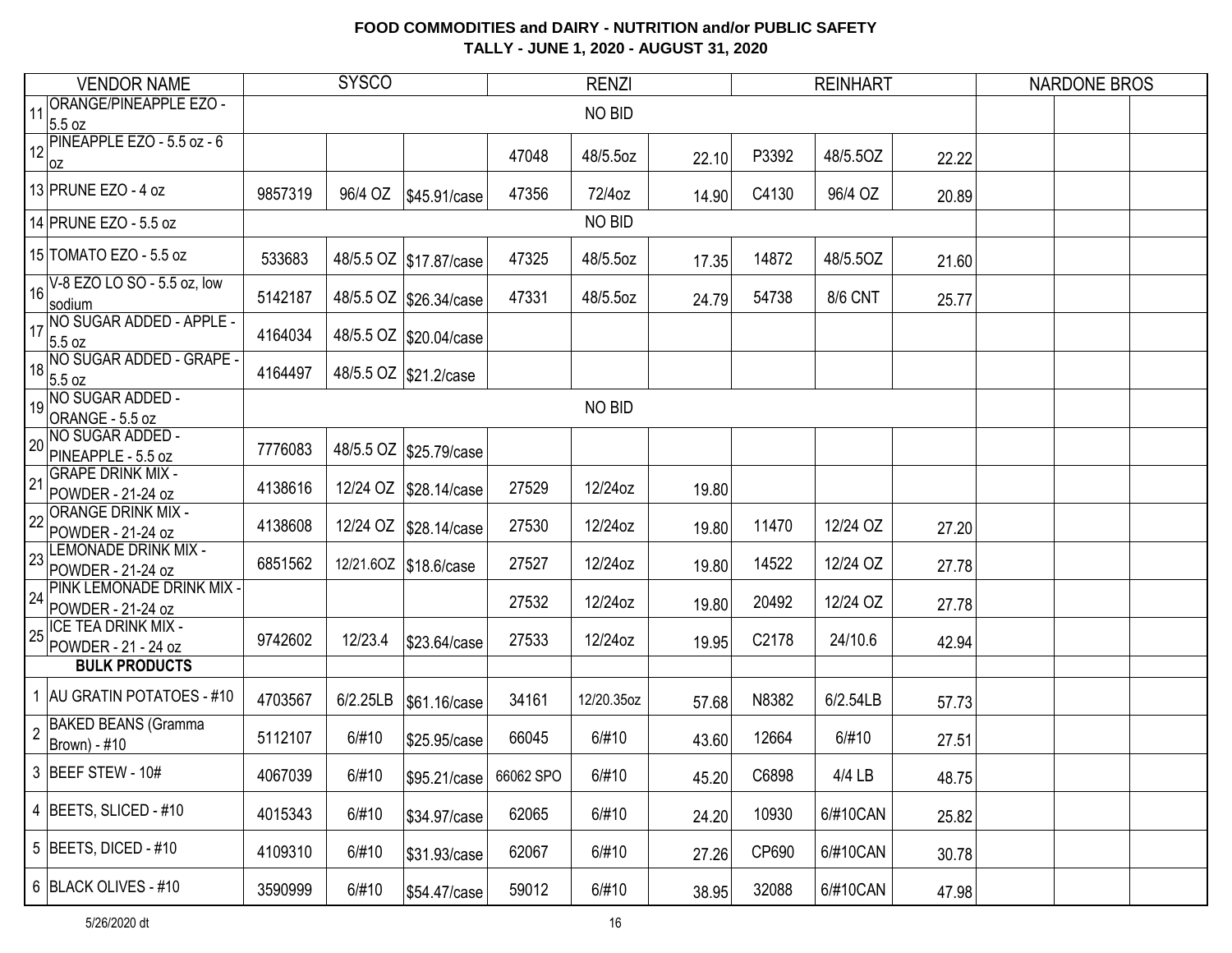|                | <b>VENDOR NAME</b>                                              |         | <b>SYSCO</b> |                          |           | <b>RENZI</b> |       |       | <b>REINHART</b> |       | <b>NARDONE BROS</b> |  |
|----------------|-----------------------------------------------------------------|---------|--------------|--------------------------|-----------|--------------|-------|-------|-----------------|-------|---------------------|--|
| 11             | <b>ORANGE/PINEAPPLE EZO -</b><br>5.5 oz                         |         |              |                          |           | NO BID       |       |       |                 |       |                     |  |
|                | 12 PINEAPPLE EZO - 5.5 oz - 6<br>OZ                             |         |              |                          | 47048     | 48/5.5oz     | 22.10 | P3392 | 48/5.5OZ        | 22.22 |                     |  |
|                | 13 PRUNE EZO - 4 oz                                             | 9857319 |              |                          | 47356     | 72/4oz       | 14.90 | C4130 | 96/4 OZ         | 20.89 |                     |  |
|                | 14 PRUNE EZO - 5.5 oz                                           |         |              |                          |           | NO BID       |       |       |                 |       |                     |  |
|                | 15 TOMATO EZO - 5.5 oz                                          | 533683  |              | 48/5.5 OZ   \$17.87/case | 47325     | 48/5.5oz     | 17.35 | 14872 | 48/5.50Z        | 21.60 |                     |  |
|                | $16\sqrt{6.620 \text{ LO } 50 - 5.5 \text{ oz, low}}$<br>sodium | 5142187 |              | 48/5.5 OZ \$26.34/case   | 47331     | 48/5.5oz     | 24.79 | 54738 | <b>8/6 CNT</b>  | 25.77 |                     |  |
| 17             | NO SUGAR ADDED - APPLE -<br>5.5 oz                              | 4164034 |              | 48/5.5 OZ   \$20.04/case |           |              |       |       |                 |       |                     |  |
| 18             | NO SUGAR ADDED - GRAPE<br>5.5 oz                                | 4164497 |              | 48/5.5 OZ \$21.2/case    |           |              |       |       |                 |       |                     |  |
|                | 19 NO SUGAR ADDED -<br>ORANGE - 5.5 oz                          |         |              |                          |           | NO BID       |       |       |                 |       |                     |  |
| 20             | NO SUGAR ADDED -<br>PINEAPPLE - 5.5 oz                          | 7776083 |              | 48/5.5 OZ \$25.79/case   |           |              |       |       |                 |       |                     |  |
| 21             | <b>GRAPE DRINK MIX -</b><br>POWDER - 21-24 oz                   | 4138616 |              | 12/24 OZ   \$28.14/case  | 27529     | 12/24oz      | 19.80 |       |                 |       |                     |  |
| 22             | <b>ORANGE DRINK MIX -</b><br>POWDER - 21-24 oz                  | 4138608 |              | 12/24 OZ   \$28.14/case  | 27530     | 12/24oz      | 19.80 | 11470 | 12/24 OZ        | 27.20 |                     |  |
| 23             | <b>LEMONADE DRINK MIX -</b><br>POWDER - 21-24 oz                | 6851562 |              | 12/21.60Z \$18.6/case    | 27527     | 12/24oz      | 19.80 | 14522 | 12/24 OZ        | 27.78 |                     |  |
|                | 24 PINK LEMONADE DRINK MIX<br>POWDER - 21-24 oz                 |         |              |                          | 27532     | 12/24oz      | 19.80 | 20492 | 12/24 OZ        | 27.78 |                     |  |
| 25             | <b>ICE TEA DRINK MIX -</b><br>POWDER - 21 - 24 oz               | 9742602 | 12/23.4      | \$23.64/case             | 27533     | 12/24oz      | 19.95 | C2178 | 24/10.6         | 42.94 |                     |  |
|                | <b>BULK PRODUCTS</b>                                            |         |              |                          |           |              |       |       |                 |       |                     |  |
|                | 1 AU GRATIN POTATOES - #10                                      | 4703567 | 6/2.25LB     | \$61.16/case             | 34161     | 12/20.35oz   | 57.68 | N8382 | 6/2.54LB        | 57.73 |                     |  |
| $\overline{2}$ | <b>BAKED BEANS (Gramma</b><br>Brown) - #10                      | 5112107 | 6/#10        | \$25.95/case             | 66045     | 6/#10        | 43.60 | 12664 | 6/#10           | 27.51 |                     |  |
|                | 3 BEEF STEW - 10#                                               | 4067039 | 6/#10        | \$95.21/case             | 66062 SPO | 6/#10        | 45.20 | C6898 | 4/4 LB          | 48.75 |                     |  |
|                | 4 BEETS, SLICED - #10                                           | 4015343 | 6/#10        | \$34.97/case             | 62065     | 6/#10        | 24.20 | 10930 | 6/#10CAN        | 25.82 |                     |  |
|                | 5   BEETS, DICED - #10                                          | 4109310 | 6/#10        | \$31.93/case             | 62067     | 6/#10        | 27.26 | CP690 | 6/#10CAN        | 30.78 |                     |  |
|                | 6 BLACK OLIVES - #10                                            | 3590999 | 6/#10        | \$54.47/case             | 59012     | 6/#10        | 38.95 | 32088 | 6/#10CAN        | 47.98 |                     |  |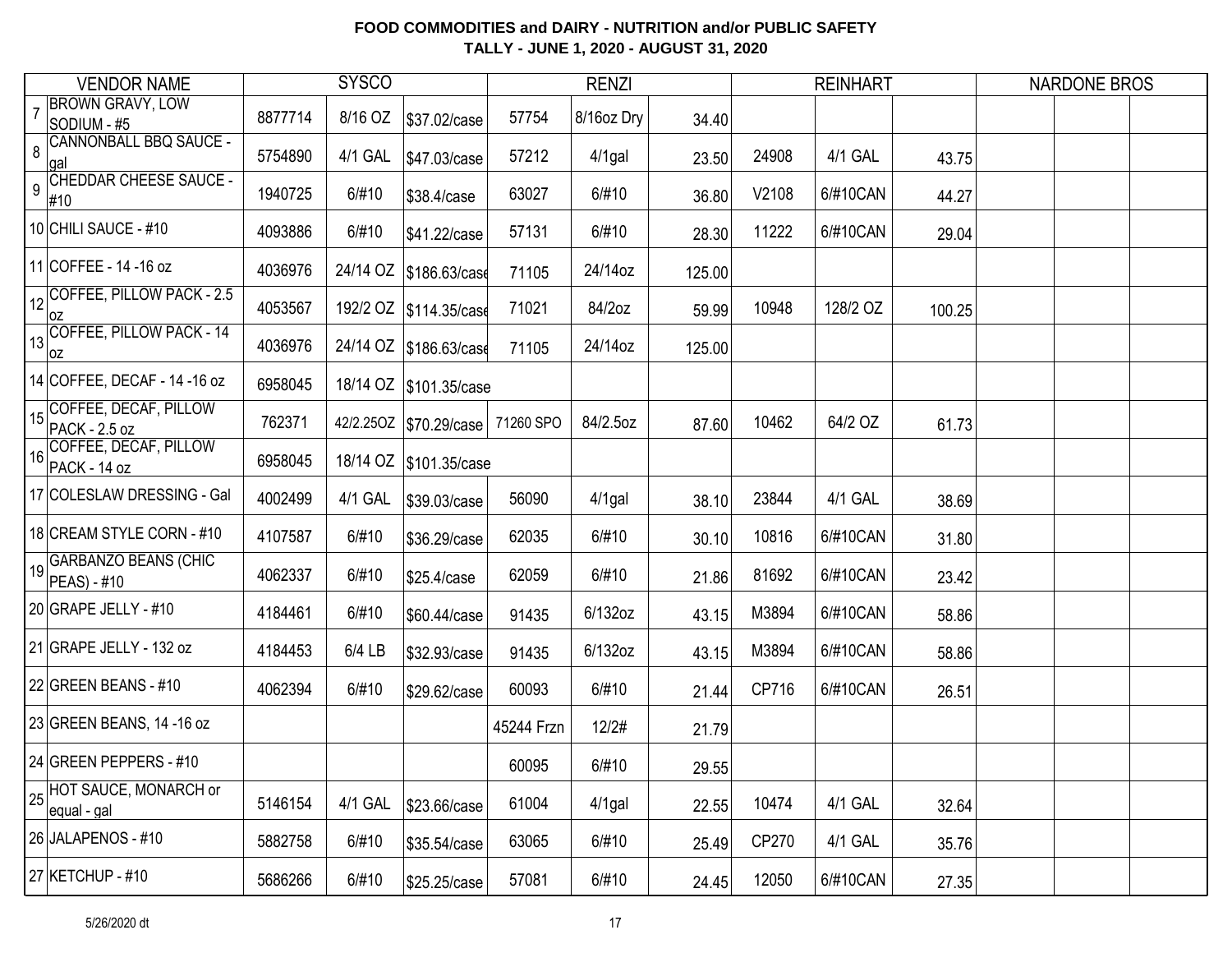| <b>VENDOR NAME</b>                                                 |                               |         | <b>SYSCO</b> |                          |            | <b>RENZI</b> |        |       | <b>REINHART</b> |        | <b>NARDONE BROS</b> |  |
|--------------------------------------------------------------------|-------------------------------|---------|--------------|--------------------------|------------|--------------|--------|-------|-----------------|--------|---------------------|--|
| <b>BROWN GRAVY, LOW</b><br>$\overline{7}$<br>SODIUM - #5           |                               | 8877714 | 8/16 OZ      | \$37.02/case             | 57754      | 8/16oz Dry   | 34.40  |       |                 |        |                     |  |
| 8<br> gal                                                          | <b>CANNONBALL BBQ SAUCE -</b> | 5754890 | 4/1 GAL      | \$47.03/case             | 57212      | $4/1$ gal    | 23.50  | 24908 | 4/1 GAL         | 43.75  |                     |  |
| 9<br>#10                                                           | <b>CHEDDAR CHEESE SAUCE -</b> | 1940725 | 6/#10        | \$38.4/case              | 63027      | 6/#10        | 36.80  | V2108 | 6/#10CAN        | 44.27  |                     |  |
| 10 CHILI SAUCE - #10                                               |                               | 4093886 | 6/#10        | \$41.22/case             | 57131      | 6/#10        | 28.30  | 11222 | 6/#10CAN        | 29.04  |                     |  |
| 11 COFFEE - 14 - 16 oz                                             |                               | 4036976 |              | 24/14 OZ   \$186.63/case | 71105      | 24/14oz      | 125.00 |       |                 |        |                     |  |
| $\left  \frac{1}{12} \right $ COFFEE, PILLOW PACK - 2.5<br> OZ     |                               | 4053567 |              | 192/2 OZ   \$114.35/case | 71021      | 84/2oz       | 59.99  | 10948 | 128/2 OZ        | 100.25 |                     |  |
| 13 COFFEE, PILLOW PACK - 14<br>loz                                 |                               | 4036976 |              | 24/14 OZ   \$186.63/case | 71105      | 24/14oz      | 125.00 |       |                 |        |                     |  |
| 14 COFFEE, DECAF - 14 - 16 oz                                      |                               | 6958045 |              | 18/14 OZ \$101.35/case   |            |              |        |       |                 |        |                     |  |
| COFFEE, DECAF, PILLOW<br>15<br>PACK - 2.5 oz                       |                               | 762371  |              | 42/2.250Z \$70.29/case   | 71260 SPO  | 84/2.5oz     | 87.60  | 10462 | 64/2 OZ         | 61.73  |                     |  |
| COFFEE, DECAF, PILLOW<br>16<br>PACK - 14 oz                        |                               | 6958045 |              | 18/14 OZ \$101.35/case   |            |              |        |       |                 |        |                     |  |
| 17 COLESLAW DRESSING - Gal                                         |                               | 4002499 | 4/1 GAL      | \$39.03/case             | 56090      | $4/1$ gal    | 38.10  | 23844 | 4/1 GAL         | 38.69  |                     |  |
| 18 CREAM STYLE CORN - #10                                          |                               | 4107587 | 6/#10        | \$36.29/case             | 62035      | 6/#10        | 30.10  | 10816 | 6/#10CAN        | 31.80  |                     |  |
| 19 GARBANZO BEANS (CHIC<br>$PEAS - #10$                            |                               | 4062337 | 6/#10        | \$25.4/case              | 62059      | 6/#10        | 21.86  | 81692 | 6/#10CAN        | 23.42  |                     |  |
| 20 GRAPE JELLY - #10                                               |                               | 4184461 | 6/#10        | \$60.44/case             | 91435      | 6/132oz      | 43.15  | M3894 | 6/#10CAN        | 58.86  |                     |  |
| 21 GRAPE JELLY - 132 oz                                            |                               | 4184453 | 6/4 LB       | \$32.93/case             | 91435      | 6/132oz      | 43.15  | M3894 | 6/#10CAN        | 58.86  |                     |  |
| 22 GREEN BEANS - $#10$                                             |                               | 4062394 | 6/#10        | \$29.62/case             | 60093      | 6/#10        | 21.44  | CP716 | 6/#10CAN        | 26.51  |                     |  |
| 23 GREEN BEANS, 14 -16 oz                                          |                               |         |              |                          | 45244 Frzn | 12/2#        | 21.79  |       |                 |        |                     |  |
| 24 GREEN PEPPERS - #10                                             |                               |         |              |                          | 60095      | 6/#10        | 29.55  |       |                 |        |                     |  |
| $\left  \frac{1}{25} \right $ HOT SAUCE, MONARCH or<br>equal - gal |                               | 5146154 | 4/1 GAL      | \$23.66/case             | 61004      | $4/1$ gal    | 22.55  | 10474 | 4/1 GAL         | 32.64  |                     |  |
| 26 JALAPENOS - #10                                                 |                               | 5882758 | 6/#10        | \$35.54/case             | 63065      | 6/#10        | 25.49  | CP270 | 4/1 GAL         | 35.76  |                     |  |
| 27 KETCHUP - #10                                                   |                               | 5686266 | 6/#10        | \$25.25/case             | 57081      | 6/#10        | 24.45  | 12050 | 6/#10CAN        | 27.35  |                     |  |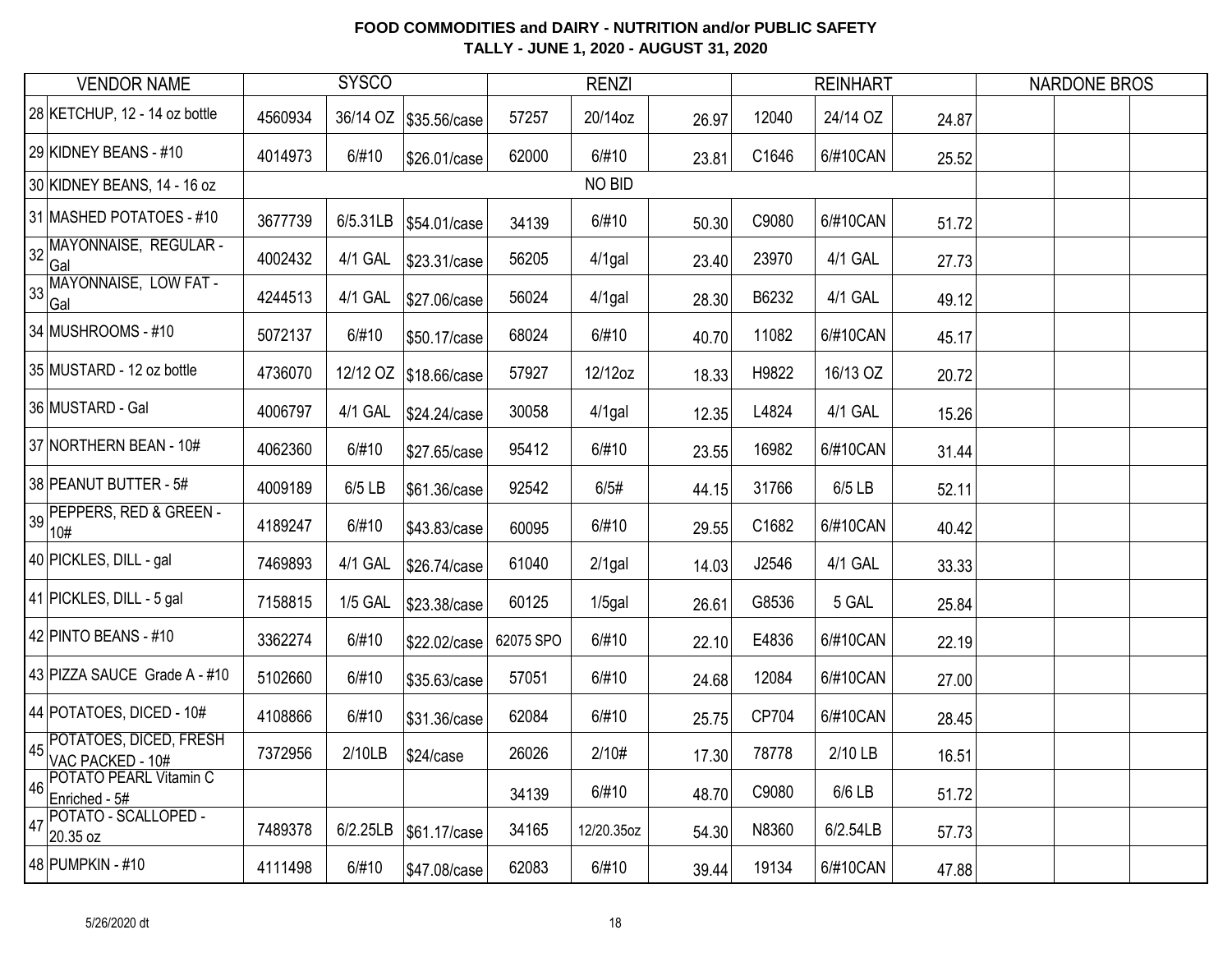| <b>VENDOR NAME</b>                               |         | <b>SYSCO</b>   |                         |           | <b>RENZI</b> |       |       | <b>REINHART</b> |       | <b>NARDONE BROS</b> |  |
|--------------------------------------------------|---------|----------------|-------------------------|-----------|--------------|-------|-------|-----------------|-------|---------------------|--|
| 28 KETCHUP, 12 - 14 oz bottle                    | 4560934 |                | 36/14 OZ   \$35.56/case | 57257     | 20/14oz      | 26.97 | 12040 | 24/14 OZ        | 24.87 |                     |  |
| 29 KIDNEY BEANS - #10                            | 4014973 | 6/#10          | \$26.01/case            | 62000     | 6/#10        | 23.81 | C1646 | 6/#10CAN        | 25.52 |                     |  |
| 30 KIDNEY BEANS, 14 - 16 oz                      |         |                |                         |           | NO BID       |       |       |                 |       |                     |  |
| 31 MASHED POTATOES - #10                         | 3677739 | 6/5.31LB       | \$54.01/case            | 34139     | 6/#10        | 50.30 | C9080 | 6/#10CAN        | 51.72 |                     |  |
| MAYONNAISE, REGULAR -<br>32<br>Gal               | 4002432 | 4/1 GAL        | \$23.31/case            | 56205     | $4/1$ gal    | 23.40 | 23970 | 4/1 GAL         | 27.73 |                     |  |
| 33 MAYONNAISE, LOW FAT -<br>Gal                  | 4244513 | 4/1 GAL        | \$27.06/case            | 56024     | $4/1$ gal    | 28.30 | B6232 | 4/1 GAL         | 49.12 |                     |  |
| 34 MUSHROOMS - #10                               | 5072137 | 6/#10          | \$50.17/case            | 68024     | 6/#10        | 40.70 | 11082 | 6/#10CAN        | 45.17 |                     |  |
| 35 MUSTARD - 12 oz bottle                        | 4736070 |                | 12/12 OZ   \$18.66/case | 57927     | 12/12oz      | 18.33 | H9822 | 16/13 OZ        | 20.72 |                     |  |
| 36 MUSTARD - Gal                                 | 4006797 | 4/1 GAL        | \$24.24/case            | 30058     | $4/1$ gal    | 12.35 | L4824 | 4/1 GAL         | 15.26 |                     |  |
| 37 NORTHERN BEAN - 10#                           | 4062360 | 6/#10          | \$27.65/case            | 95412     | 6/#10        | 23.55 | 16982 | 6/#10CAN        | 31.44 |                     |  |
| 38 PEANUT BUTTER - 5#                            | 4009189 | 6/5 LB         | \$61.36/case            | 92542     | 6/5#         | 44.15 | 31766 | 6/5 LB          | 52.11 |                     |  |
| 39 PEPPERS, RED & GREEN -<br>10#                 | 4189247 | 6/#10          | \$43.83/case            | 60095     | 6/#10        | 29.55 | C1682 | 6/#10CAN        | 40.42 |                     |  |
| 40 PICKLES, DILL - gal                           | 7469893 | 4/1 GAL        | \$26.74/case            | 61040     | $2/1$ gal    | 14.03 | J2546 | 4/1 GAL         | 33.33 |                     |  |
| 41 PICKLES, DILL - 5 gal                         | 7158815 | <b>1/5 GAL</b> | \$23.38/case            | 60125     | $1/5$ gal    | 26.61 | G8536 | 5 GAL           | 25.84 |                     |  |
| 42 PINTO BEANS - #10                             | 3362274 | 6/#10          | \$22.02/case            | 62075 SPO | 6/#10        | 22.10 | E4836 | 6/#10CAN        | 22.19 |                     |  |
| 43 PIZZA SAUCE Grade A - #10                     | 5102660 | 6/#10          | \$35.63/case            | 57051     | 6/#10        | 24.68 | 12084 | 6/#10CAN        | 27.00 |                     |  |
| 44 POTATOES, DICED - 10#                         | 4108866 | 6/#10          | \$31.36/case            | 62084     | 6/#10        | 25.75 | CP704 | 6/#10CAN        | 28.45 |                     |  |
| POTATOES, DICED, FRESH<br>45<br>VAC PACKED - 10# | 7372956 | 2/10LB         | \$24/case               | 26026     | 2/10#        | 17.30 | 78778 | 2/10 LB         | 16.51 |                     |  |
| POTATO PEARL Vitamin C<br>46<br>Enriched - 5#    |         |                |                         | 34139     | 6/#10        | 48.70 | C9080 | 6/6 LB          | 51.72 |                     |  |
| POTATO - SCALLOPED -<br>47<br>20.35 oz           | 7489378 | 6/2.25LB       | \$61.17/case            | 34165     | 12/20.35oz   | 54.30 | N8360 | 6/2.54LB        | 57.73 |                     |  |
| 48 PUMPKIN - #10                                 | 4111498 | 6/#10          | \$47.08/case            | 62083     | 6/#10        | 39.44 | 19134 | 6/#10CAN        | 47.88 |                     |  |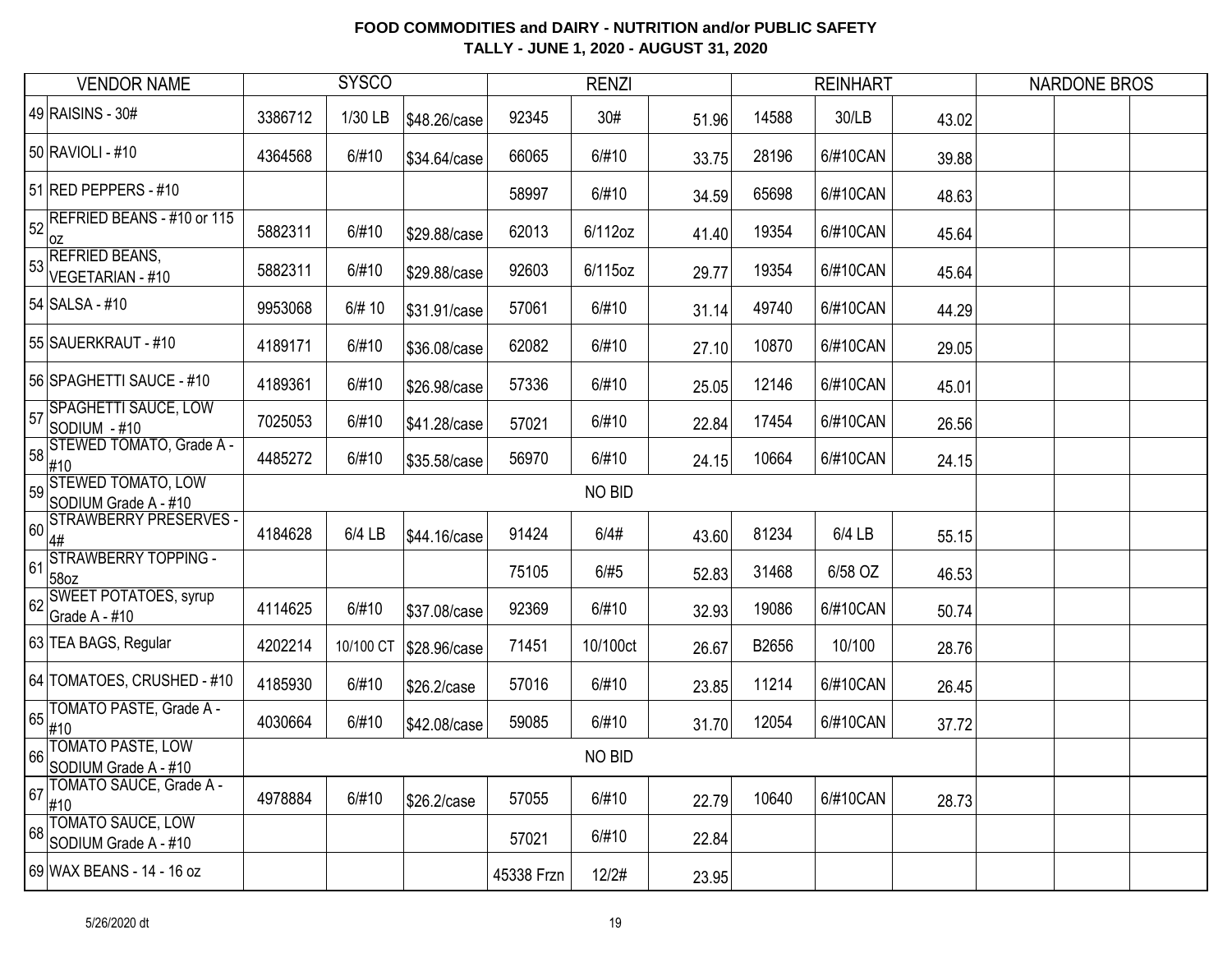| <b>VENDOR NAME</b>                                      |         | <b>SYSCO</b> |              |            | <b>RENZI</b>  |       |       | <b>REINHART</b> |       | <b>NARDONE BROS</b> |  |
|---------------------------------------------------------|---------|--------------|--------------|------------|---------------|-------|-------|-----------------|-------|---------------------|--|
| 49 RAISINS - 30#                                        | 3386712 | 1/30 LB      | \$48.26/case | 92345      | 30#           | 51.96 | 14588 | 30/LB           | 43.02 |                     |  |
| 50 RAVIOLI - #10                                        | 4364568 | 6/#10        | \$34.64/case | 66065      | 6/#10         | 33.75 | 28196 | 6/#10CAN        | 39.88 |                     |  |
| 51 RED PEPPERS - #10                                    |         |              |              | 58997      | 6/#10         | 34.59 | 65698 | 6/#10CAN        | 48.63 |                     |  |
| REFRIED BEANS - #10 or 115<br>52<br>0Z                  | 5882311 | 6/#10        | \$29.88/case | 62013      | 6/112oz       | 41.40 | 19354 | 6/#10CAN        | 45.64 |                     |  |
| <b>REFRIED BEANS,</b><br>53<br><b>VEGETARIAN - #10</b>  | 5882311 | 6/#10        | \$29.88/case | 92603      | 6/115oz       | 29.77 | 19354 | 6/#10CAN        | 45.64 |                     |  |
| 54 SALSA - #10                                          | 9953068 | 6/# 10       | \$31.91/case | 57061      | 6/#10         | 31.14 | 49740 | 6/#10CAN        | 44.29 |                     |  |
| 55 SAUERKRAUT - #10                                     | 4189171 | 6/#10        | \$36.08/case | 62082      | 6/#10         | 27.10 | 10870 | 6/#10CAN        | 29.05 |                     |  |
| 56 SPAGHETTI SAUCE - #10                                | 4189361 | 6/#10        | \$26.98/case | 57336      | 6/#10         | 25.05 | 12146 | 6/#10CAN        | 45.01 |                     |  |
| SPAGHETTI SAUCE, LOW<br>57<br>SODIUM - #10              | 7025053 | 6/#10        | \$41.28/case | 57021      | 6/#10         | 22.84 | 17454 | 6/#10CAN        | 26.56 |                     |  |
| STEWED TOMATO, Grade A -<br>58<br>#10                   | 4485272 | 6/#10        | \$35.58/case | 56970      | 6/#10         | 24.15 | 10664 | 6/#10CAN        | 24.15 |                     |  |
| <b>STEWED TOMATO, LOW</b><br>59<br>SODIUM Grade A - #10 |         |              |              |            | <b>NO BID</b> |       |       |                 |       |                     |  |
| STRAWBERRY PRESERVES<br>60<br>4#                        | 4184628 | 6/4 LB       | \$44.16/case | 91424      | 6/4#          | 43.60 | 81234 | 6/4 LB          | 55.15 |                     |  |
| STRAWBERRY TOPPING -<br>61<br>58oz                      |         |              |              | 75105      | 6/#5          | 52.83 | 31468 | 6/58 OZ         | 46.53 |                     |  |
| <b>SWEET POTATOES, syrup</b><br>62<br>Grade A - #10     | 4114625 | 6/#10        | \$37.08/case | 92369      | 6/#10         | 32.93 | 19086 | 6/#10CAN        | 50.74 |                     |  |
| 63 TEA BAGS, Regular                                    | 4202214 | 10/100 CT    | \$28.96/case | 71451      | 10/100ct      | 26.67 | B2656 | 10/100          | 28.76 |                     |  |
| 64 TOMATOES, CRUSHED - #10                              | 4185930 | 6/#10        | \$26.2/case  | 57016      | 6/#10         | 23.85 | 11214 | 6/#10CAN        | 26.45 |                     |  |
| TOMATO PASTE, Grade A -<br>65<br>#10                    | 4030664 | 6/#10        | \$42.08/case | 59085      | 6/#10         | 31.70 | 12054 | 6/#10CAN        | 37.72 |                     |  |
| TOMATO PASTE, LOW<br>66<br>SODIUM Grade A - #10         |         |              |              |            | NO BID        |       |       |                 |       |                     |  |
| TOMATO SAUCE, Grade A -<br>67<br>#10                    | 4978884 | 6/#10        | \$26.2/case  | 57055      | 6/#10         | 22.79 | 10640 | 6/#10CAN        | 28.73 |                     |  |
| TOMATO SAUCE, LOW<br>68<br>SODIUM Grade A - #10         |         |              |              | 57021      | 6/#10         | 22.84 |       |                 |       |                     |  |
| 69 WAX BEANS - 14 - 16 oz                               |         |              |              | 45338 Frzn | 12/2#         | 23.95 |       |                 |       |                     |  |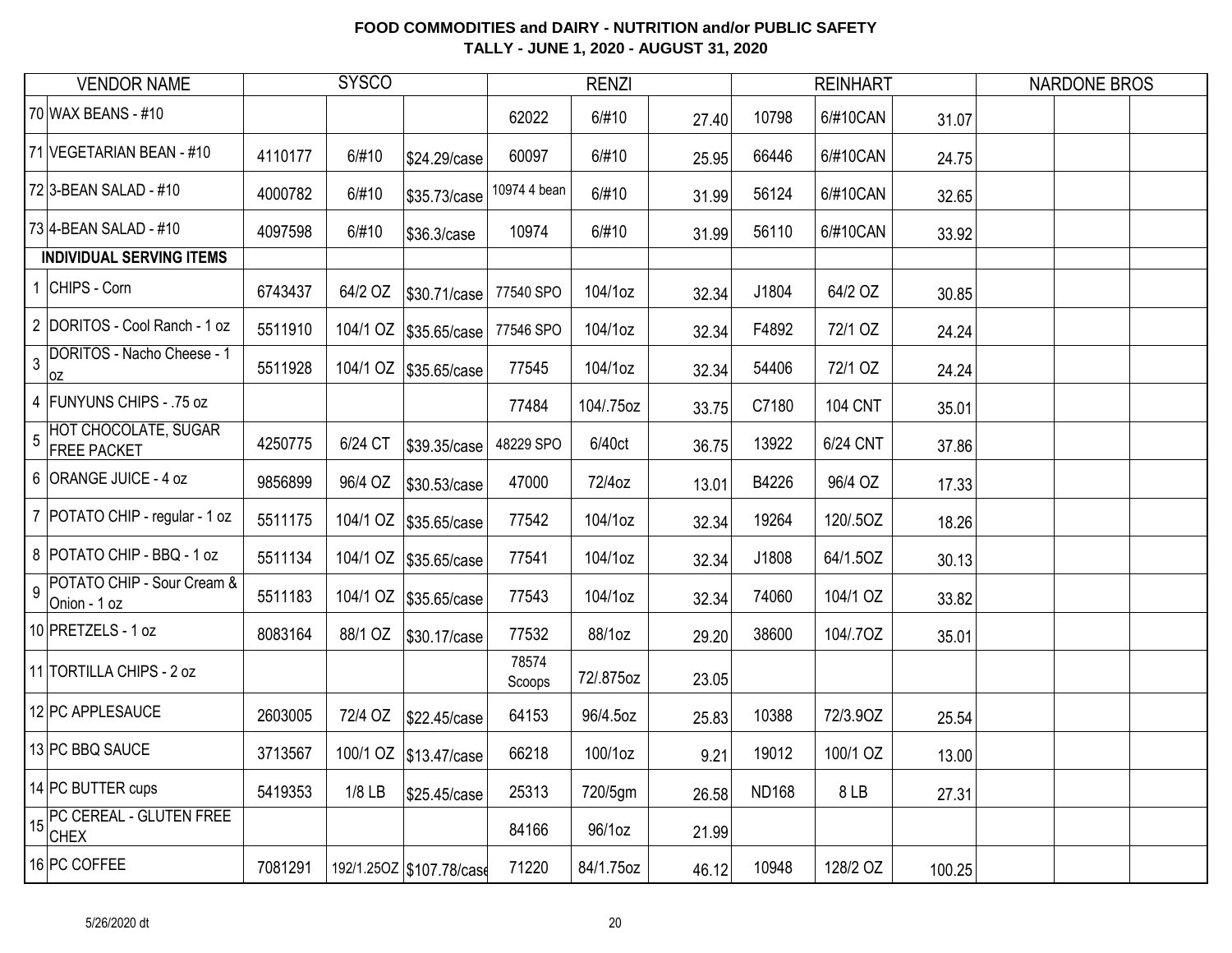| <b>VENDOR NAME</b>                                           |         | <b>SYSCO</b> |                          |                 | <b>RENZI</b> |       |              | <b>REINHART</b> |        | <b>NARDONE BROS</b> |  |
|--------------------------------------------------------------|---------|--------------|--------------------------|-----------------|--------------|-------|--------------|-----------------|--------|---------------------|--|
| 70 WAX BEANS - #10                                           |         |              |                          | 62022           | 6/#10        | 27.40 | 10798        | 6/#10CAN        | 31.07  |                     |  |
| 71 VEGETARIAN BEAN - #10                                     | 4110177 | 6/#10        | \$24.29/case             | 60097           | 6/#10        | 25.95 | 66446        | 6/#10CAN        | 24.75  |                     |  |
| 72 3-BEAN SALAD - #10                                        | 4000782 | 6/#10        | \$35.73/case             | 10974 4 bean    | 6/#10        | 31.99 | 56124        | 6/#10CAN        | 32.65  |                     |  |
| 73 4-BEAN SALAD - #10                                        | 4097598 | 6/#10        | \$36.3/case              | 10974           | 6/#10        | 31.99 | 56110        | 6/#10CAN        | 33.92  |                     |  |
| <b>INDIVIDUAL SERVING ITEMS</b>                              |         |              |                          |                 |              |       |              |                 |        |                     |  |
| 1 CHIPS - Corn                                               | 6743437 | 64/2 OZ      | \$30.71/case             | 77540 SPO       | 104/1oz      | 32.34 | J1804        | 64/2 OZ         | 30.85  |                     |  |
| 2 DORITOS - Cool Ranch - 1 oz                                | 5511910 |              | 104/1 OZ \$35.65/case    | 77546 SPO       | 104/1oz      | 32.34 | F4892        | 72/1 OZ         | 24.24  |                     |  |
| <b>DORITOS - Nacho Cheese - 1</b><br>$\overline{3}$<br> oz   | 5511928 |              | 104/1 OZ \$35.65/case    | 77545           | 104/1oz      | 32.34 | 54406        | 72/1 OZ         | 24.24  |                     |  |
| 4 FUNYUNS CHIPS - .75 oz                                     |         |              |                          | 77484           | 104/.75oz    | 33.75 | C7180        | <b>104 CNT</b>  | 35.01  |                     |  |
| HOT CHOCOLATE, SUGAR<br>$\overline{5}$<br><b>FREE PACKET</b> | 4250775 | 6/24 CT      | \$39.35/case             | 48229 SPO       | 6/40ct       | 36.75 | 13922        | 6/24 CNT        | 37.86  |                     |  |
| 6 ORANGE JUICE - 4 oz                                        | 9856899 | 96/4 OZ      | \$30.53/case             | 47000           | 72/4oz       | 13.01 | B4226        | 96/4 OZ         | 17.33  |                     |  |
| 7 POTATO CHIP - regular - 1 oz                               | 5511175 |              | 104/1 OZ \$35.65/case    | 77542           | 104/1oz      | 32.34 | 19264        | 120/.5OZ        | 18.26  |                     |  |
| 8 POTATO CHIP - BBQ - 1 oz                                   | 5511134 |              | 104/1 OZ \$35.65/case    | 77541           | 104/1oz      | 32.34 | J1808        | 64/1.5OZ        | 30.13  |                     |  |
| POTATO CHIP - Sour Cream &<br>$\overline{9}$<br>Onion - 1 oz | 5511183 |              | 104/1 OZ \$35.65/case    | 77543           | 104/1oz      | 32.34 | 74060        | 104/1 OZ        | 33.82  |                     |  |
| 10 PRETZELS - 1 oz                                           | 8083164 | 88/1 OZ      | \$30.17/case             | 77532           | 88/1oz       | 29.20 | 38600        | 104/.7OZ        | 35.01  |                     |  |
| 11 TORTILLA CHIPS - 2 oz                                     |         |              |                          | 78574<br>Scoops | 72/.875oz    | 23.05 |              |                 |        |                     |  |
| 12 PC APPLESAUCE                                             | 2603005 | 72/4 OZ      | \$22.45/case             | 64153           | 96/4.5oz     | 25.83 | 10388        | 72/3.90Z        | 25.54  |                     |  |
| 13 PC BBQ SAUCE                                              | 3713567 |              | 100/1 OZ \$13.47/case    | 66218           | 100/1oz      | 9.21  | 19012        | 100/1 OZ        | 13.00  |                     |  |
| 14 PC BUTTER cups                                            | 5419353 | $1/8$ LB     | \$25.45/case             | 25313           | 720/5gm      | 26.58 | <b>ND168</b> | 8LB             | 27.31  |                     |  |
| THE PC CEREAL - GLUTEN FREE<br><b>CHEX</b>                   |         |              |                          | 84166           | 96/1oz       | 21.99 |              |                 |        |                     |  |
| 16 PC COFFEE                                                 | 7081291 |              | 192/1.25OZ \$107.78/case | 71220           | 84/1.75oz    | 46.12 | 10948        | 128/2 OZ        | 100.25 |                     |  |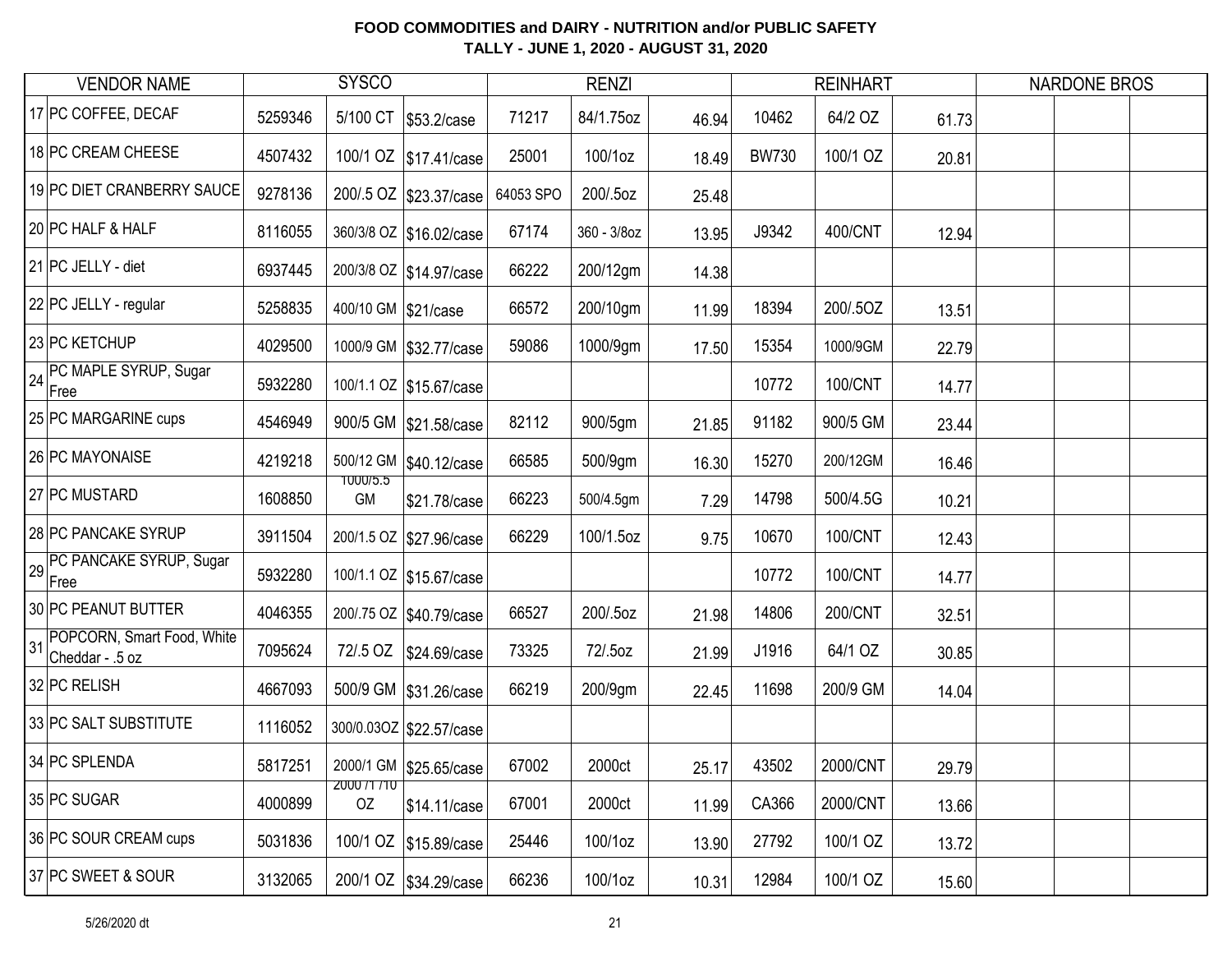| <b>VENDOR NAME</b>                               |         | <b>SYSCO</b>             |                           |           | <b>RENZI</b> |       |              | <b>REINHART</b> |       | <b>NARDONE BROS</b> |  |
|--------------------------------------------------|---------|--------------------------|---------------------------|-----------|--------------|-------|--------------|-----------------|-------|---------------------|--|
| 17 PC COFFEE, DECAF                              | 5259346 |                          | 5/100 CT \$53.2/case      | 71217     | 84/1.75oz    | 46.94 | 10462        | 64/2 OZ         | 61.73 |                     |  |
| 18 PC CREAM CHEESE                               | 4507432 |                          | 100/1 OZ \$17.41/case     | 25001     | 100/1oz      | 18.49 | <b>BW730</b> | 100/1 OZ        | 20.81 |                     |  |
| 19 PC DIET CRANBERRY SAUCE                       | 9278136 |                          | 200/.5 OZ   \$23.37/case  | 64053 SPO | 200/.5oz     | 25.48 |              |                 |       |                     |  |
| 20 PC HALF & HALF                                | 8116055 |                          | 360/3/8 OZ \$16.02/case   | 67174     | 360 - 3/8oz  | 13.95 | J9342        | 400/CNT         | 12.94 |                     |  |
| 21 PC JELLY - diet                               | 6937445 |                          | 200/3/8 OZ \$14.97/case   | 66222     | 200/12gm     | 14.38 |              |                 |       |                     |  |
| 22 PC JELLY - regular                            | 5258835 | 400/10 GM \$21/case      |                           | 66572     | 200/10gm     | 11.99 | 18394        | 200/.5OZ        | 13.51 |                     |  |
| 23 PC KETCHUP                                    | 4029500 |                          | 1000/9 GM \$32.77/case    | 59086     | 1000/9gm     | 17.50 | 15354        | 1000/9GM        | 22.79 |                     |  |
| 24 PC MAPLE SYRUP, Sugar<br>Free                 | 5932280 |                          | 100/1.1 OZ   \$15.67/case |           |              |       | 10772        | 100/CNT         | 14.77 |                     |  |
| 25 PC MARGARINE cups                             | 4546949 |                          | 900/5 GM \$21.58/case     | 82112     | 900/5gm      | 21.85 | 91182        | 900/5 GM        | 23.44 |                     |  |
| 26 PC MAYONAISE                                  | 4219218 |                          | 500/12 GM \$40.12/case    | 66585     | 500/9gm      | 16.30 | 15270        | 200/12GM        | 16.46 |                     |  |
| 27 PC MUSTARD                                    | 1608850 | <b>1000/5.5</b><br>GM    | \$21.78/case              | 66223     | 500/4.5gm    | 7.29  | 14798        | 500/4.5G        | 10.21 |                     |  |
| 28 PC PANCAKE SYRUP                              | 3911504 |                          | 200/1.5 OZ   \$27.96/case | 66229     | 100/1.5oz    | 9.75  | 10670        | 100/CNT         | 12.43 |                     |  |
| PC PANCAKE SYRUP, Sugar<br>29<br>Free            | 5932280 |                          | 100/1.1 OZ \$15.67/case   |           |              |       | 10772        | 100/CNT         | 14.77 |                     |  |
| 30 PC PEANUT BUTTER                              | 4046355 |                          | 200/.75 OZ   \$40.79/case | 66527     | 200/.5oz     | 21.98 | 14806        | 200/CNT         | 32.51 |                     |  |
| 31 POPCORN, Smart Food, White<br>Cheddar - .5 oz | 7095624 |                          | 72/.5 OZ \$24.69/case     | 73325     | 72/.5oz      | 21.99 | J1916        | 64/1 OZ         | 30.85 |                     |  |
| 32 PC RELISH                                     | 4667093 |                          | 500/9 GM   \$31.26/case   | 66219     | 200/9gm      | 22.45 | 11698        | 200/9 GM        | 14.04 |                     |  |
| 33 PC SALT SUBSTITUTE                            | 1116052 |                          | 300/0.03OZ   \$22.57/case |           |              |       |              |                 |       |                     |  |
| 34 PC SPLENDA                                    | 5817251 |                          | 2000/1 GM \$25.65/case    | 67002     | 2000ct       | 25.17 | 43502        | 2000/CNT        | 29.79 |                     |  |
| 35 PC SUGAR                                      | 4000899 | <b>ZUUU /T /TU</b><br>OZ | \$14.11/case              | 67001     | 2000ct       | 11.99 | CA366        | 2000/CNT        | 13.66 |                     |  |
| 36 PC SOUR CREAM cups                            | 5031836 |                          | 100/1 OZ \$15.89/case     | 25446     | 100/1oz      | 13.90 | 27792        | 100/1 OZ        | 13.72 |                     |  |
| 37 PC SWEET & SOUR                               | 3132065 |                          | 200/1 OZ   \$34.29/case   | 66236     | 100/1oz      | 10.31 | 12984        | 100/1 OZ        | 15.60 |                     |  |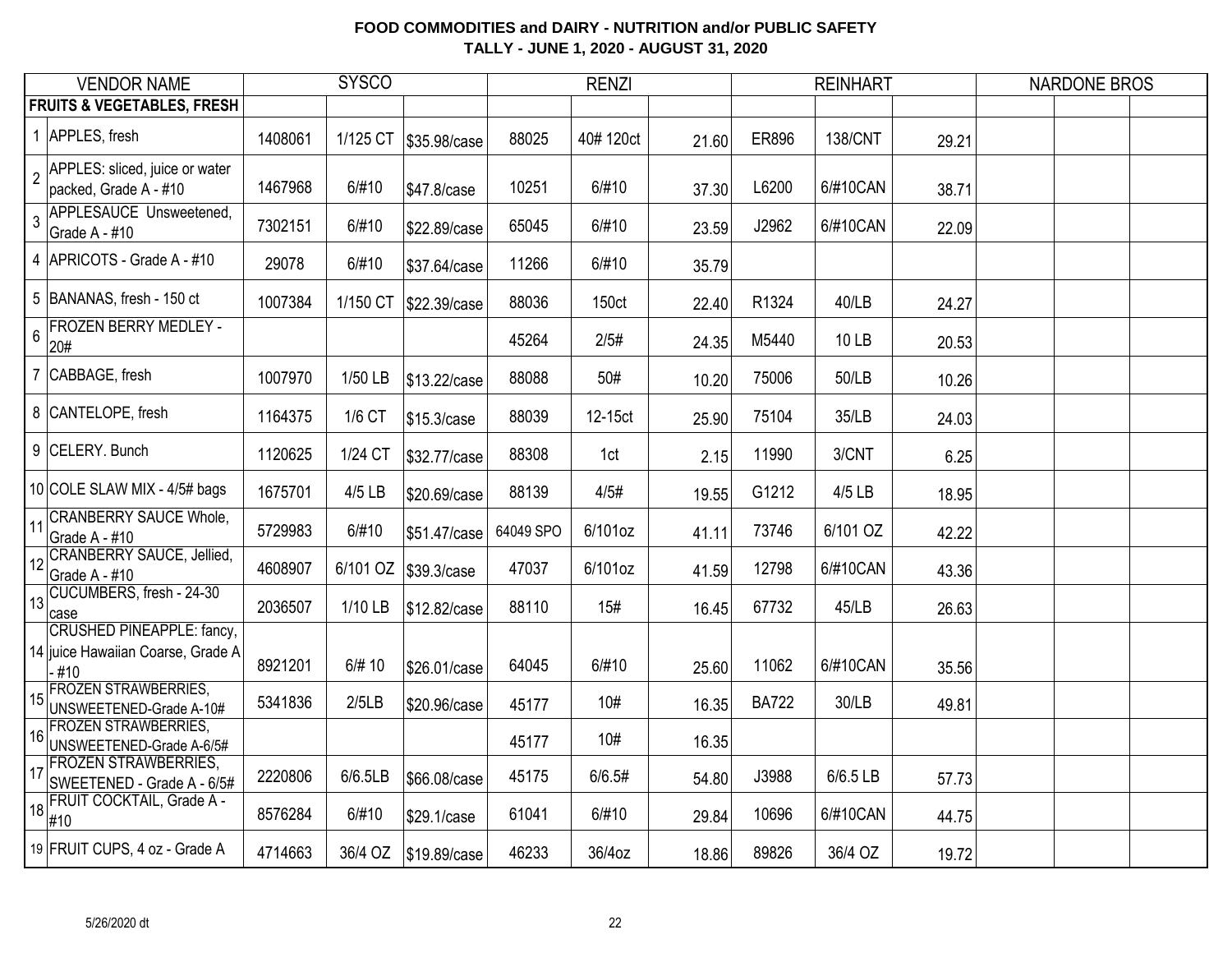|                 | <b>VENDOR NAME</b>                                                     |         | <b>SYSCO</b> |              |           | <b>RENZI</b> |       |              | <b>REINHART</b> |       | <b>NARDONE BROS</b> |  |
|-----------------|------------------------------------------------------------------------|---------|--------------|--------------|-----------|--------------|-------|--------------|-----------------|-------|---------------------|--|
|                 | <b>FRUITS &amp; VEGETABLES, FRESH</b>                                  |         |              |              |           |              |       |              |                 |       |                     |  |
|                 | 1 APPLES, fresh                                                        | 1408061 | 1/125 CT     | \$35.98/case | 88025     | 40#120ct     | 21.60 | ER896        | <b>138/CNT</b>  | 29.21 |                     |  |
| $\overline{2}$  | APPLES: sliced, juice or water<br>packed, Grade A - #10                | 1467968 | 6/#10        | \$47.8/case  | 10251     | 6/#10        | 37.30 | L6200        | 6/#10CAN        | 38.71 |                     |  |
| $\overline{3}$  | APPLESAUCE Unsweetened,<br>Grade A - #10                               | 7302151 | 6/#10        | \$22.89/case | 65045     | 6/#10        | 23.59 | J2962        | 6/#10CAN        | 22.09 |                     |  |
|                 | 4 APRICOTS - Grade A - #10                                             | 29078   | 6/#10        | \$37.64/case | 11266     | 6/#10        | 35.79 |              |                 |       |                     |  |
|                 | 5 BANANAS, fresh - 150 ct                                              | 1007384 | 1/150 CT     | \$22.39/case | 88036     | 150ct        | 22.40 | R1324        | 40/LB           | 24.27 |                     |  |
| $6\overline{6}$ | <b>FROZEN BERRY MEDLEY -</b><br>20#                                    |         |              |              | 45264     | 2/5#         | 24.35 | M5440        | 10 LB           | 20.53 |                     |  |
| $\overline{7}$  | CABBAGE, fresh                                                         | 1007970 | 1/50 LB      | \$13.22/case | 88088     | 50#          | 10.20 | 75006        | 50/LB           | 10.26 |                     |  |
|                 | 8 CANTELOPE, fresh                                                     | 1164375 | 1/6 CT       | \$15.3/case  | 88039     | 12-15ct      | 25.90 | 75104        | 35/LB           | 24.03 |                     |  |
|                 | 9 CELERY. Bunch                                                        | 1120625 | 1/24 CT      | \$32.77/case | 88308     | 1ct          | 2.15  | 11990        | 3/CNT           | 6.25  |                     |  |
|                 | 10 COLE SLAW MIX - 4/5# bags                                           | 1675701 | 4/5 LB       | \$20.69/case | 88139     | 4/5#         | 19.55 | G1212        | 4/5 LB          | 18.95 |                     |  |
| 11              | <b>CRANBERRY SAUCE Whole,</b><br>Grade A - #10                         | 5729983 | 6/#10        | \$51.47/case | 64049 SPO | 6/101oz      | 41.11 | 73746        | 6/101 OZ        | 42.22 |                     |  |
|                 | 12 CRANBERRY SAUCE, Jellied,<br>Grade A - #10                          | 4608907 | 6/101 OZ     | \$39.3/case  | 47037     | 6/101oz      | 41.59 | 12798        | 6/#10CAN        | 43.36 |                     |  |
| 13              | CUCUMBERS, fresh - 24-30<br>case                                       | 2036507 | 1/10 LB      | \$12.82/case | 88110     | 15#          | 16.45 | 67732        | 45/LB           | 26.63 |                     |  |
|                 | CRUSHED PINEAPPLE: fancy,<br>14 juice Hawaiian Coarse, Grade A<br>-#10 | 8921201 | 6/# 10       | \$26.01/case | 64045     | 6/#10        | 25.60 | 11062        | 6/#10CAN        | 35.56 |                     |  |
| 15              | <b>FROZEN STRAWBERRIES,</b><br>UNSWEETENED-Grade A-10#                 | 5341836 | 2/5LB        | \$20.96/case | 45177     | 10#          | 16.35 | <b>BA722</b> | 30/LB           | 49.81 |                     |  |
| 16              | <b>FROZEN STRAWBERRIES,</b><br>UNSWEETENED-Grade A-6/5#                |         |              |              | 45177     | 10#          | 16.35 |              |                 |       |                     |  |
| 17              | <b>FROZEN STRAWBERRIES,</b><br>SWEETENED - Grade A - 6/5#              | 2220806 | 6/6.5LB      | \$66.08/case | 45175     | 6/6.5#       | 54.80 | J3988        | 6/6.5 LB        | 57.73 |                     |  |
|                 | $\frac{18}{18}$ FRUIT COCKTAIL, Grade A -<br>#10                       | 8576284 | 6/#10        | \$29.1/case  | 61041     | 6/#10        | 29.84 | 10696        | 6/#10CAN        | 44.75 |                     |  |
|                 | 19 FRUIT CUPS, 4 oz - Grade A                                          | 4714663 | 36/4 OZ      | \$19.89/case | 46233     | 36/4oz       | 18.86 | 89826        | 36/4 OZ         | 19.72 |                     |  |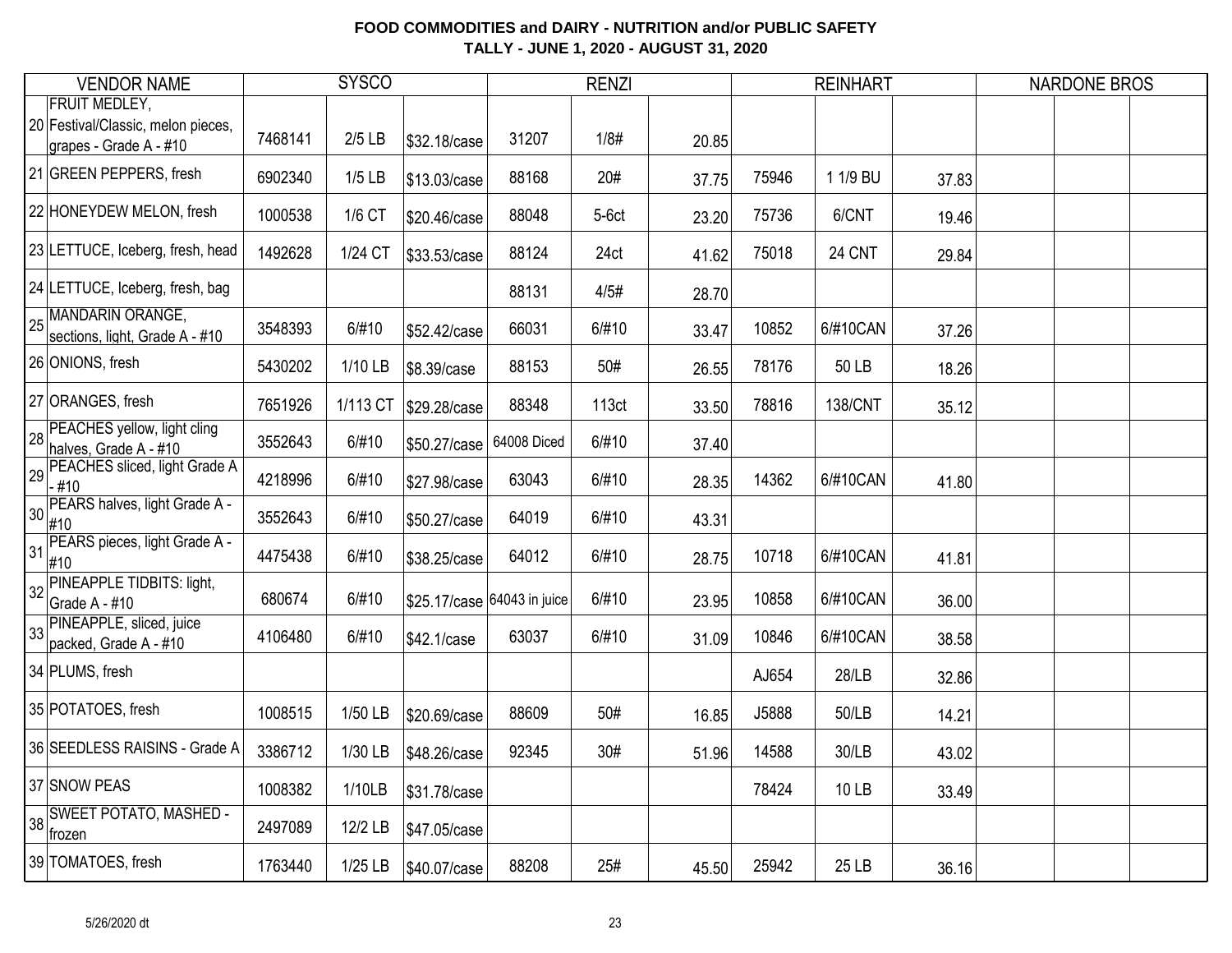| <b>VENDOR NAME</b>                                                                   |         | <b>SYSCO</b> |                             |             | <b>RENZI</b> |       |       | <b>REINHART</b> |       | <b>NARDONE BROS</b> |  |
|--------------------------------------------------------------------------------------|---------|--------------|-----------------------------|-------------|--------------|-------|-------|-----------------|-------|---------------------|--|
| <b>FRUIT MEDLEY,</b><br>20 Festival/Classic, melon pieces,<br>grapes - Grade A - #10 | 7468141 | $2/5$ LB     | \$32.18/case                | 31207       | 1/8#         | 20.85 |       |                 |       |                     |  |
| 21 GREEN PEPPERS, fresh                                                              | 6902340 | $1/5$ LB     | \$13.03/case                | 88168       | 20#          | 37.75 | 75946 | 1 1/9 BU        | 37.83 |                     |  |
| 22 HONEYDEW MELON, fresh                                                             | 1000538 | 1/6 CT       | \$20.46/case                | 88048       | $5-6ct$      | 23.20 | 75736 | 6/CNT           | 19.46 |                     |  |
| 23 LETTUCE, Iceberg, fresh, head                                                     | 1492628 | 1/24 CT      | \$33.53/case                | 88124       | 24ct         | 41.62 | 75018 | 24 CNT          | 29.84 |                     |  |
| 24 LETTUCE, Iceberg, fresh, bag                                                      |         |              |                             | 88131       | 4/5#         | 28.70 |       |                 |       |                     |  |
| 25 MANDARIN ORANGE,<br>sections, light, Grade A - #10                                | 3548393 | 6/#10        | \$52.42/case                | 66031       | 6/#10        | 33.47 | 10852 | 6/#10CAN        | 37.26 |                     |  |
| 26 ONIONS, fresh                                                                     | 5430202 | 1/10 LB      | \$8.39/case                 | 88153       | 50#          | 26.55 | 78176 | 50 LB           | 18.26 |                     |  |
| 27 ORANGES, fresh                                                                    | 7651926 | 1/113 CT     | \$29.28/case                | 88348       | 113ct        | 33.50 | 78816 | <b>138/CNT</b>  | 35.12 |                     |  |
| 28 PEACHES yellow, light cling<br>halves, Grade A - #10                              | 3552643 | 6/#10        | \$50.27/case                | 64008 Diced | 6/#10        | 37.40 |       |                 |       |                     |  |
| 29 PEACHES sliced, light Grade A<br>$-#10$                                           | 4218996 | 6/#10        | \$27.98/case                | 63043       | 6/#10        | 28.35 | 14362 | 6/#10CAN        | 41.80 |                     |  |
| 30 PEARS halves, light Grade A -<br>#10                                              | 3552643 | 6/#10        | \$50.27/case                | 64019       | 6/#10        | 43.31 |       |                 |       |                     |  |
| PEARS pieces, light Grade A -<br>31<br>#10                                           | 4475438 | 6/#10        | \$38.25/case                | 64012       | 6/#10        | 28.75 | 10718 | 6/#10CAN        | 41.81 |                     |  |
| 32 PINEAPPLE TIDBITS: light,<br>Grade A - #10                                        | 680674  | 6/#10        | \$25.17/case 64043 in juice |             | 6/#10        | 23.95 | 10858 | 6/#10CAN        | 36.00 |                     |  |
| PINEAPPLE, sliced, juice<br>33<br>packed, Grade A - #10                              | 4106480 | 6/#10        | \$42.1/case                 | 63037       | 6/#10        | 31.09 | 10846 | 6/#10CAN        | 38.58 |                     |  |
| 34 PLUMS, fresh                                                                      |         |              |                             |             |              |       | AJ654 | 28/LB           | 32.86 |                     |  |
| 35 POTATOES, fresh                                                                   | 1008515 | 1/50 LB      | \$20.69/case                | 88609       | 50#          | 16.85 | J5888 | 50/LB           | 14.21 |                     |  |
| 36 SEEDLESS RAISINS - Grade A                                                        | 3386712 | 1/30 LB      | \$48.26/case                | 92345       | 30#          | 51.96 | 14588 | 30/LB           | 43.02 |                     |  |
| 37 SNOW PEAS                                                                         | 1008382 | 1/10LB       | \$31.78/case                |             |              |       | 78424 | 10 LB           | 33.49 |                     |  |
| 38 SWEET POTATO, MASHED -<br>frozen                                                  | 2497089 | 12/2 LB      | \$47.05/case                |             |              |       |       |                 |       |                     |  |
| 39 TOMATOES, fresh                                                                   | 1763440 | $1/25$ LB    | \$40.07/case                | 88208       | 25#          | 45.50 | 25942 | 25 LB           | 36.16 |                     |  |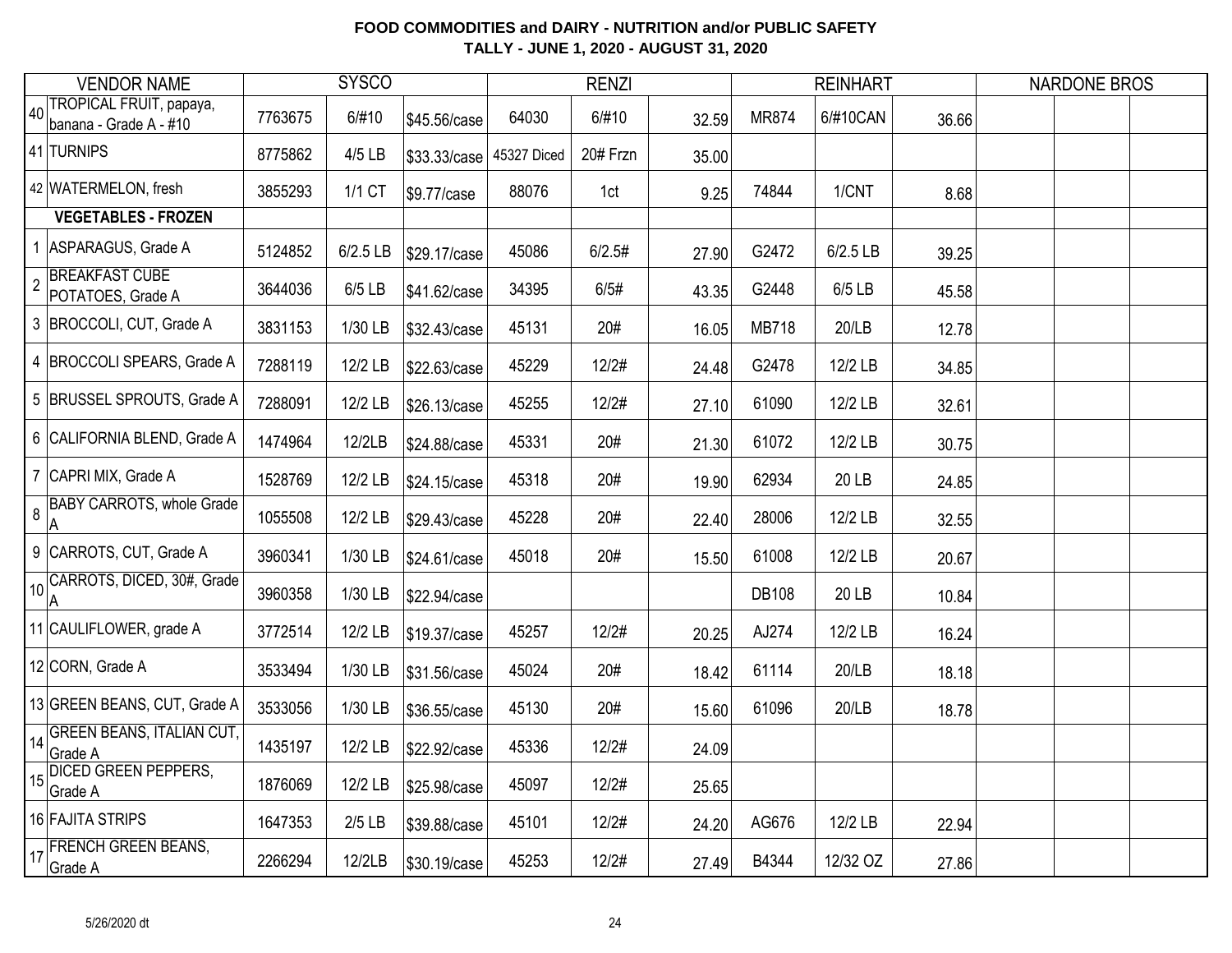|                 | <b>VENDOR NAME</b>                                |         | <b>SYSCO</b> |              |             | <b>RENZI</b> |       |              | <b>REINHART</b> |       | <b>NARDONE BROS</b> |  |
|-----------------|---------------------------------------------------|---------|--------------|--------------|-------------|--------------|-------|--------------|-----------------|-------|---------------------|--|
| 40 <sup>1</sup> | TROPICAL FRUIT, papaya,<br>banana - Grade A - #10 | 7763675 | 6/#10        | \$45.56/case | 64030       | 6/#10        | 32.59 | <b>MR874</b> | 6/#10CAN        | 36.66 |                     |  |
|                 | 41 TURNIPS                                        | 8775862 | 4/5 LB       | \$33.33/case | 45327 Diced | 20# Frzn     | 35.00 |              |                 |       |                     |  |
|                 | 42 WATERMELON, fresh                              | 3855293 | 1/1 CT       | \$9.77/case  | 88076       | 1ct          | 9.25  | 74844        | 1/CNT           | 8.68  |                     |  |
|                 | <b>VEGETABLES - FROZEN</b>                        |         |              |              |             |              |       |              |                 |       |                     |  |
|                 | 1 ASPARAGUS, Grade A                              | 5124852 | 6/2.5 LB     | \$29.17/case | 45086       | 6/2.5#       | 27.90 | G2472        | 6/2.5 LB        | 39.25 |                     |  |
| $\overline{2}$  | <b>BREAKFAST CUBE</b><br>POTATOES, Grade A        | 3644036 | 6/5 LB       | \$41.62/case | 34395       | 6/5#         | 43.35 | G2448        | 6/5 LB          | 45.58 |                     |  |
|                 | 3 BROCCOLI, CUT, Grade A                          | 3831153 | 1/30 LB      | \$32.43/case | 45131       | 20#          | 16.05 | <b>MB718</b> | 20/LB           | 12.78 |                     |  |
|                 | 4  BROCCOLI SPEARS, Grade A                       | 7288119 | 12/2 LB      | \$22.63/case | 45229       | 12/2#        | 24.48 | G2478        | 12/2 LB         | 34.85 |                     |  |
|                 | 5 BRUSSEL SPROUTS, Grade A                        | 7288091 | 12/2 LB      | \$26.13/case | 45255       | 12/2#        | 27.10 | 61090        | 12/2 LB         | 32.61 |                     |  |
|                 | 6 CALIFORNIA BLEND, Grade A                       | 1474964 | 12/2LB       | \$24.88/case | 45331       | 20#          | 21.30 | 61072        | 12/2 LB         | 30.75 |                     |  |
|                 | 7 CAPRI MIX, Grade A                              | 1528769 | 12/2 LB      | \$24.15/case | 45318       | 20#          | 19.90 | 62934        | 20 LB           | 24.85 |                     |  |
| 8               | <b>BABY CARROTS, whole Grade</b><br>A             | 1055508 | 12/2 LB      | \$29.43/case | 45228       | 20#          | 22.40 | 28006        | 12/2 LB         | 32.55 |                     |  |
|                 | 9 CARROTS, CUT, Grade A                           | 3960341 | 1/30 LB      | \$24.61/case | 45018       | 20#          | 15.50 | 61008        | 12/2 LB         | 20.67 |                     |  |
|                 | 10 CARROTS, DICED, 30#, Grade                     | 3960358 | 1/30 LB      | \$22.94/case |             |              |       | <b>DB108</b> | 20 LB           | 10.84 |                     |  |
|                 | 11 CAULIFLOWER, grade A                           | 3772514 | 12/2 LB      | \$19.37/case | 45257       | 12/2#        | 20.25 | AJ274        | 12/2 LB         | 16.24 |                     |  |
|                 | 12 CORN, Grade A                                  | 3533494 | 1/30 LB      | \$31.56/case | 45024       | 20#          | 18.42 | 61114        | 20/LB           | 18.18 |                     |  |
|                 | 13 GREEN BEANS, CUT, Grade A                      | 3533056 | 1/30 LB      | \$36.55/case | 45130       | 20#          | 15.60 | 61096        | 20/LB           | 18.78 |                     |  |
| 14              | <b>GREEN BEANS, ITALIAN CUT,</b><br>Grade A       | 1435197 | 12/2 LB      | \$22.92/case | 45336       | 12/2#        | 24.09 |              |                 |       |                     |  |
| 15              | DICED GREEN PEPPERS,<br>Grade A                   | 1876069 | 12/2 LB      | \$25.98/case | 45097       | 12/2#        | 25.65 |              |                 |       |                     |  |
|                 | 16 FAJITA STRIPS                                  | 1647353 | $2/5$ LB     | \$39.88/case | 45101       | 12/2#        | 24.20 | AG676        | 12/2 LB         | 22.94 |                     |  |
| 17              | <b>FRENCH GREEN BEANS,</b><br>Grade A             | 2266294 | 12/2LB       | \$30.19/case | 45253       | 12/2#        | 27.49 | B4344        | 12/32 OZ        | 27.86 |                     |  |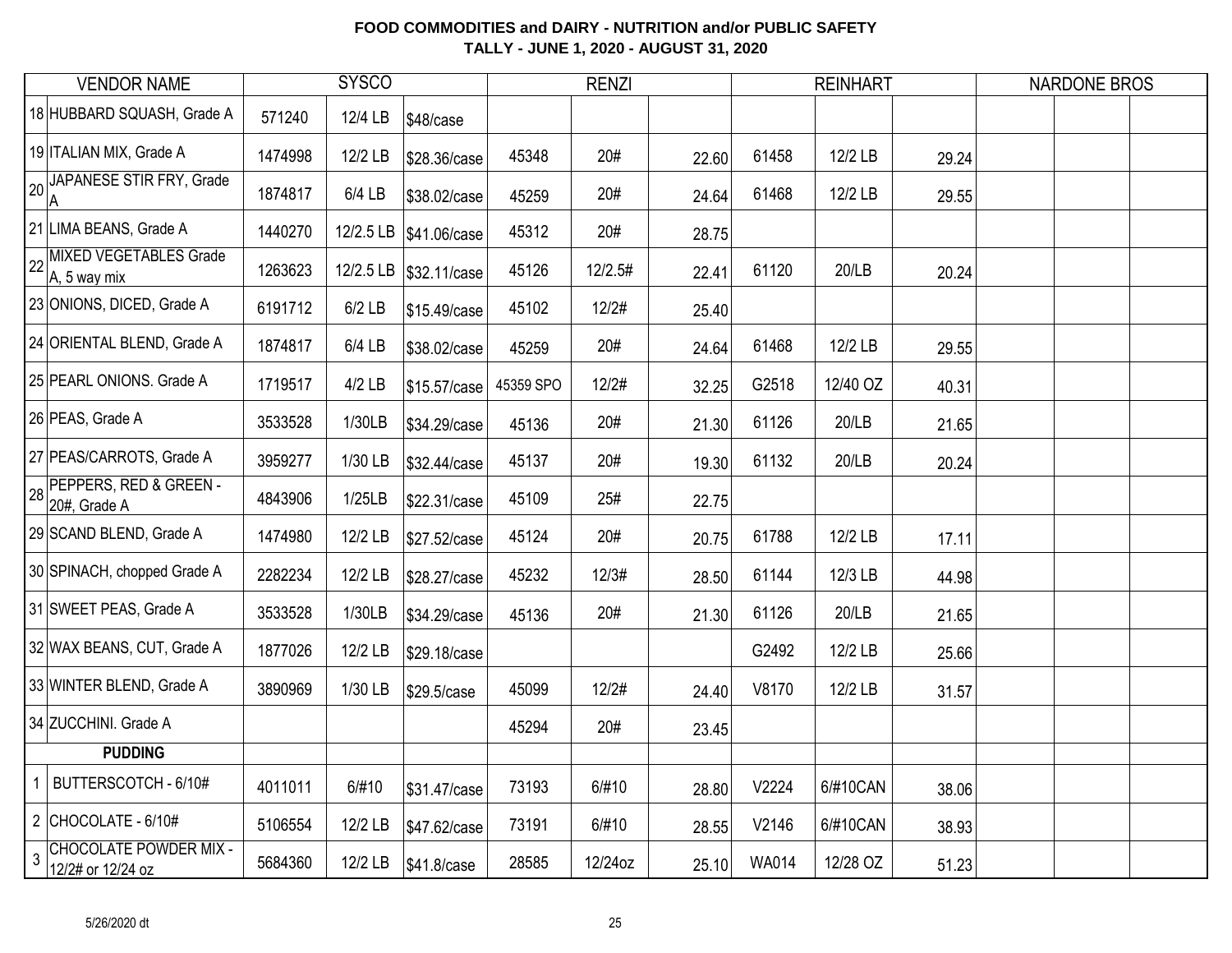| <b>VENDOR NAME</b>                                                   |         | <b>SYSCO</b> |                        | <b>RENZI</b> |         |       | <b>REINHART</b> |          |       | <b>NARDONE BROS</b> |  |  |
|----------------------------------------------------------------------|---------|--------------|------------------------|--------------|---------|-------|-----------------|----------|-------|---------------------|--|--|
| 18 HUBBARD SQUASH, Grade A                                           | 571240  | 12/4 LB      | \$48/case              |              |         |       |                 |          |       |                     |  |  |
| 19 ITALIAN MIX, Grade A                                              | 1474998 | 12/2 LB      | \$28.36/case           | 45348        | 20#     | 22.60 | 61458           | 12/2 LB  | 29.24 |                     |  |  |
| JAPANESE STIR FRY, Grade<br> A                                       | 1874817 | 6/4 LB       | \$38.02/case           | 45259        | 20#     | 24.64 | 61468           | 12/2 LB  | 29.55 |                     |  |  |
| 21 LIMA BEANS, Grade A                                               | 1440270 |              | 12/2.5 LB \$41.06/case | 45312        | 20#     | 28.75 |                 |          |       |                     |  |  |
| 22 MIXED VEGETABLES Grade<br>A, 5 way mix                            | 1263623 |              | 12/2.5 LB \$32.11/case | 45126        | 12/2.5# | 22.41 | 61120           | 20/LB    | 20.24 |                     |  |  |
| 23 ONIONS, DICED, Grade A                                            | 6191712 | $6/2$ LB     | \$15.49/case           | 45102        | 12/2#   | 25.40 |                 |          |       |                     |  |  |
| 24 ORIENTAL BLEND, Grade A                                           | 1874817 | 6/4 LB       | \$38.02/case           | 45259        | 20#     | 24.64 | 61468           | 12/2 LB  | 29.55 |                     |  |  |
| 25 PEARL ONIONS. Grade A                                             | 1719517 | $4/2$ LB     | \$15.57/case           | 45359 SPO    | 12/2#   | 32.25 | G2518           | 12/40 OZ | 40.31 |                     |  |  |
| 26 PEAS, Grade A                                                     | 3533528 | 1/30LB       | \$34.29/case           | 45136        | 20#     | 21.30 | 61126           | 20/LB    | 21.65 |                     |  |  |
| 27 PEAS/CARROTS, Grade A                                             | 3959277 | 1/30 LB      | \$32.44/case           | 45137        | 20#     | 19.30 | 61132           | 20/LB    | 20.24 |                     |  |  |
| 28 PEPPERS, RED & GREEN -<br>20#, Grade A                            | 4843906 | 1/25LB       | \$22.31/case           | 45109        | 25#     | 22.75 |                 |          |       |                     |  |  |
| 29 SCAND BLEND, Grade A                                              | 1474980 | 12/2 LB      | \$27.52/case           | 45124        | 20#     | 20.75 | 61788           | 12/2 LB  | 17.11 |                     |  |  |
| 30 SPINACH, chopped Grade A                                          | 2282234 | 12/2 LB      | \$28.27/case           | 45232        | 12/3#   | 28.50 | 61144           | 12/3 LB  | 44.98 |                     |  |  |
| 31 SWEET PEAS, Grade A                                               | 3533528 | 1/30LB       | \$34.29/case           | 45136        | 20#     | 21.30 | 61126           | 20/LB    | 21.65 |                     |  |  |
| 32 WAX BEANS, CUT, Grade A                                           | 1877026 | 12/2 LB      | \$29.18/case           |              |         |       | G2492           | 12/2 LB  | 25.66 |                     |  |  |
| 33 WINTER BLEND, Grade A                                             | 3890969 | 1/30 LB      | \$29.5/case            | 45099        | 12/2#   | 24.40 | V8170           | 12/2 LB  | 31.57 |                     |  |  |
| 34 ZUCCHINI. Grade A                                                 |         |              |                        | 45294        | 20#     | 23.45 |                 |          |       |                     |  |  |
| <b>PUDDING</b>                                                       |         |              |                        |              |         |       |                 |          |       |                     |  |  |
| BUTTERSCOTCH - 6/10#<br>$\mathbf 1$                                  | 4011011 | 6/#10        | \$31.47/case           | 73193        | 6/#10   | 28.80 | V2224           | 6/#10CAN | 38.06 |                     |  |  |
| 2 CHOCOLATE - $6/10#$                                                | 5106554 | 12/2 LB      | \$47.62/case           | 73191        | 6/#10   | 28.55 | V2146           | 6/#10CAN | 38.93 |                     |  |  |
| <b>CHOCOLATE POWDER MIX -</b><br>$\overline{3}$<br>12/2# or 12/24 oz | 5684360 | 12/2 LB      | \$41.8/case            | 28585        | 12/24oz | 25.10 | <b>WA014</b>    | 12/28 OZ | 51.23 |                     |  |  |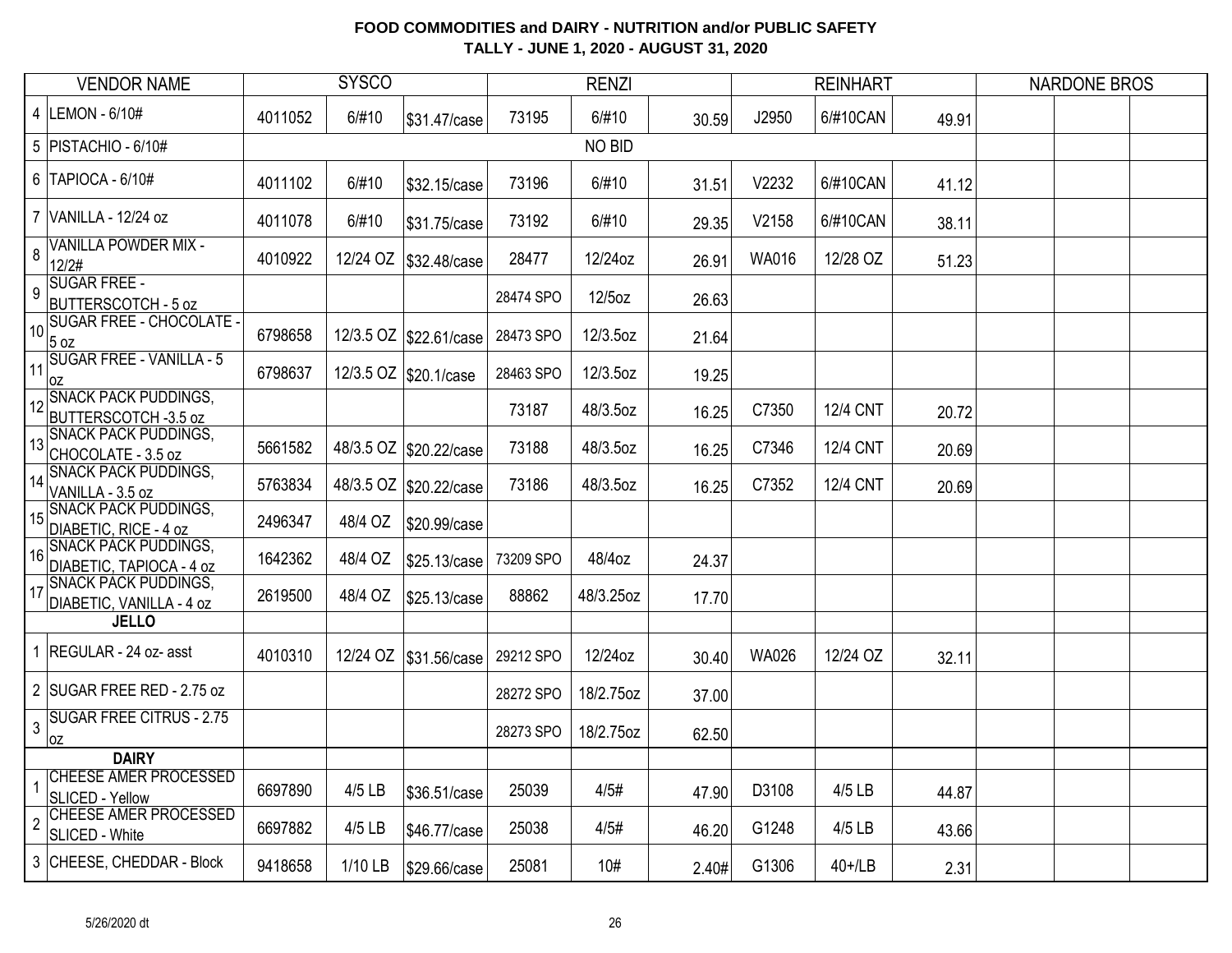| <b>VENDOR NAME</b> |                                                         | <b>SYSCO</b> |           |                         | <b>RENZI</b> |           |       |              | <b>REINHART</b> |       | <b>NARDONE BROS</b> |  |
|--------------------|---------------------------------------------------------|--------------|-----------|-------------------------|--------------|-----------|-------|--------------|-----------------|-------|---------------------|--|
|                    | 4 LEMON - 6/10#                                         | 4011052      | 6/#10     | \$31.47/case            | 73195        | 6/#10     | 30.59 | J2950        | 6/#10CAN        | 49.91 |                     |  |
|                    | 5   PISTACHIO - 6/10#                                   |              |           |                         |              | NO BID    |       |              |                 |       |                     |  |
|                    | $6$ TAPIOCA - $6/10#$                                   | 4011102      | 6/#10     | \$32.15/case            | 73196        | 6/#10     | 31.51 | V2232        | 6/#10CAN        | 41.12 |                     |  |
|                    | 7 VANILLA - 12/24 oz                                    | 4011078      | 6/#10     | \$31.75/case            | 73192        | 6/#10     | 29.35 | V2158        | 6/#10CAN        | 38.11 |                     |  |
| 8                  | <b>VANILLA POWDER MIX -</b><br>12/2#                    | 4010922      | 12/24 OZ  | \$32.48/case            | 28477        | 12/24oz   | 26.91 | WA016        | 12/28 OZ        | 51.23 |                     |  |
| 9                  | <b>SUGAR FREE -</b><br><b>BUTTERSCOTCH - 5 oz</b>       |              |           |                         | 28474 SPO    | 12/5oz    | 26.63 |              |                 |       |                     |  |
| 10                 | <b>SUGAR FREE - CHOCOLATE -</b><br>$5$ oz               | 6798658      |           | 12/3.5 OZ \$22.61/case  | 28473 SPO    | 12/3.5oz  | 21.64 |              |                 |       |                     |  |
| 11                 | <b>SUGAR FREE - VANILLA - 5</b><br>0Z                   | 6798637      |           | 12/3.5 OZ \$20.1/case   | 28463 SPO    | 12/3.5oz  | 19.25 |              |                 |       |                     |  |
|                    | SNACK PACK PUDDINGS,<br>BUTTERSCOTCH -3.5 oz            |              |           |                         | 73187        | 48/3.5oz  | 16.25 | C7350        | <b>12/4 CNT</b> | 20.72 |                     |  |
| 13                 | <b>SNACK PACK PUDDINGS,</b><br>CHOCOLATE - 3.5 oz       | 5661582      |           | 48/3.5 OZ \$20.22/case  | 73188        | 48/3.5oz  | 16.25 | C7346        | 12/4 CNT        | 20.69 |                     |  |
| $\vert$ 14         | <b>SNACK PACK PUDDINGS,</b><br>VANILLA - 3.5 oz         | 5763834      |           | 48/3.5 OZ \$20.22/case  | 73186        | 48/3.5oz  | 16.25 | C7352        | <b>12/4 CNT</b> | 20.69 |                     |  |
| 15                 | <b>SNACK PACK PUDDINGS,</b><br>DIABETIC, RICE - 4 oz    | 2496347      | 48/4 OZ   | \$20.99/case            |              |           |       |              |                 |       |                     |  |
| 16                 | <b>SNACK PACK PUDDINGS,</b><br>DIABETIC, TAPIOCA - 4 oz | 1642362      | 48/4 OZ   | \$25.13/case            | 73209 SPO    | 48/4oz    | 24.37 |              |                 |       |                     |  |
| 117                | <b>SNACK PACK PUDDINGS,</b><br>DIABETIC, VANILLA - 4 oz | 2619500      | 48/4 OZ   | \$25.13/case            | 88862        | 48/3.25oz | 17.70 |              |                 |       |                     |  |
|                    | <b>JELLO</b>                                            |              |           |                         |              |           |       |              |                 |       |                     |  |
|                    | 1 REGULAR - 24 oz- asst                                 | 4010310      |           | 12/24 OZ   \$31.56/case | 29212 SPO    | 12/24oz   | 30.40 | <b>WA026</b> | 12/24 OZ        | 32.11 |                     |  |
|                    | 2 SUGAR FREE RED - 2.75 oz                              |              |           |                         | 28272 SPO    | 18/2.75oz | 37.00 |              |                 |       |                     |  |
| 3                  | <b>SUGAR FREE CITRUS - 2.75</b><br>0Z                   |              |           |                         | 28273 SPO    | 18/2.75oz | 62.50 |              |                 |       |                     |  |
|                    | <b>DAIRY</b>                                            |              |           |                         |              |           |       |              |                 |       |                     |  |
|                    | <b>CHEESE AMER PROCESSED</b><br>SLICED - Yellow         | 6697890      | 4/5 LB    | \$36.51/case            | 25039        | 4/5#      | 47.90 | D3108        | 4/5 LB          | 44.87 |                     |  |
| $\overline{2}$     | CHEESE AMER PROCESSED<br>SLICED - White                 | 6697882      | 4/5 LB    | \$46.77/case            | 25038        | 4/5#      | 46.20 | G1248        | 4/5 LB          | 43.66 |                     |  |
|                    | 3 CHEESE, CHEDDAR - Block                               | 9418658      | $1/10$ LB | \$29.66/case            | 25081        | 10#       | 2.40# | G1306        | $40+1$ LB       | 2.31  |                     |  |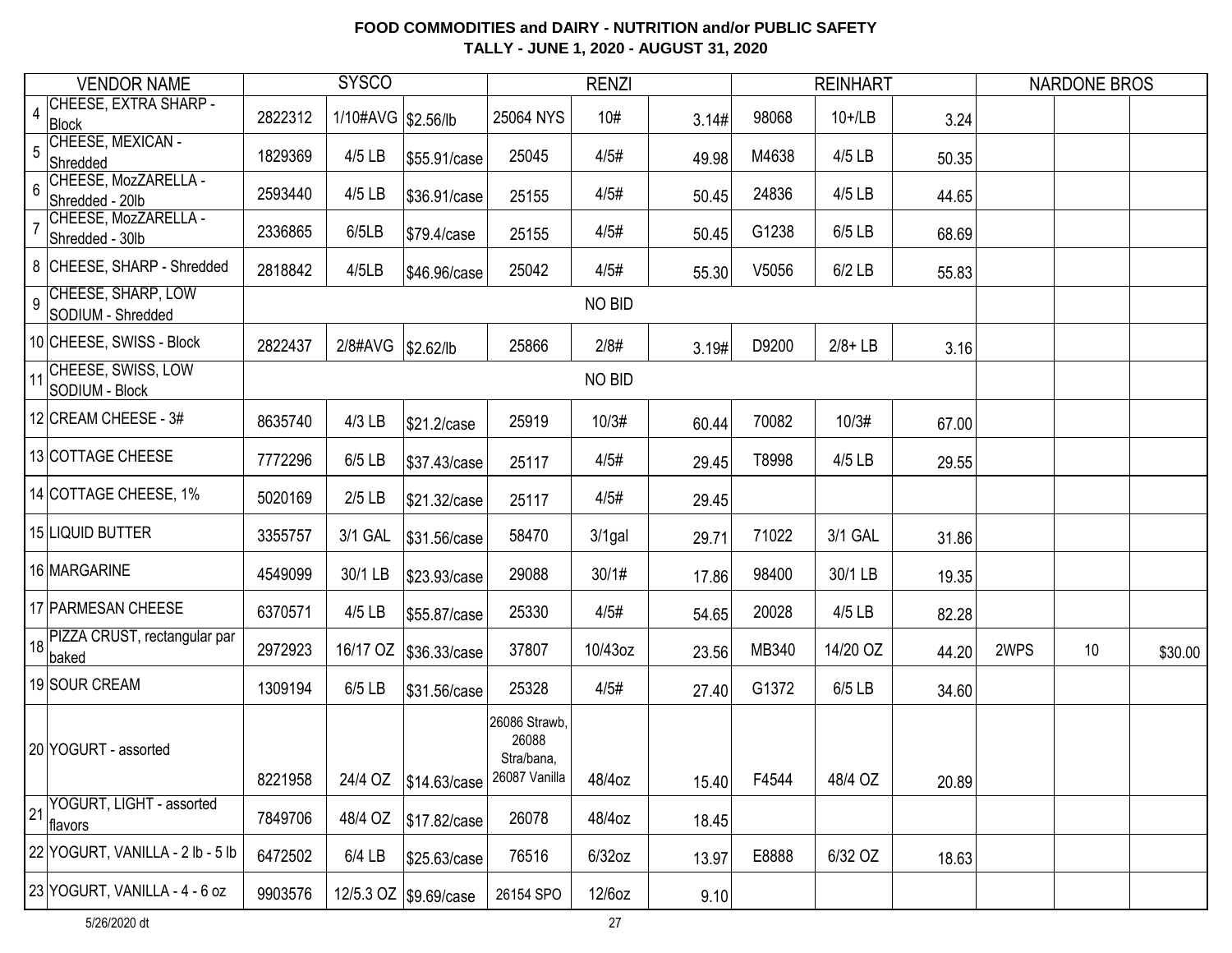| <b>VENDOR NAME</b> |                                          | <b>SYSCO</b> |                     |                       | <b>RENZI</b>                                          |               |       |       | <b>REINHART</b> |       | <b>NARDONE BROS</b> |    |         |
|--------------------|------------------------------------------|--------------|---------------------|-----------------------|-------------------------------------------------------|---------------|-------|-------|-----------------|-------|---------------------|----|---------|
| $\overline{4}$     | CHEESE, EXTRA SHARP -<br>Block           | 2822312      | 1/10#AVG \\$2.56/lb |                       | 25064 NYS                                             | 10#           | 3.14# | 98068 | $10+1$ LB       | 3.24  |                     |    |         |
| 5                  | CHEESE, MEXICAN -<br>Shredded            | 1829369      | 4/5 LB              | \$55.91/case          | 25045                                                 | 4/5#          | 49.98 | M4638 | 4/5 LB          | 50.35 |                     |    |         |
| 6                  | CHEESE, MozZARELLA -<br>Shredded - 20lb  | 2593440      | 4/5 LB              | \$36.91/case          | 25155                                                 | 4/5#          | 50.45 | 24836 | 4/5 LB          | 44.65 |                     |    |         |
|                    | CHEESE, MozZARELLA -<br>Shredded - 30lb  | 2336865      | 6/5LB               | \$79.4/case           | 25155                                                 | 4/5#          | 50.45 | G1238 | 6/5 LB          | 68.69 |                     |    |         |
|                    | 8 CHEESE, SHARP - Shredded               | 2818842      | 4/5LB               | \$46.96/case          | 25042                                                 | 4/5#          | 55.30 | V5056 | $6/2$ LB        | 55.83 |                     |    |         |
| 9                  | CHEESE, SHARP, LOW<br>SODIUM - Shredded  |              |                     |                       |                                                       | NO BID        |       |       |                 |       |                     |    |         |
|                    | 10 CHEESE, SWISS - Block                 | 2822437      | 2/8#AVG             | \$2.62/lb             | 25866                                                 | 2/8#          | 3.19# | D9200 | $2/8 + LB$      | 3.16  |                     |    |         |
|                    | 11 CHEESE, SWISS, LOW<br>SODIUM - Block  |              |                     |                       |                                                       | <b>NO BID</b> |       |       |                 |       |                     |    |         |
|                    | 12 CREAM CHEESE - 3#                     | 8635740      | $4/3$ LB            | \$21.2/case           | 25919                                                 | 10/3#         | 60.44 | 70082 | 10/3#           | 67.00 |                     |    |         |
|                    | 13 COTTAGE CHEESE                        | 7772296      | $6/5$ LB            | \$37.43/case          | 25117                                                 | 4/5#          | 29.45 | T8998 | 4/5 LB          | 29.55 |                     |    |         |
|                    | 14 COTTAGE CHEESE, 1%                    | 5020169      | $2/5$ LB            | \$21.32/case          | 25117                                                 | 4/5#          | 29.45 |       |                 |       |                     |    |         |
|                    | 15 LIQUID BUTTER                         | 3355757      | 3/1 GAL             | \$31.56/case          | 58470                                                 | $3/1$ gal     | 29.71 | 71022 | 3/1 GAL         | 31.86 |                     |    |         |
|                    | 16 MARGARINE                             | 4549099      | 30/1 LB             | \$23.93/case          | 29088                                                 | 30/1#         | 17.86 | 98400 | 30/1 LB         | 19.35 |                     |    |         |
|                    | 17 PARMESAN CHEESE                       | 6370571      | 4/5 LB              | \$55.87/case          | 25330                                                 | 4/5#          | 54.65 | 20028 | 4/5 LB          | 82.28 |                     |    |         |
|                    | 18 PIZZA CRUST, rectangular par<br>baked | 2972923      | 16/17 OZ            | \$36.33/case          | 37807                                                 | 10/43oz       | 23.56 | MB340 | 14/20 OZ        | 44.20 | 2WPS                | 10 | \$30.00 |
|                    | 19 SOUR CREAM                            | 1309194      | 6/5 LB              | \$31.56/case          | 25328                                                 | 4/5#          | 27.40 | G1372 | 6/5 LB          | 34.60 |                     |    |         |
|                    | 20 YOGURT - assorted                     | 8221958      |                     | 24/4 OZ \$14.63/case  | 26086 Strawb,<br>26088<br>Stra/bana,<br>26087 Vanilla | 48/4oz        | 15.40 | F4544 | 48/4 OZ         | 20.89 |                     |    |         |
| 21                 | YOGURT, LIGHT - assorted<br>flavors      | 7849706      | 48/4 OZ             | \$17.82/case          | 26078                                                 | 48/4oz        | 18.45 |       |                 |       |                     |    |         |
|                    | 22 YOGURT, VANILLA - 2 lb - 5 lb         | 6472502      | $6/4$ LB            | \$25.63/case          | 76516                                                 | $6/32$ oz     | 13.97 | E8888 | 6/32 OZ         | 18.63 |                     |    |         |
|                    | 23 YOGURT, VANILLA - 4 - 6 oz            | 9903576      |                     | 12/5.3 OZ \$9.69/case | 26154 SPO                                             | 12/6oz        | 9.10  |       |                 |       |                     |    |         |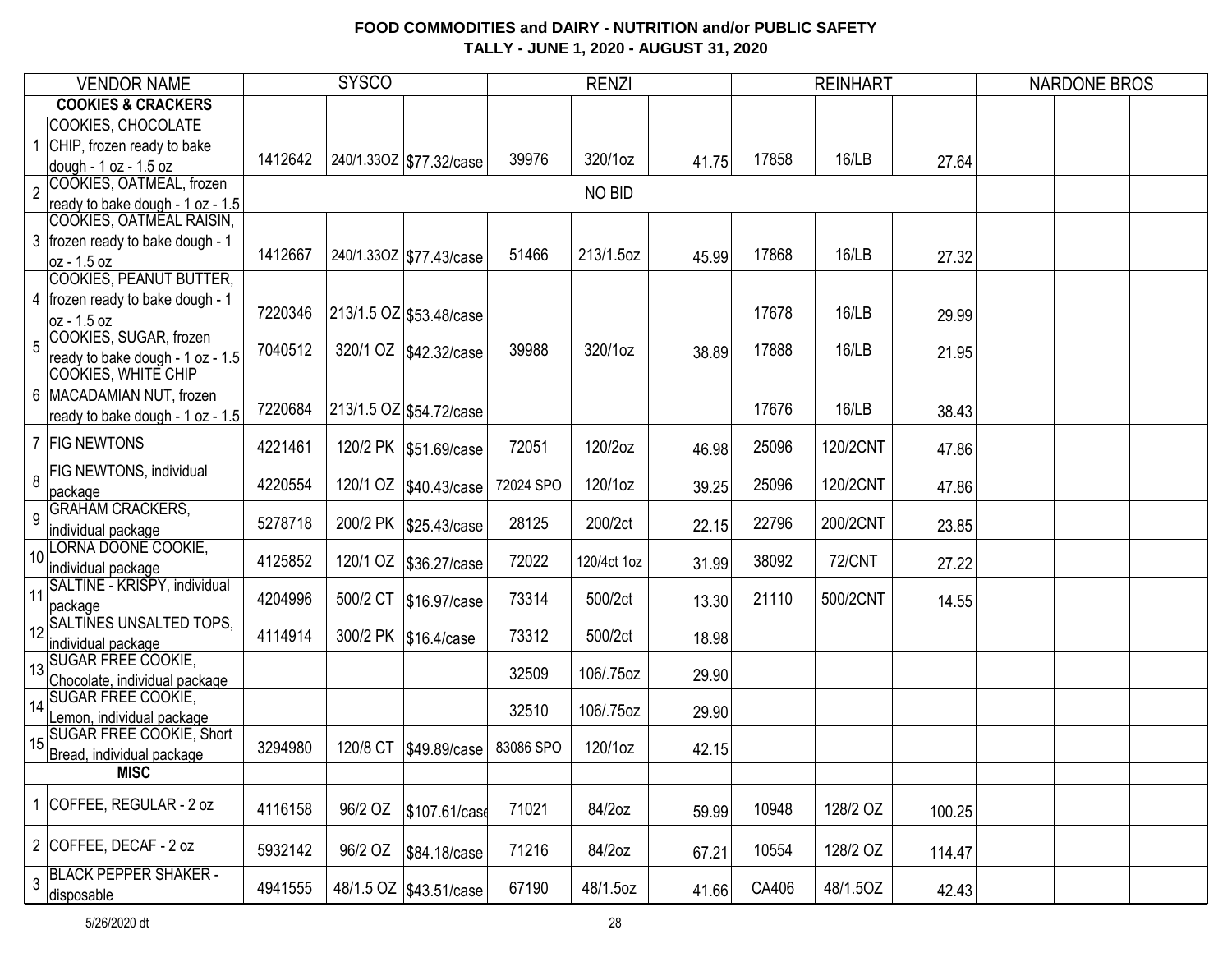| <b>VENDOR NAME</b> |                                                                | <b>SYSCO</b> |          |                           | <b>RENZI</b> |             |       | <b>REINHART</b> |               |        | <b>NARDONE BROS</b> |  |
|--------------------|----------------------------------------------------------------|--------------|----------|---------------------------|--------------|-------------|-------|-----------------|---------------|--------|---------------------|--|
|                    | <b>COOKIES &amp; CRACKERS</b>                                  |              |          |                           |              |             |       |                 |               |        |                     |  |
|                    | <b>COOKIES, CHOCOLATE</b>                                      |              |          |                           |              |             |       |                 |               |        |                     |  |
|                    | CHIP, frozen ready to bake                                     | 1412642      |          | 240/1.33OZ   \$77.32/case | 39976        | 320/1oz     | 41.75 | 17858           | 16/LB         | 27.64  |                     |  |
| $\overline{2}$     | dough - 1 oz - 1.5 oz<br>COOKIES, OATMEAL, frozen              |              |          |                           |              | NO BID      |       |                 |               |        |                     |  |
|                    | ready to bake dough - 1 oz - 1.5                               |              |          |                           |              |             |       |                 |               |        |                     |  |
|                    | COOKIES, OATMEAL RAISIN,                                       |              |          |                           |              |             |       |                 |               |        |                     |  |
|                    | 3   frozen ready to bake dough - 1<br>oz - 1.5 oz              | 1412667      |          | 240/1.33OZ   \$77.43/case | 51466        | 213/1.5oz   | 45.99 | 17868           | 16/LB         | 27.32  |                     |  |
|                    | <b>COOKIES, PEANUT BUTTER,</b>                                 |              |          |                           |              |             |       |                 |               |        |                     |  |
|                    | 4   frozen ready to bake dough - 1                             |              |          |                           |              |             |       |                 |               |        |                     |  |
|                    | oz - 1.5 oz                                                    | 7220346      |          | 213/1.5 OZ \$53.48/case   |              |             |       | 17678           | 16/LB         | 29.99  |                     |  |
| 5                  | COOKIES, SUGAR, frozen                                         | 7040512      |          |                           | 39988        | 320/1oz     |       | 17888           | 16/LB         |        |                     |  |
|                    | ready to bake dough - 1 oz - 1.5<br><b>COOKIES, WHITE CHIP</b> |              |          | 320/1 OZ \$42.32/case     |              |             | 38.89 |                 |               | 21.95  |                     |  |
|                    | 6 MACADAMIAN NUT, frozen                                       |              |          |                           |              |             |       |                 |               |        |                     |  |
|                    | ready to bake dough - 1 oz - 1.5                               | 7220684      |          | 213/1.5 OZ \$54.72/case   |              |             |       | 17676           | 16/LB         | 38.43  |                     |  |
|                    |                                                                |              |          |                           |              |             |       |                 |               |        |                     |  |
|                    | 7 FIG NEWTONS                                                  | 4221461      |          | 120/2 PK   \$51.69/case   | 72051        | 120/2oz     | 46.98 | 25096           | 120/2CNT      | 47.86  |                     |  |
| 8                  | <b>FIG NEWTONS, individual</b>                                 | 4220554      |          | 120/1 OZ   \$40.43/case   | 72024 SPO    | 120/1oz     | 39.25 | 25096           | 120/2CNT      | 47.86  |                     |  |
|                    | package<br><b>GRAHAM CRACKERS,</b>                             |              |          |                           |              |             |       |                 |               |        |                     |  |
| 9                  | individual package                                             | 5278718      |          | 200/2 PK   \$25.43/case   | 28125        | 200/2ct     | 22.15 | 22796           | 200/2CNT      | 23.85  |                     |  |
| 10 <sup>1</sup>    | LORNA DOONE COOKIE,                                            | 4125852      | 120/1 OZ | \$36.27/case              | 72022        | 120/4ct 1oz | 31.99 | 38092           | <b>72/CNT</b> | 27.22  |                     |  |
|                    | individual package                                             |              |          |                           |              |             |       |                 |               |        |                     |  |
| 11                 | SALTINE - KRISPY, individual<br>package                        | 4204996      | 500/2 CT | \$16.97/case              | 73314        | 500/2ct     | 13.30 | 21110           | 500/2CNT      | 14.55  |                     |  |
| 12                 | <b>SALTINES UNSALTED TOPS,</b>                                 |              |          |                           |              |             |       |                 |               |        |                     |  |
|                    | individual package                                             | 4114914      |          | 300/2 PK   \$16.4/case    | 73312        | 500/2ct     | 18.98 |                 |               |        |                     |  |
| 13                 | <b>SUGAR FREE COOKIE,</b>                                      |              |          |                           | 32509        | 106/.75oz   | 29.90 |                 |               |        |                     |  |
|                    | Chocolate, individual package                                  |              |          |                           |              |             |       |                 |               |        |                     |  |
| 14                 | <b>SUGAR FREE COOKIE,</b><br>Lemon, individual package         |              |          |                           | 32510        | 106/.75oz   | 29.90 |                 |               |        |                     |  |
|                    | SUGAR FREE COOKIE, Short                                       |              |          |                           |              |             |       |                 |               |        |                     |  |
| 15                 | Bread, individual package                                      | 3294980      | 120/8 CT | \$49.89/case              | 83086 SPO    | 120/1oz     | 42.15 |                 |               |        |                     |  |
|                    | <b>MISC</b>                                                    |              |          |                           |              |             |       |                 |               |        |                     |  |
|                    | COFFEE, REGULAR - 2 oz                                         |              |          |                           |              |             |       |                 |               |        |                     |  |
|                    |                                                                | 4116158      | 96/2 OZ  | \$107.61/case             | 71021        | 84/2oz      | 59.99 | 10948           | 128/2 OZ      | 100.25 |                     |  |
|                    | 2 COFFEE, DECAF - 2 oz                                         | 5932142      | 96/2 OZ  | \$84.18/case              | 71216        | 84/2oz      | 67.21 | 10554           | 128/2 OZ      | 114.47 |                     |  |
| 3                  | <b>BLACK PEPPER SHAKER -</b><br>disposable                     | 4941555      |          | 48/1.5 OZ   \$43.51/case  | 67190        | 48/1.5oz    | 41.66 | CA406           | 48/1.5OZ      | 42.43  |                     |  |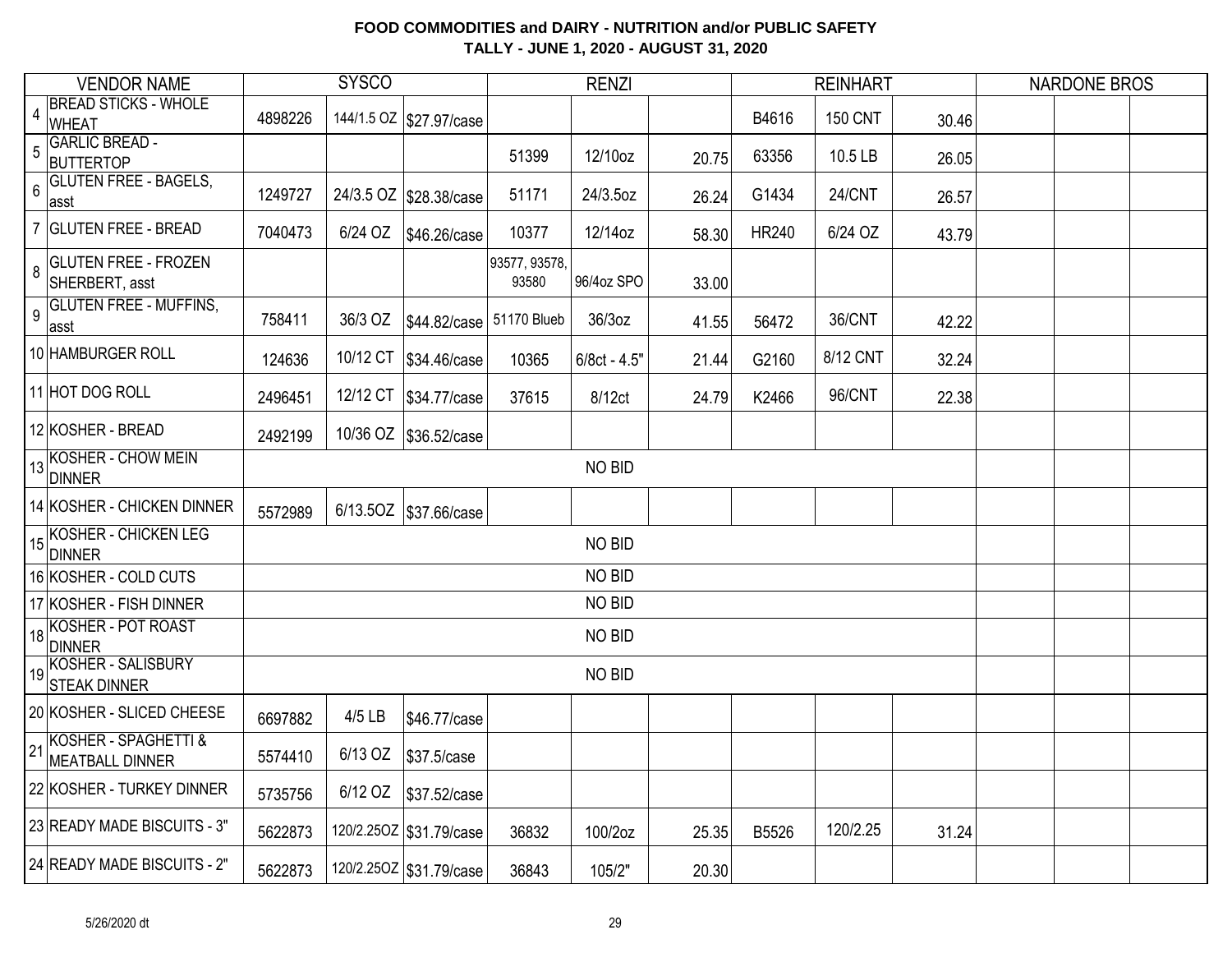|                 | <b>VENDOR NAME</b>                            |         | <b>SYSCO</b> |                           |                        | <b>RENZI</b>   |       |              | <b>REINHART</b> |       | <b>NARDONE BROS</b> |  |
|-----------------|-----------------------------------------------|---------|--------------|---------------------------|------------------------|----------------|-------|--------------|-----------------|-------|---------------------|--|
| $\overline{4}$  | <b>BREAD STICKS - WHOLE</b><br><b>WHEAT</b>   | 4898226 |              | 144/1.5 OZ   \$27.97/case |                        |                |       | B4616        | <b>150 CNT</b>  | 30.46 |                     |  |
| 5               | <b>GARLIC BREAD -</b><br><b>BUTTERTOP</b>     |         |              |                           | 51399                  | 12/10oz        | 20.75 | 63356        | 10.5 LB         | 26.05 |                     |  |
| $6\phantom{a}$  | <b>GLUTEN FREE - BAGELS,</b><br>asst          | 1249727 |              | 24/3.5 OZ \$28.38/case    | 51171                  | 24/3.5oz       | 26.24 | G1434        | <b>24/CNT</b>   | 26.57 |                     |  |
|                 | 7 GLUTEN FREE - BREAD                         | 7040473 | 6/24 OZ      | \$46.26/case              | 10377                  | 12/14oz        | 58.30 | <b>HR240</b> | 6/24 OZ         | 43.79 |                     |  |
| 8               | <b>GLUTEN FREE - FROZEN</b><br>SHERBERT, asst |         |              |                           | 93577, 93578,<br>93580 | 96/4oz SPO     | 33.00 |              |                 |       |                     |  |
| $\overline{9}$  | <b>GLUTEN FREE - MUFFINS,</b><br>∣asst        | 758411  | 36/3 OZ      | \$44.82/case 51170 Blueb  |                        | 36/3oz         | 41.55 | 56472        | 36/CNT          | 42.22 |                     |  |
|                 | 10 HAMBURGER ROLL                             | 124636  |              | 10/12 CT \$34.46/case     | 10365                  | $6/8ct - 4.5"$ | 21.44 | G2160        | 8/12 CNT        | 32.24 |                     |  |
|                 | 11 HOT DOG ROLL                               | 2496451 |              | 12/12 CT   \$34.77/case   | 37615                  | 8/12ct         | 24.79 | K2466        | 96/CNT          | 22.38 |                     |  |
|                 | 12 KOSHER - BREAD                             | 2492199 |              | 10/36 OZ \$36.52/case     |                        |                |       |              |                 |       |                     |  |
|                 | 13 KOSHER - CHOW MEIN<br><b>DINNER</b>        |         |              |                           |                        | NO BID         |       |              |                 |       |                     |  |
|                 | 14 KOSHER - CHICKEN DINNER                    | 5572989 |              | 6/13.5OZ   \$37.66/case   |                        |                |       |              |                 |       |                     |  |
|                 | 15 KOSHER - CHICKEN LEG<br>DINNER             |         |              |                           |                        | NO BID         |       |              |                 |       |                     |  |
|                 | 16 KOSHER - COLD CUTS                         |         |              |                           |                        | NO BID         |       |              |                 |       |                     |  |
|                 | 17 KOSHER - FISH DINNER                       |         |              |                           |                        | NO BID         |       |              |                 |       |                     |  |
| 18              | <b>KOSHER - POT ROAST</b><br><b>DINNER</b>    |         |              |                           |                        | NO BID         |       |              |                 |       |                     |  |
|                 | 19 KOSHER - SALISBURY<br><b>STEAK DINNER</b>  |         |              |                           |                        | NO BID         |       |              |                 |       |                     |  |
|                 | 20 KOSHER - SLICED CHEESE                     | 6697882 | 4/5 LB       | \$46.77/case              |                        |                |       |              |                 |       |                     |  |
| $\overline{21}$ | KOSHER - SPAGHETTI &<br>MEATBALL DINNER       | 5574410 | 6/13 OZ      | \$37.5/case               |                        |                |       |              |                 |       |                     |  |
|                 | 22 KOSHER - TURKEY DINNER                     | 5735756 | 6/12 OZ      | \$37.52/case              |                        |                |       |              |                 |       |                     |  |
|                 | 23 READY MADE BISCUITS - 3"                   | 5622873 |              | 120/2.25OZ   \$31.79/case | 36832                  | 100/2oz        | 25.35 | B5526        | 120/2.25        | 31.24 |                     |  |
|                 | 24 READY MADE BISCUITS - 2"                   | 5622873 |              | 120/2.25OZ \$31.79/case   | 36843                  | 105/2"         | 20.30 |              |                 |       |                     |  |